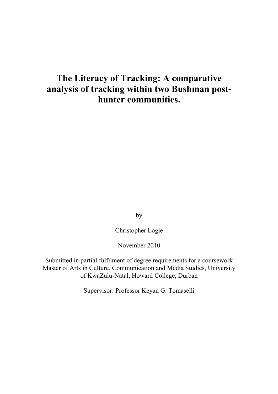# **The Literacy of Tracking: A comparative analysis of tracking within two Bushman posthunter communities.**

by

Christopher Logie

November 2010

Submitted in partial fulfilment of degree requirements for a coursework Master of Arts in Culture, Communication and Media Studies, University of KwaZulu-Natal, Howard College, Durban

Supervisor: Professor Keyan G. Tomaselli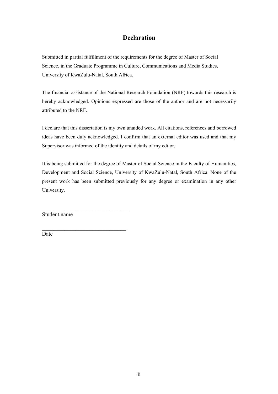# **Declaration**

Submitted in partial fulfillment of the requirements for the degree of Master of Social Science, in the Graduate Programme in Culture, Communications and Media Studies, University of KwaZulu-Natal, South Africa.

The financial assistance of the National Research Foundation (NRF) towards this research is hereby acknowledged. Opinions expressed are those of the author and are not necessarily attributed to the NRF.

I declare that this dissertation is my own unaided work. All citations, references and borrowed ideas have been duly acknowledged. I confirm that an external editor was used and that my Supervisor was informed of the identity and details of my editor.

It is being submitted for the degree of Master of Social Science in the Faculty of Humanities, Development and Social Science, University of KwaZulu-Natal, South Africa. None of the present work has been submitted previously for any degree or examination in any other University.

Student name

 $\mathcal{L}_\text{max}$  , where  $\mathcal{L}_\text{max}$  and  $\mathcal{L}_\text{max}$  and  $\mathcal{L}_\text{max}$ 

 $\mathcal{L}_\text{max}$  , where  $\mathcal{L}_\text{max}$  and  $\mathcal{L}_\text{max}$  and  $\mathcal{L}_\text{max}$ 

Date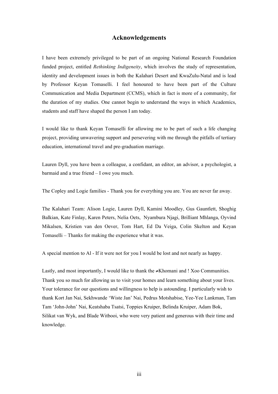# **Acknowledgements**

I have been extremely privileged to be part of an ongoing National Research Foundation funded project, entitled *Rethinking Indigeneity*, which involves the study of representation, identity and development issues in both the Kalahari Desert and KwaZulu-Natal and is lead by Professor Keyan Tomaselli. I feel honoured to have been part of the Culture Communication and Media Department (CCMS), which in fact is more of a community, for the duration of my studies. One cannot begin to understand the ways in which Academics, students and staff have shaped the person I am today.

I would like to thank Keyan Tomaselli for allowing me to be part of such a life changing project, providing unwavering support and persevering with me through the pitfalls of tertiary education, international travel and pre-graduation marriage.

Lauren Dyll, you have been a colleague, a confidant, an editor, an advisor, a psychologist, a barmaid and a true friend – I owe you much.

The Copley and Logie families - Thank you for everything you are. You are never far away.

The Kalahari Team: Alison Logie, Lauren Dyll, Kamini Moodley, Gus Gauntlett, Shoghig Balkian, Kate Finlay, Karen Peters, Nelia Oets, Nyambura Njagi, Brilliant Mhlanga, Oyvind Mikalsen, Kristien van den Oever, Tom Hart, Ed Da Veiga, Colin Skelton and Keyan Tomaselli – Thanks for making the experience what it was.

A special mention to Al - If it were not for you I would be lost and not nearly as happy.

Lastly, and most importantly, I would like to thank the  $\neq$ Khomani and ! Xoo Communities. Thank you so much for allowing us to visit your homes and learn something about your lives. Your tolerance for our questions and willingness to help is astounding. I particularly wish to thank Kort Jan Nai, Sekhwande 'Wiste Jan' Nai, Pedrus Motshabise, Yee-Yee Lankman, Tam Tam 'John-John' Nai, Keatshaba Tsatsi, Toppies Kruiper, Belinda Kruiper, Adam Bok, Silikat van Wyk, and Blade Witbooi, who were very patient and generous with their time and knowledge.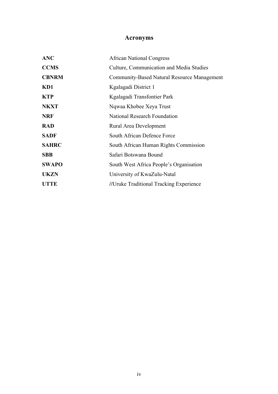# **Acronyms**

| <b>ANC</b>   | <b>African National Congress</b>            |
|--------------|---------------------------------------------|
| <b>CCMS</b>  | Culture, Communication and Media Studies    |
| <b>CBNRM</b> | Community-Based Natural Resource Management |
| KD1          | Kgalagadi District 1                        |
| <b>KTP</b>   | Kgalagadi Transfontier Park                 |
| <b>NKXT</b>  | Ngwaa Khobee Xeya Trust                     |
| <b>NRF</b>   | <b>National Research Foundation</b>         |
| <b>RAD</b>   | Rural Area Development                      |
| <b>SADF</b>  | South African Defence Force                 |
| <b>SAHRC</b> | South African Human Rights Commission       |
| <b>SBB</b>   | Safari Botswana Bound                       |
| <b>SWAPO</b> | South West Africa People's Organisation     |
| <b>UKZN</b>  | University of KwaZulu-Natal                 |
| <b>UTTE</b>  | //Uruke Traditional Tracking Experience     |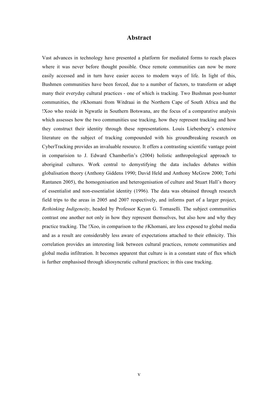# **Abstract**

Vast advances in technology have presented a platform for mediated forms to reach places where it was never before thought possible. Once remote communities can now be more easily accessed and in turn have easier access to modern ways of life. In light of this, Bushmen communities have been forced, due to a number of factors, to transform or adapt many their everyday cultural practices - one of which is tracking. Two Bushman post-hunter communities, the ≠Khomani from Witdraai in the Northern Cape of South Africa and the !Xoo who reside in Ngwatle in Southern Botswana, are the focus of a comparative analysis which assesses how the two communities use tracking, how they represent tracking and how they construct their identity through these representations. Louis Liebenberg's extensive literature on the subject of tracking compounded with his groundbreaking research on CyberTracking provides an invaluable resource. It offers a contrasting scientific vantage point in comparision to J. Edward Chamberlin's (2004) holistic anthropological approach to aboriginal cultures. Work central to demystifying the data includes debates within globalisation theory (Anthony Giddens 1990; David Held and Anthony McGrew 2000; Terhi Rantanen 2005), the homogenisation and heterogenisation of culture and Stuart Hall's theory of essentialist and non-essentialist identity (1996). The data was obtained through research field trips to the areas in 2005 and 2007 respectively, and informs part of a larger project, *Rethinking Indigeneity*, headed by Professor Keyan G. Tomaselli. The subject communities contrast one another not only in how they represent themselves, but also how and why they practice tracking. The !Xoo, in comparison to the  $\neq$ Khomani, are less exposed to global media and as a result are considerably less aware of expectations attached to their ethnicity. This correlation provides an interesting link between cultural practices, remote communities and global media infiltration. It becomes apparent that culture is in a constant state of flux which is further emphasised through idiosyncratic cultural practices; in this case tracking.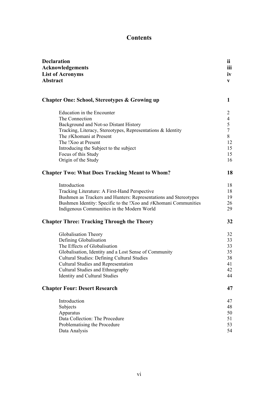# **Contents**

| <b>Declaration</b><br>Acknowledgements<br><b>List of Acronyms</b><br><b>Abstract</b> |        |                                                          |  |
|--------------------------------------------------------------------------------------|--------|----------------------------------------------------------|--|
|                                                                                      |        |                                                          |  |
|                                                                                      |        | <b>Chapter One: School, Stereotypes &amp; Growing up</b> |  |
| Education in the Encounter                                                           | 2      |                                                          |  |
| The Connection                                                                       | 4      |                                                          |  |
| Background and Not-so Distant History                                                | 5      |                                                          |  |
| Tracking, Literacy, Stereotypes, Representations & Identity                          | $\tau$ |                                                          |  |
| The $\neq$ Khomani at Present                                                        | 8      |                                                          |  |
| The !Xoo at Present                                                                  | 12     |                                                          |  |
| Introducing the Subject to the subject                                               | 15     |                                                          |  |
| Focus of this Study                                                                  | 15     |                                                          |  |
| Origin of the Study                                                                  | 16     |                                                          |  |
| <b>Chapter Two: What Does Tracking Meant to Whom?</b>                                |        |                                                          |  |
| Introduction                                                                         | 18     |                                                          |  |
| Tracking Literature: A First-Hand Perspective                                        | 18     |                                                          |  |
| Bushmen as Trackers and Hunters: Representations and Stereotypes                     | 19     |                                                          |  |
| Bushmen Identity: Specific to the !Xoo and $\neq$ Khomani Communities                | 26     |                                                          |  |
| Indigenous Communities in the Modern World                                           | 29     |                                                          |  |
| <b>Chapter Three: Tracking Through the Theory</b>                                    | 32     |                                                          |  |
| Globalisation Theory                                                                 | 32     |                                                          |  |
| Defining Globalisation                                                               | 33     |                                                          |  |
| The Effects of Globalisation                                                         | 33     |                                                          |  |
| Globalisation, Identity and a Lost Sense of Community                                | 35     |                                                          |  |
| <b>Cultural Studies: Defining Cultural Studies</b>                                   | 38     |                                                          |  |
| Cultural Studies and Representation                                                  | 41     |                                                          |  |
| Cultural Studies and Ethnography                                                     | 42     |                                                          |  |
| <b>Identity and Cultural Studies</b>                                                 | 44     |                                                          |  |
| <b>Chapter Four: Desert Research</b>                                                 | 47     |                                                          |  |
| Introduction                                                                         | 47     |                                                          |  |
| Subjects                                                                             | 48     |                                                          |  |
| Apparatus                                                                            | 50     |                                                          |  |
| Data Collection: The Procedure                                                       | 51     |                                                          |  |
| Problematising the Procedure                                                         | 53     |                                                          |  |
| Data Analysis                                                                        | 54     |                                                          |  |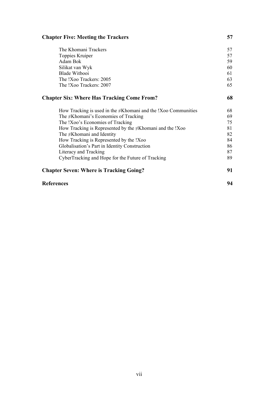# **Chapter Five: Meeting the Trackers 57**

| <b>Chapter Seven: Where is Tracking Going?</b><br><b>References</b> |    |
|---------------------------------------------------------------------|----|
|                                                                     |    |
| Literacy and Tracking                                               | 87 |
| Globalisation's Part in Identity Construction                       | 86 |
| How Tracking is Represented by the !Xoo                             | 84 |
| The $\neq$ Khomani and Identity                                     | 82 |
| How Tracking is Represented by the $\neq$ Khomani and the !Xoo      | 81 |
| The !Xoo's Economies of Tracking                                    | 75 |
| The $\neq$ Khomani's Economies of Tracking                          | 69 |
| How Tracking is used in the $\neq$ Khomani and the !Xoo Communities | 68 |
| <b>Chapter Six: Where Has Tracking Come From?</b>                   |    |
| The !Xoo Trackers: 2007                                             | 65 |
| The !Xoo Trackers: 2005                                             |    |
| <b>Blade Witbooi</b>                                                | 61 |
| Silikat van Wyk                                                     | 60 |
| Adam Bok                                                            |    |
| Toppies Kruiper                                                     |    |
| The Khomani Trackers                                                | 57 |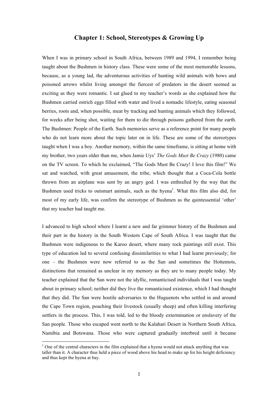### **Chapter 1: School, Stereotypes & Growing Up**

When I was in primary school in South Africa, between 1989 and 1994, I remember being taught about the Bushmen in history class. These were some of the most memorable lessons, because, as a young lad, the adventurous activities of hunting wild animals with bows and poisoned arrows whilst living amongst the fiercest of predators in the desert seemed as exciting as they were romantic. I sat glued to my teacher's words as she explained how the Bushmen carried ostrich eggs filled with water and lived a nomadic lifestyle, eating seasonal berries, roots and, when possible, meat by tracking and hunting animals which they followed, for weeks after being shot, waiting for them to die through poisons gathered from the earth. The Bushmen: People of the Earth. Such memories serve as a reference point for many people who do not learn more about the topic later on in life. These are some of the stereotypes taught when I was a boy. Another memory, within the same timeframe, is sitting at home with my brother, two years older than me, when Jamie Uys' *The Gods Must Be Crazy* (1980) came on the TV screen. To which he exclaimed, "The Gods Must Be Crazy! I love this film!" We sat and watched, with great amusement, the tribe, which thought that a Coca-Cola bottle thrown from an airplane was sent by an angry god. I was enthralled by the way that the Bushmen used tricks to outsmart animals, such as the hyena<sup>1</sup>. What this film also did, for most of my early life, was confirm the stereotype of Bushmen as the quintessential 'other' that my teacher had taught me.

I advanced to high school where I learnt a new and far grimmer history of the Bushmen and their part in the history in the South Western Cape of South Africa. I was taught that the Bushmen were indigenous to the Karoo desert, where many rock paintings still exist. This type of education led to several confusing dissimilarities to what I had learnt previously; for one – the Bushmen were now referred to as the San and sometimes the Hottentots, distinctions that remained as unclear in my memory as they are to many people today. My teacher explained that the San were not the idyllic, romanticised individuals that I was taught about in primary school; neither did they live the romanticised existence, which I had thought that they did. The San were hostile adversaries to the Huguenots who settled in and around the Cape Town region, poaching their livestock (usually sheep) and often killing interfering settlers in the process. This, I was told, led to the bloody extermination or enslavery of the San people. Those who escaped went north to the Kalahari Desert in Northern South Africa, Namibia and Botswana. Those who were captured gradually interbred until it became

 $\frac{1}{1}$ <sup>1</sup> One of the central characters in the film explained that a hyena would not attack anything that was taller than it. A character thus held a piece of wood above his head to make up for his height deficiency and thus kept the hyena at bay.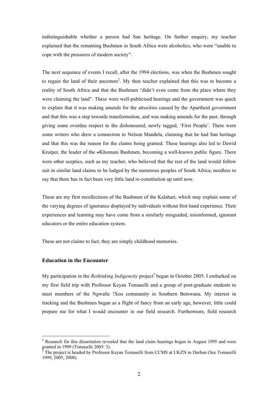indistinguishable whether a person had San heritage. On further enquiry, my teacher explained that the remaining Bushmen in South Africa were alcoholics, who were "unable to cope with the pressures of modern society".

The next sequence of events I recall, after the 1994 elections, was when the Bushmen sought to regain the land of their ancestors<sup>2</sup>. My then teacher explained that this was to become a reality of South Africa and that the Bushmen "didn't even come from the place where they were claiming the land". These were well-publicised hearings and the government was quick to explain that it was making amends for the atrocities caused by the Apartheid government and that this was a step towards transformation, and was making amends for the past, through giving some overdue respect to the dishonoured, newly tagged, 'First People'. There were some writers who drew a connection to Nelson Mandela, claiming that he had San heritage and that this was the reason for the claims being granted. These hearings also led to Dawid Kruiper, the leader of the ≠Khomani Bushmen, becoming a well-known public figure. There were other sceptics, such as my teacher, who believed that the rest of the land would follow suit in similar land claims to be lodged by the numerous peoples of South Africa; needless to say that there has in fact been very little land re-constitution up until now.

These are my first recollections of the Bushmen of the Kalahari, which may explain some of the varying degrees of ignorance displayed by individuals without first hand experience. Their experiences and learning may have come from a similarly misguided, misinformed, ignorant educators or the entire education system.

These are not claims to fact; they are simply childhood memories.

#### **Education in the Encounter**

My participation in the *Rethinking Indigeneity* project<sup>3</sup> began in October 2005. I embarked on my first field trip with Professor Keyan Tomaselli and a group of post-graduate students to meet members of the Ngwatle !Xoo community in Southern Botswana. My interest in tracking and the Bushmen began as a flight of fancy from an early age, however, little could prepare me for what I would encounter in our field research. Furthermore, field research

 $\frac{1}{2}$ <sup>2</sup> Research for this dissertation revealed that the land claim hearings began in August 1995 and were granted in 1999 (Tomaselli 2005: 3).

The project is headed by Professor Keyan Tomaselli from CCMS at UKZN in Durban (See Tomaselli 1999, 2005, 2008).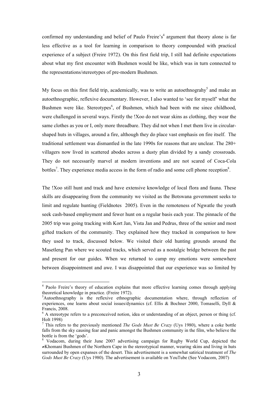confirmed my understanding and belief of Paulo Freire's<sup>4</sup> argument that theory alone is far less effective as a tool for learning in comparison to theory compounded with practical experience of a subject (Freire 1972). On this first field trip, I still had definite expectations about what my first encounter with Bushmen would be like, which was in turn connected to the representations/stereotypes of pre-modern Bushmen.

My focus on this first field trip, academically, was to write an autoethnograhy<sup>5</sup> and make an autoethnographic, reflexive documentary. However, I also wanted to 'see for myself' what the Bushmen were like. Stereotypes<sup>6</sup>, of Bushmen, which had been with me since childhood, were challenged in several ways. Firstly the !Xoo do not wear skins as clothing, they wear the same clothes as you or I, only more threadbare. They did not when I met them live in circularshaped huts in villages, around a fire, although they do place vast emphasis on fire itself. The traditional settlement was dismantled in the late 1990s for reasons that are unclear. The 280+ villagers now lived in scattered abodes across a dusty plan divided by a sandy crossroads. They do not necessarily marvel at modern inventions and are not scared of Coca-Cola bottles<sup>7</sup>. They experience media access in the form of radio and some cell phone reception<sup>8</sup>.

The !Xoo still hunt and track and have extensive knowledge of local flora and fauna. These skills are disappearing from the community we visited as the Botswana government seeks to limit and regulate hunting (Fieldnotes 2005). Even in the remoteness of Ngwatle the youth seek cash-based employment and fewer hunt on a regular basis each year. The pinnacle of the 2005 trip was going tracking with Kort Jan, Vista Jan and Pedrus, three of the senior and most gifted trackers of the community. They explained how they tracked in comparison to how they used to track, discussed below. We visited their old hunting grounds around the Masetleng Pan where we scouted tracks, which served as a nostalgic bridge between the past and present for our guides. When we returned to camp my emotions were somewhere between disappointment and awe. I was disappointed that our experience was so limited by

 $\frac{1}{4}$ <sup>4</sup> Paolo Freire's theory of education explains that more effective learning comes through applying theoretical knowledge in practice. (Freire 1972).

 ${}^5$ Autoethnography is the reflexive ethnographic documentation where, through reflection of experiences, one learns about social issues/dynamics (cf. Ellis & Bochner 2000, Tomaselli, Dyll & Francis, 2008.

<sup>&</sup>lt;sup>6</sup> A stereotype refers to a preconceived notion, idea or understanding of an object, person or thing (cf. Holt 1998)

<sup>7</sup> This refers to the previously mentioned *The Gods Must Be Crazy* (Uys 1980), where a coke bottle falls from the sky causing fear and panic amongst the Bushmen community in the film, who believe the bottle is from the 'gods'.

<sup>&</sup>lt;sup>8</sup> Vodacom, during their June 2007 advertising campaign for Rugby World Cup, depicted the ≠Khomani Bushmen of the Northern Cape in the stereotypical manner, wearing skins and living in huts surrounded by open expanses of the desert. This advertisement is a somewhat satirical treatment of *The Gods Must Be Crazy* (Uys 1980). The advertisement is available on YouTube (See Vodacom, 2007)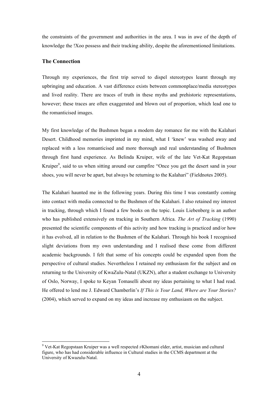the constraints of the government and authorities in the area. I was in awe of the depth of knowledge the !Xoo possess and their tracking ability, despite the aforementioned limitations.

#### **The Connection**

Through my experiences, the first trip served to dispel stereotypes learnt through my upbringing and education. A vast difference exists between commonplace/media stereotypes and lived reality. There are traces of truth in these myths and prehistoric representations, however; these traces are often exaggerated and blown out of proportion, which lead one to the romanticised images.

My first knowledge of the Bushmen began a modern day romance for me with the Kalahari Desert. Childhood memories imprinted in my mind, what I 'knew' was washed away and replaced with a less romanticised and more thorough and real understanding of Bushmen through first hand experience. As Belinda Kruiper, wife of the late Vet-Kat Regopstaan Kruiper<sup>9</sup>, said to us when sitting around our campfire "Once you get the desert sand in your shoes, you will never be apart, but always be returning to the Kalahari" (Fieldnotes 2005).

The Kalahari haunted me in the following years. During this time I was constantly coming into contact with media connected to the Bushmen of the Kalahari. I also retained my interest in tracking, through which I found a few books on the topic. Louis Liebenberg is an author who has published extensively on tracking in Southern Africa. *The Art of Tracking* (1990) presented the scientific components of this activity and how tracking is practiced and/or how it has evolved, all in relation to the Bushmen of the Kalahari. Through his book I recognised slight deviations from my own understanding and I realised these come from different academic backgrounds. I felt that some of his concepts could be expanded upon from the perspective of cultural studies. Nevertheless I retained my enthusiasm for the subject and on returning to the University of KwaZulu-Natal (UKZN), after a student exchange to University of Oslo, Norway, I spoke to Keyan Tomaselli about my ideas pertaining to what I had read. He offered to lend me J. Edward Chamberlin's *If This is Your Land, Where are Your Stories?* (2004), which served to expand on my ideas and increase my enthusiasm on the subject.

 <sup>9</sup> Vet-Kat Regopstaan Kruiper was a well respected ≠Khomani elder, artist, musician and cultural figure, who has had considerable influence in Cultural studies in the CCMS department at the University of Kwazulu-Natal.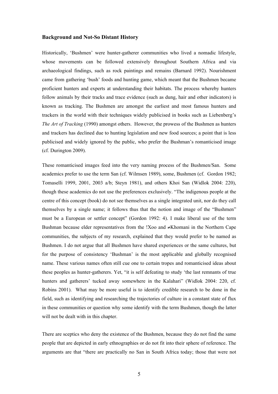#### **Background and Not-So Distant History**

Historically, 'Bushmen' were hunter-gatherer communities who lived a nomadic lifestyle, whose movements can be followed extensively throughout Southern Africa and via archaeological findings, such as rock paintings and remains (Barnard 1992). Nourishment came from gathering 'bush' foods and hunting game, which meant that the Bushmen became proficient hunters and experts at understanding their habitats. The process whereby hunters follow animals by their tracks and trace evidence (such as dung, hair and other indicators) is known as tracking. The Bushmen are amongst the earliest and most famous hunters and trackers in the world with their techniques widely publicised in books such as Liebenberg's *The Art of Tracking* (1990) amongst others. However, the prowess of the Bushmen as hunters and trackers has declined due to hunting legislation and new food sources; a point that is less publicised and widely ignored by the public, who prefer the Bushman's romanticised image (cf. Durington 2009).

These romanticised images feed into the very naming process of the Bushmen/San. Some academics prefer to use the term San (cf. Wilmsen 1989), some, Bushmen (cf. Gordon 1982; Tomaselli 1999, 2001, 2003 a/b; Steyn 1981), and others Khoi San (Widlok 2004: 220), though these academics do not use the preferences exclusively. "The indigenous people at the centre of this concept (book) do not see themselves as a single integrated unit, nor do they call themselves by a single name; it follows thus that the notion and image of the "Bushmen" must be a European or settler concept" (Gordon 1992: 4). I make liberal use of the term Bushman because elder representatives from the !Xoo and ≠Khomani in the Northern Cape communities, the subjects of my research, explained that they would prefer to be named as Bushmen. I do not argue that all Bushmen have shared experiences or the same cultures, but for the purpose of consistency 'Bushman' is the most applicable and globally recognised name. These various names often still cue one to certain tropes and romanticised ideas about these peoples as hunter-gatherers. Yet, "it is self defeating to study 'the last remnants of true hunters and gatherers' tucked away somewhere in the Kalahari" (Widlok 2004: 220, cf. Robins 2001). What may be more useful is to identify credible research to be done in the field, such as identifying and researching the trajectories of culture in a constant state of flux in these communities or question why some identify with the term Bushmen, though the latter will not be dealt with in this chapter.

There are sceptics who deny the existence of the Bushmen, because they do not find the same people that are depicted in early ethnographies or do not fit into their sphere of reference. The arguments are that "there are practically no San in South Africa today; those that were not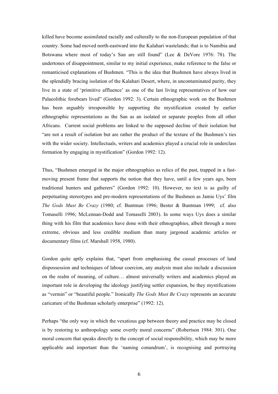killed have become assimilated racially and culturally to the non-European population of that country. Some had moved north-eastward into the Kalahari wastelands; that is to Namibia and Botswana where most of today's San are still found" (Lee & DeVore 1976: 78). The undertones of disappointment, similar to my initial experience, make reference to the false or romanticised explanations of Bushmen. "This is the idea that Bushmen have always lived in the splendidly bracing isolation of the Kalahari Desert, where, in uncontaminated purity, they live in a state of 'primitive affluence' as one of the last living representatives of how our Palaeolithic forebears lived" (Gordon 1992: 3). Certain ethnographic work on the Bushmen has been arguably irresponsible by supporting the mystification created by earlier ethnographic representations as the San as an isolated or separate peoples from all other Africans. Current social problems are linked to the supposed decline of their isolation but "are not a result of isolation but are rather the product of the texture of the Bushmen's ties with the wider society. Intellectuals, writers and academics played a crucial role in underclass formation by engaging in mystification" (Gordon 1992: 12).

Thus, "Bushmen emerged in the major ethnographies as relics of the past, trapped in a fastmoving present frame that supports the notion that they have, until a few years ago, been traditional hunters and gatherers" (Gordon 1992: 10). However, no text is as guilty of perpetuating stereotypes and pre-modern representations of the Bushmen as Jamie Uys' film *The Gods Must Be Crazy* (1980; cf. Buntman 1996; Bester & Buntman 1999; cf. also Tomaselli 1996; McLennan-Dodd and Tomaselli 2003). In some ways Uys does a similar thing with his film that academics have done with their ethnographies, albeit through a more extreme, obvious and less credible medium than many jargoned academic articles or documentary films (cf. Marshall 1958, 1980).

Gordon quite aptly explains that, "apart from emphasising the casual processes of land dispossession and techniques of labour coercion, any analysis must also include a discussion on the realm of meaning, of culture… almost universally writers and academics played an important role in developing the ideology justifying settler expansion, be they mystifications as "vermin" or "beautiful people." Ironically *The Gods Must Be Crazy* represents an accurate caricature of the Bushman scholarly enterprise" (1992: 12).

Perhaps "the only way in which the vexatious gap between theory and practice may be closed is by restoring to anthropology some overtly moral concerns" (Robertson 1984: 301). One moral concern that speaks directly to the concept of social responsibility, which may be more applicable and important than the 'naming conundrum', is recognising and portraying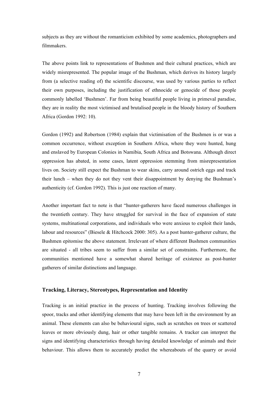subjects as they are without the romanticism exhibited by some academics, photographers and filmmakers.

The above points link to representations of Bushmen and their cultural practices, which are widely misrepresented. The popular image of the Bushman, which derives its history largely from (a selective reading of) the scientific discourse, was used by various parties to reflect their own purposes, including the justification of ethnocide or genocide of those people commonly labelled 'Bushmen'. Far from being beautiful people living in primeval paradise, they are in reality the most victimised and brutalised people in the bloody history of Southern Africa (Gordon 1992: 10).

Gordon (1992) and Robertson (1984) explain that victimisation of the Bushmen is or was a common occurrence, without exception in Southern Africa, where they were hunted, hung and enslaved by European Colonies in Namibia, South Africa and Botswana. Although direct oppression has abated, in some cases, latent oppression stemming from misrepresentation lives on. Society still expect the Bushman to wear skins, carry around ostrich eggs and track their lunch – when they do not they vent their disappointment by denying the Bushman's authenticity (cf. Gordon 1992). This is just one reaction of many.

Another important fact to note is that "hunter-gatherers have faced numerous challenges in the twentieth century. They have struggled for survival in the face of expansion of state systems, multinational corporations, and individuals who were anxious to exploit their lands, labour and resources" (Biesele & Hitchcock 2000: 305). As a post hunter-gatherer culture, the Bushmen epitomise the above statement. Irrelevant of where different Bushmen communities are situated - all tribes seem to suffer from a similar set of constraints. Furthermore, the communities mentioned have a somewhat shared heritage of existence as post-hunter gatherers of similar distinctions and language.

#### **Tracking, Literacy, Stereotypes, Representation and Identity**

Tracking is an initial practice in the process of hunting. Tracking involves following the spoor, tracks and other identifying elements that may have been left in the environment by an animal. These elements can also be behavioural signs, such as scratches on trees or scattered leaves or more obviously dung, hair or other tangible remains. A tracker can interpret the signs and identifying characteristics through having detailed knowledge of animals and their behaviour. This allows them to accurately predict the whereabouts of the quarry or avoid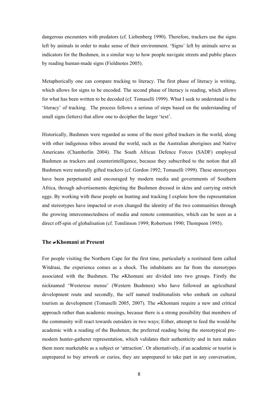dangerous encounters with predators (cf. Liebenberg 1990). Therefore, trackers use the signs left by animals in order to make sense of their environment. 'Signs' left by animals serve as indicators for the Bushmen, in a similar way to how people navigate streets and public places by reading human-made signs (Fieldnotes 2005).

Metaphorically one can compare tracking to literacy. The first phase of literacy is writing, which allows for signs to be encoded. The second phase of literacy is reading, which allows for what has been written to be decoded (cf. Tomaselli 1999). What I seek to understand is the 'literacy' of tracking. The process follows a serious of steps based on the understanding of small signs (letters) that allow one to decipher the larger 'text'.

Historically, Bushmen were regarded as some of the most gifted trackers in the world, along with other indigenous tribes around the world, such as the Australian aborigines and Native Americans (Chamberlin 2004). The South African Defence Forces (SADF) employed Bushmen as trackers and counterintelligence, because they subscribed to the notion that all Bushmen were naturally gifted trackers (cf. Gordon 1992; Tomaselli 1999). These stereotypes have been perpetuated and encouraged by modern media and governments of Southern Africa, through advertisements depicting the Bushmen dressed in skins and carrying ostrich eggs. By working with these people on hunting and tracking I explore how the representation and stereotypes have impacted or even changed the identity of the two communities through the growing interconnectedness of media and remote communities, which can be seen as a direct off-spin of globalisation (cf. Tomlinson 1999; Robertson 1990; Thompson 1995).

#### **The** ≠**Khomani at Present**

For people visiting the Northern Cape for the first time, particularly a restituted farm called Witdraai, the experience comes as a shock. The inhabitants are far from the stereotypes associated with the Bushmen. The ≠Khomani are divided into two groups. Firstly the nicknamed 'Westerese mense' (Western Bushmen) who have followed an agricultural development route and secondly, the self named traditionalists who embark on cultural tourism as development (Tomaselli 2005, 2007). The ≠Khomani require a new and critical approach rather than academic musings, because there is a strong possibility that members of the community will react towards outsiders in two ways; Either, attempt to feed the would-be academic with a reading of the Bushmen; the preferred reading being the stereotypical premodern hunter-gatherer representation, which validates their authenticity and in turn makes them more marketable as a subject or 'attraction'. Or alternatively, if an academic or tourist is unprepared to buy artwork or curios, they are unprepared to take part in any conversation,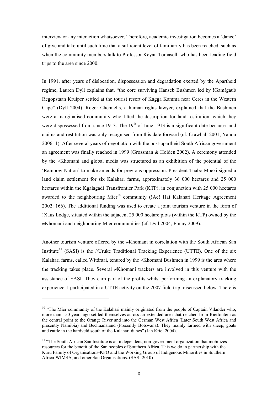interview or any interaction whatsoever. Therefore, academic investigation becomes a 'dance' of give and take until such time that a sufficient level of familiarity has been reached, such as when the community members talk to Professor Keyan Tomaselli who has been leading field trips to the area since 2000.

In 1991, after years of dislocation, dispossession and degradation exerted by the Apartheid regime, Lauren Dyll explains that, "the core surviving Hanseb Bushmen led by !Gam!gaub Regopstaan Kruiper settled at the tourist resort of Kagga Kamma near Ceres in the Western Cape" (Dyll 2004). Roger Chennells, a human rights lawyer, explained that the Bushmen were a marginalised community who fitted the description for land restitution, which they were dispossessed from since 1913. The  $19<sup>th</sup>$  of June 1913 is a significant date because land claims and restitution was only recognised from this date forward (cf. Crawhall 2001; Yanou 2006: 1). After several years of negotiation with the post-apartheid South African government an agreement was finally reached in 1999 (Grossman & Holden 2002). A ceremony attended by the ≠Khomani and global media was structured as an exhibition of the potential of the 'Rainbow Nation' to make amends for previous oppression. President Thabo Mbeki signed a land claim settlement for six Kalahari farms, approximately 36 000 hectares and 25 000 hectares within the Kgalagadi Transfrontier Park (KTP), in conjunction with 25 000 hectares awarded to the neighbouring Mier<sup>10</sup> community (!Ae! Hai Kalahari Heritage Agreement 2002: 166). The additional funding was used to create a joint tourism venture in the form of !Xaus Lodge, situated within the adjacent 25 000 hectare plots (within the KTP) owned by the ≠Khomani and neighbouring Mier communities (cf. Dyll 2004; Finlay 2009).

Another tourism venture offered by the ≠Khomani in correlation with the South African San Institute<sup>11</sup> (SASI) is the //Uruke Traditional Tracking Experience (UTTE). One of the six Kalahari farms, called Witdraai, tenured by the ≠Khomani Bushmen in 1999 is the area where the tracking takes place. Several ≠Khomani trackers are involved in this venture with the assistance of SASI. They earn part of the profits whilst performing an explanatory tracking experience. I participated in a UTTE activity on the 2007 field trip, discussed below. There is

 $\overline{a}$ 

<sup>&</sup>lt;sup>10</sup> "The Mier community of the Kalahari mainly originated from the people of Captain Vilander who, more than 150 years ago settled themselves across an extended area that reached from Rietfontein as the central point to the Orange River and into the German West Africa (Later South West Africa and presently Namibia) and Bechuanaland (Presently Botswana). They mainly farmed with sheep, goats and cattle in the hardveld south of the Kalahari dunes" (Jan Kriel 2004).

<sup>&</sup>lt;sup>11</sup> "The South African San Institute is an independent, non-government organization that mobilizes resources for the benefit of the San peoples of Southern Africa. This we do in partnership with the Kuru Family of Organisations-KFO and the Working Group of Indigenous Minorities in Southern Africa-WIMSA, and other San Organisations. (SASI 2010)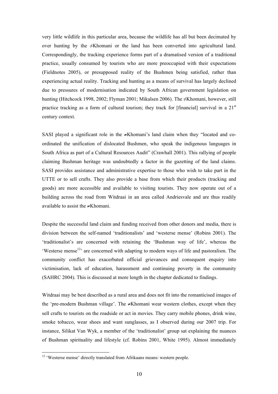very little wildlife in this particular area, because the wildlife has all but been decimated by over hunting by the ≠Khomani or the land has been converted into agricultural land. Correspondingly, the tracking experience forms part of a dramatised version of a traditional practice, usually consumed by tourists who are more preoccupied with their expectations (Fieldnotes 2005), or presupposed reality of the Bushmen being satisfied, rather than experiencing actual reality. Tracking and hunting as a means of survival has largely declined due to pressures of modernisation indicated by South African government legislation on hunting (Hitchcock 1998, 2002; Flyman 2001; Mikalsen 2006). The ≠Khomani, however, still practice tracking as a form of cultural tourism; they track for [financial] survival in a 21<sup>st</sup> century context.

SASI played a significant role in the ≠Khomani's land claim when they "located and coordinated the unification of dislocated Bushmen, who speak the indigenous languages in South Africa as part of a Cultural Resources Audit" (Crawhall 2001). This rallying of people claiming Bushman heritage was undoubtedly a factor in the gazetting of the land claims. SASI provides assistance and administrative expertise to those who wish to take part in the UTTE or to sell crafts. They also provide a base from which their products (tracking and goods) are more accessible and available to visiting tourists. They now operate out of a building across the road from Witdraai in an area called Andriesvale and are thus readily available to assist the ≠Khomani.

Despite the successful land claim and funding received from other donors and media, there is division between the self-named 'traditionalists' and 'westerse mense' (Robins 2001). The 'traditionalist's are concerned with retaining the 'Bushman way of life', whereas the 'Westerse mense $12$ ' are concerned with adapting to modern ways of life and pastoralism. The community conflict has exacerbated official grievances and consequent enquiry into victimisation, lack of education, harassment and continuing poverty in the community (SAHRC 2004). This is discussed at more length in the chapter dedicated to findings.

Witdraai may be best described as a rural area and does not fit into the romanticised images of the 'pre-modern Bushman village'. The ≠Khomani wear western clothes, except when they sell crafts to tourists on the roadside or act in movies. They carry mobile phones, drink wine, smoke tobacco, wear shoes and want sunglasses, as I observed during our 2007 trip. For instance, Silikat Van Wyk, a member of the 'traditionalist' group sat explaining the nuances of Bushman spirituality and lifestyle (cf. Robins 2001, White 1995). Almost immediately

<sup>&</sup>lt;sup>12</sup> 'Westerse mense' directly translated from Afrikaans means: western people.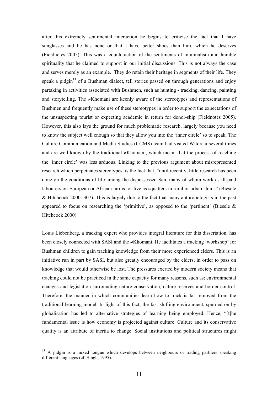after this extremely sentimental interaction he begins to criticise the fact that I have sunglasses and he has none or that I have better shoes than him, which he deserves (Fieldnotes 2005). This was a counteraction of the sentiments of minimalism and humble spirituality that he claimed to support in our initial discussions. This is not always the case and serves merely as an example. They do retain their heritage in segments of their life. They speak a pidgin<sup>13</sup> of a Bushman dialect, tell stories passed on through generations and enjoy partaking in activities associated with Bushmen, such as hunting - tracking, dancing, painting and storytelling. The ≠Khomani are keenly aware of the stereotypes and representations of Bushmen and frequently make use of these stereotypes in order to support the expectations of the unsuspecting tourist or expecting academic in return for donor-ship (Fieldnotes 2005). However, this also lays the ground for much problematic research, largely because you need to know the subject well enough so that they allow you into the 'inner circle' so to speak. The Culture Communication and Media Studies (CCMS) team had visited Witdraai several times and are well known by the traditional ≠Khomani, which meant that the process of reaching the 'inner circle' was less arduous. Linking to the previous argument about misrepresented research which perpetuates stereotypes, is the fact that, "until recently, little research has been done on the conditions of life among the dispossessed San, many of whom work as ill-paid labourers on European or African farms, or live as squatters in rural or urban slums" (Biesele & Hitchcock 2000: 307). This is largely due to the fact that many anthropologists in the past appeared to focus on researching the 'primitive', as opposed to the 'pertinent' (Biesele  $\&$ Hitchcock 2000).

Louis Liebenberg, a tracking expert who provides integral literature for this dissertation, has been closely connected with SASI and the ≠Khomani. He facilitates a tracking 'workshop' for Bushman children to gain tracking knowledge from their more experienced elders. This is an initiative run in part by SASI, but also greatly encouraged by the elders, in order to pass on knowledge that would otherwise be lost. The pressures exerted by modern society means that tracking could not be practiced in the same capacity for many reasons, such as; environmental changes and legislation surrounding nature conservation, nature reserves and border control. Therefore, the manner in which communities learn how to track is far removed from the traditional learning model. In light of this fact, the fast shifting environment, spurned on by globalisation has led to alternative strategies of learning being employed. Hence, "[t]he fundamental issue is how economy is projected against culture. Culture and its conservative quality is an attribute of inertia to change. Social institutions and political structures might

<sup>&</sup>lt;sup>13</sup> A pidgin is a mixed tongue which develops between neighbours or trading partners speaking different languages (cf. Singh, 1995).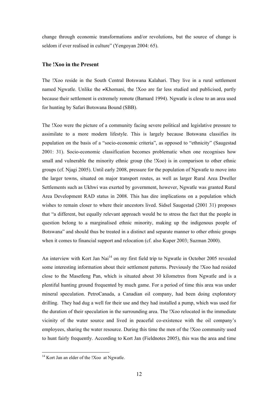change through economic transformations and/or revolutions, but the source of change is seldom if ever realised in culture" (Yengoyan 2004: 65).

### **The !Xoo in the Present**

The !Xoo reside in the South Central Botswana Kalahari. They live in a rural settlement named Ngwatle. Unlike the ≠Khomani, the !Xoo are far less studied and publicised, partly because their settlement is extremely remote (Barnard 1994). Ngwatle is close to an area used for hunting by Safari Botswana Bound (SBB).

The !Xoo were the picture of a community facing severe political and legislative pressure to assimilate to a more modern lifestyle. This is largely because Botswana classifies its population on the basis of a "socio-economic criteria", as opposed to "ethnicity" (Saugestad 2001: 31). Socio-economic classification becomes problematic when one recognises how small and vulnerable the minority ethnic group (the !Xoo) is in comparison to other ethnic groups (cf. Njagi 2005). Until early 2008, pressure for the population of Ngwatle to move into the larger towns, situated on major transport routes, as well as larger Rural Area Dweller Settlements such as Ukhwi was exerted by government, however, Ngwatle was granted Rural Area Development RAD status in 2008. This has dire implications on a population which wishes to remain closer to where their ancestors lived. Sidsel Saugestad (2001 31) proposes that "a different, but equally relevant approach would be to stress the fact that the people in question belong to a marginalised ethnic minority, making up the indigenous people of Botswana" and should thus be treated in a distinct and separate manner to other ethnic groups when it comes to financial support and relocation (cf. also Kuper 2003; Suzman 2000).

An interview with Kort Jan Nai<sup>14</sup> on my first field trip to Ngwatle in October 2005 revealed some interesting information about their settlement patterns. Previously the !Xoo had resided close to the Masetleng Pan, which is situated about 30 kilometres from Ngwatle and is a plentiful hunting ground frequented by much game. For a period of time this area was under mineral speculation. PetroCanada, a Canadian oil company, had been doing exploratory drilling. They had dug a well for their use and they had installed a pump, which was used for the duration of their speculation in the surrounding area. The !Xoo relocated in the immediate vicinity of the water source and lived in peaceful co-existence with the oil company's employees, sharing the water resource. During this time the men of the !Xoo community used to hunt fairly frequently. According to Kort Jan (Fieldnotes 2005), this was the area and time

<sup>&</sup>lt;sup>14</sup> Kort Jan an elder of the !Xoo at Ngwatle.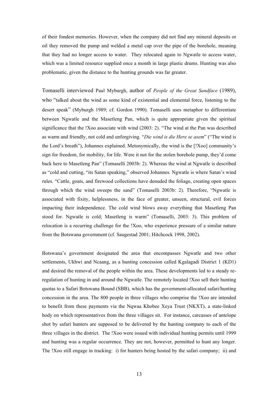of their fondest memories. However, when the company did not find any mineral deposits or oil they removed the pump and welded a metal cap over the pipe of the borehole, meaning that they had no longer access to water. They relocated again to Ngwatle to access water, which was a limited resource supplied once a month in large plastic drums. Hunting was also problematic, given the distance to the hunting grounds was far greater.

Tomaselli interviewed Paul Myburgh, author of *People of the Great Sandface* (1989), who "talked about the wind as some kind of existential and elemental force, listening to the desert speak" (Myburgh 1989; cf. Gordon 1990). Tomaselli uses metaphor to differentiate between Ngwatle and the Masetleng Pan, which is quite appropriate given the spiritual significance that the !Xoo associate with wind (2003: 2). "The wind at the Pan was described as warm and friendly, not cold and unforgiving. "*Die wind is die Here se asem*" ("The wind is the Lord's breath"), Johannes explained. Metonymically, the wind is the [!Xoo] community's sign for freedom, for mobility, for life. Were it not for the stolen borehole pump, they'd come back here to Masetleng Pan" (Tomaselli 2003b: 2). Whereas the wind at Ngwatle is described as "cold and cutting, "its Satan speaking," observed Johannes. Ngwatle is where Satan's wind rules. "Cattle, goats, and firewood collections have denuded the foliage, creating open spaces through which the wind sweeps the sand" (Tomaselli 2003b: 2). Therefore, "Ngwatle is associated with fixity, helplessness, in the face of greater, unseen, structural, evil forces impacting their independence. The cold wind blows away everything that Masetleng Pan stood for. Ngwatle is cold; Masetleng is warm" (Tomaselli, 2003: 3). This problem of relocation is a recurring challenge for the !Xoo, who experience pressure of a similar nature from the Botswana government (cf. Saugestad 2001; Hitchcock 1998, 2002).

Botswana's government designated the area that encompasses Ngwatle and two other settlements, Ukhwi and Ncaang, as a hunting concession called Kgalagadi District 1 (KD1) and desired the removal of the people within the area. These developments led to a steady reregulation of hunting in and around the Ngwatle. The remotely located !Xoo sell their hunting quotas to a Safari Botswana Bound (SBB), which has the government-allocated safari/hunting concession in the area. The 800 people in three villages who comprise the !Xoo are intended to benefit from these payments via the Nqwaa Khobee Xeya Trust (NKXT), a state-linked body on which representatives from the three villages sit. For instance, carcasses of antelope shot by safari hunters are supposed to be delivered by the hunting company to each of the three villages in the district. The !Xoo were issued with individual hunting permits until 1999 and hunting was a regular occurrence. They are not, however, permitted to hunt any longer. The !Xoo still engage in tracking: i) for hunters being hosted by the safari company; ii) and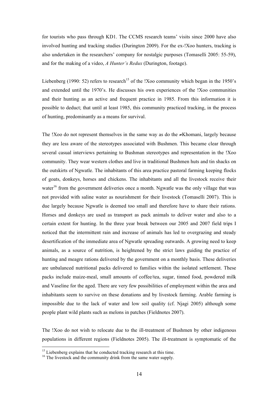for tourists who pass through KD1. The CCMS research teams' visits since 2000 have also involved hunting and tracking studies (Durington 2009). For the ex-!Xoo hunters, tracking is also undertaken in the researchers' company for nostalgic purposes (Tomaselli 2005: 55-59), and for the making of a video, *A Hunter's Redux* (Durington, footage).

Liebenberg (1990: 52) refers to research<sup>15</sup> of the !Xoo community which began in the 1950's and extended until the 1970's. He discusses his own experiences of the !Xoo communities and their hunting as an active and frequent practice in 1985. From this information it is possible to deduct; that until at least 1985, this community practiced tracking, in the process of hunting, predominantly as a means for survival.

The !Xoo do not represent themselves in the same way as do the ≠Khomani, largely because they are less aware of the stereotypes associated with Bushmen. This became clear through several casual interviews pertaining to Bushman stereotypes and representation in the !Xoo community. They wear western clothes and live in traditional Bushmen huts and tin shacks on the outskirts of Ngwatle. The inhabitants of this area practice pastoral farming keeping flocks of goats, donkeys, horses and chickens. The inhabitants and all the livestock receive their water<sup>16</sup> from the government deliveries once a month. Ngwatle was the only village that was not provided with saline water as nourishment for their livestock (Tomaselli 2007). This is due largely because Ngwatle is deemed too small and therefore have to share their rations. Horses and donkeys are used as transport as pack animals to deliver water and also to a certain extent for hunting. In the three year break between our 2005 and 2007 field trips I noticed that the intermittent rain and increase of animals has led to overgrazing and steady desertification of the immediate area of Ngwatle spreading outwards. A growing need to keep animals, as a source of nutrition, is heightened by the strict laws guiding the practice of hunting and meagre rations delivered by the government on a monthly basis. These deliveries are unbalanced nutritional packs delivered to families within the isolated settlement. These packs include maize-meal, small amounts of coffee/tea, sugar, tinned food, powdered milk and Vaseline for the aged. There are very few possibilities of employment within the area and inhabitants seem to survive on these donations and by livestock farming. Arable farming is impossible due to the lack of water and low soil quality (cf. Njagi 2005) although some people plant wild plants such as melons in patches (Fieldnotes 2007).

The !Xoo do not wish to relocate due to the ill-treatment of Bushmen by other indigenous populations in different regions (Fieldnotes 2005). The ill-treatment is symptomatic of the

<sup>&</sup>lt;sup>15</sup> Liebenberg explains that he conducted tracking research at this time.

<sup>&</sup>lt;sup>16</sup> The livestock and the community drink from the same water supply.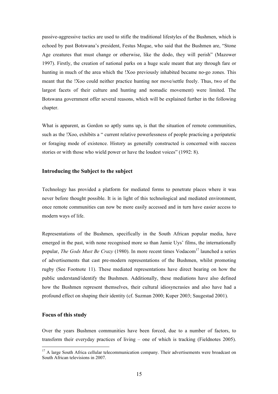passive-aggressive tactics are used to stifle the traditional lifestyles of the Bushmen, which is echoed by past Botswana's president, Festus Mogae, who said that the Bushmen are, "Stone Age creatures that must change or otherwise, like the dodo, they will perish" (Mazower 1997). Firstly, the creation of national parks on a huge scale meant that any through fare or hunting in much of the area which the !Xoo previously inhabited became no-go zones. This meant that the !Xoo could neither practice hunting nor move/settle freely. Thus, two of the largest facets of their culture and hunting and nomadic movement) were limited. The Botswana government offer several reasons, which will be explained further in the following chapter.

What is apparent, as Gordon so aptly sums up, is that the situation of remote communities, such as the !Xoo, exhibits a " current relative powerlessness of people practicing a peripatetic or foraging mode of existence. History as generally constructed is concerned with success stories or with those who wield power or have the loudest voices" (1992: 8).

#### **Introducing the Subject to the subject**

Technology has provided a platform for mediated forms to penetrate places where it was never before thought possible. It is in light of this technological and mediated environment, once remote communities can now be more easily accessed and in turn have easier access to modern ways of life.

Representations of the Bushmen, specifically in the South African popular media, have emerged in the past, with none recognised more so than Jamie Uys' films, the internationally popular, *The Gods Must Be Crazy* (1980). In more recent times Vodacom<sup>17</sup> launched a series of advertisements that cast pre-modern representations of the Bushmen, whilst promoting rugby (See Footnote 11). These mediated representations have direct bearing on how the public understand/identify the Bushmen. Additionally, these mediations have also defined how the Bushmen represent themselves, their cultural idiosyncrasies and also have had a profound effect on shaping their identity (cf. Suzman 2000; Kuper 2003; Saugestad 2001).

#### **Focus of this study**

Over the years Bushmen communities have been forced, due to a number of factors, to transform their everyday practices of living – one of which is tracking (Fieldnotes 2005).

<sup>&</sup>lt;sup>17</sup> A large South Africa cellular telecommunication company. Their advertisements were broadcast on South African televisions in 2007.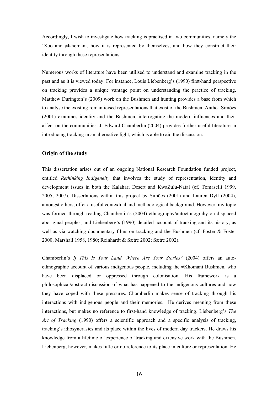Accordingly, I wish to investigate how tracking is practised in two communities, namely the !Xoo and ≠Khomani, how it is represented by themselves, and how they construct their identity through these representations.

Numerous works of literature have been utilised to understand and examine tracking in the past and as it is viewed today. For instance, Louis Liebenberg's (1990) first-hand perspective on tracking provides a unique vantage point on understanding the practice of tracking. Matthew Durington's (2009) work on the Bushmen and hunting provides a base from which to analyse the existing romanticised representations that exist of the Bushmen. Anthea Simões (2001) examines identity and the Bushmen, interrogating the modern influences and their affect on the communities. J. Edward Chamberlin (2004) provides further useful literature in introducing tracking in an alternative light, which is able to aid the discussion.

#### **Origin of the study**

This dissertation arises out of an ongoing National Research Foundation funded project, entitled *Rethinking Indigeneity* that involves the study of representation, identity and development issues in both the Kalahari Desert and KwaZulu-Natal (cf. Tomaselli 1999, 2005, 2007). Dissertations within this project by Simões (2001) and Lauren Dyll (2004), amongst others, offer a useful contextual and methodological background. However, my topic was formed through reading Chamberlin's (2004) ethnography/autoethnograhy on displaced aboriginal peoples, and Liebenberg's (1990) detailed account of tracking and its history, as well as via watching documentary films on tracking and the Bushmen (cf. Foster & Foster 2000; Marshall 1958, 1980; Reinhardt & Sætre 2002; Sætre 2002).

Chamberlin's *If This Is Your Land, Where Are Your Stories?* (2004) offers an autoethnographic account of various indigenous people, including the ≠Khomani Bushmen, who have been displaced or oppressed through colonisation. His framework is a philosophical/abstract discussion of what has happened to the indigenous cultures and how they have coped with these pressures. Chamberlin makes sense of tracking through his interactions with indigenous people and their memories. He derives meaning from these interactions, but makes no reference to first-hand knowledge of tracking. Liebenberg's *The Art of Tracking* (1990) offers a scientific approach and a specific analysis of tracking, tracking's idiosyncrasies and its place within the lives of modern day trackers. He draws his knowledge from a lifetime of experience of tracking and extensive work with the Bushmen. Liebenberg, however, makes little or no reference to its place in culture or representation. He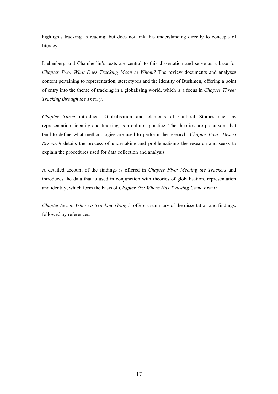highlights tracking as reading; but does not link this understanding directly to concepts of literacy.

Liebenberg and Chamberlin's texts are central to this dissertation and serve as a base for *Chapter Two: What Does Tracking Mean to Whom?* The review documents and analyses content pertaining to representation, stereotypes and the identity of Bushmen, offering a point of entry into the theme of tracking in a globalising world, which is a focus in *Chapter Three: Tracking through the Theory*.

*Chapter Three* introduces Globalisation and elements of Cultural Studies such as representation, identity and tracking as a cultural practice. The theories are precursors that tend to define what methodologies are used to perform the research. *Chapter Four: Desert Research* details the process of undertaking and problematising the research and seeks to explain the procedures used for data collection and analysis.

A detailed account of the findings is offered in *Chapter Five: Meeting the Trackers* and introduces the data that is used in conjunction with theories of globalisation, representation and identity, which form the basis of *Chapter Six: Where Has Tracking Come From?.* 

*Chapter Seven: Where is Tracking Going?* offers a summary of the dissertation and findings, followed by references.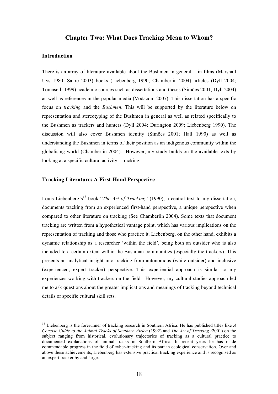# **Chapter Two: What Does Tracking Mean to Whom?**

### **Introduction**

There is an array of literature available about the Bushmen in general – in films (Marshall Uys 1980; Sætre 2003) books (Liebenberg 1990; Chamberlin 2004) articles (Dyll 2004; Tomaselli 1999) academic sources such as dissertations and theses (Simões 2001; Dyll 2004) as well as references in the popular media (Vodacom 2007). This dissertation has a specific focus on *tracking* and the *Bushmen*. This will be supported by the literature below on representation and stereotyping of the Bushmen in general as well as related specifically to the Bushmen as trackers and hunters (Dyll 2004; Durington 2009; Liebenberg 1990). The discussion will also cover Bushmen identity (Simões 2001; Hall 1990) as well as understanding the Bushmen in terms of their position as an indigenous community within the globalising world (Chamberlin 2004). However, my study builds on the available texts by looking at a specific cultural activity – tracking.

#### **Tracking Literature: A First-Hand Perspective**

Louis Liebenberg's<sup>18</sup> book "*The Art of Tracking*" (1990), a central text to my dissertation, documents tracking from an experienced first-hand perspective, a unique perspective when compared to other literature on tracking (See Chamberlin 2004). Some texts that document tracking are written from a hypothetical vantage point, which has various implications on the representation of tracking and those who practice it. Liebenberg, on the other hand, exhibits a dynamic relationship as a researcher 'within the field', being both an outsider who is also included to a certain extent within the Bushman communities (especially the trackers). This presents an analytical insight into tracking from autonomous (white outsider) and inclusive (experienced, expert tracker) perspective. This experiential approach is similar to my experiences working with trackers on the field. However, my cultural studies approach led me to ask questions about the greater implications and meanings of tracking beyond technical details or specific cultural skill sets.

 <sup>18</sup> Liebenberg is the forerunner of tracking research in Southern Africa. He has published titles like *<sup>A</sup> Concise Guide to the Animal Tracks of Southern Africa* (1992) and *The Art of Tracking (*2001) on the subject ranging from historical, evolutionary trajectories of tracking as a cultural practice to documented explanations of animal tracks in Southern Africa. In recent years he has made commendable progress in the field of cyber-tracking and its part in ecological conservation. Over and above these achievements, Liebenberg has extensive practical tracking experience and is recognised as an expert tracker by and large.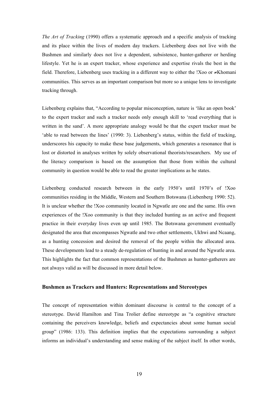*The Art of Tracking* (1990) offers a systematic approach and a specific analysis of tracking and its place within the lives of modern day trackers. Liebenberg does not live with the Bushmen and similarly does not live a dependent, subsistence, hunter-gatherer or herding lifestyle. Yet he is an expert tracker, whose experience and expertise rivals the best in the field. Therefore, Liebenberg uses tracking in a different way to either the !Xoo or ≠Khomani communities. This serves as an important comparison but more so a unique lens to investigate tracking through.

Liebenberg explains that, "According to popular misconception, nature is 'like an open book' to the expert tracker and such a tracker needs only enough skill to 'read everything that is written in the sand'. A more appropriate analogy would be that the expert tracker must be 'able to read between the lines' (1990: 3). Liebenberg's status, within the field of tracking, underscores his capacity to make these base judgements, which generates a resonance that is lost or distorted in analyses written by solely observational theorists/researchers. My use of the literacy comparison is based on the assumption that those from within the cultural community in question would be able to read the greater implications as he states.

Liebenberg conducted research between in the early 1950's until 1970's of !Xoo communities residing in the Middle, Western and Southern Botswana (Liebenberg 1990: 52). It is unclear whether the !Xoo community located in Ngwatle are one and the same. His own experiences of the !Xoo community is that they included hunting as an active and frequent practice in their everyday lives even up until 1985. The Botswana government eventually designated the area that encompasses Ngwatle and two other settlements, Ukhwi and Ncaang, as a hunting concession and desired the removal of the people within the allocated area. These developments lead to a steady de-regulation of hunting in and around the Ngwatle area. This highlights the fact that common representations of the Bushmen as hunter-gatherers are not always valid as will be discussed in more detail below.

#### **Bushmen as Trackers and Hunters: Representations and Stereotypes**

The concept of representation within dominant discourse is central to the concept of a stereotype. David Hamilton and Tina Trolier define stereotype as "a cognitive structure containing the perceivers knowledge, beliefs and expectancies about some human social group" (1986: 133). This definition implies that the expectations surrounding a subject informs an individual's understanding and sense making of the subject itself. In other words,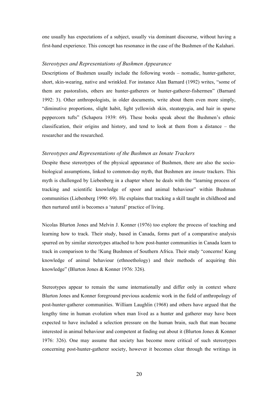one usually has expectations of a subject, usually via dominant discourse, without having a first-hand experience. This concept has resonance in the case of the Bushmen of the Kalahari.

#### *Stereotypes and Representations of Bushmen Appearance*

Descriptions of Bushmen usually include the following words – nomadic, hunter-gatherer, short, skin-wearing, native and wrinkled. For instance Alan Barnard (1992) writes, "some of them are pastoralists, others are hunter-gatherers or hunter-gatherer-fishermen" (Barnard 1992: 3). Other anthropologists, in older documents, write about them even more simply, "diminutive proportions, slight habit, light yellowish skin, steatopygia, and hair in sparse peppercorn tufts" (Schapera 1939: 69). These books speak about the Bushmen's ethnic classification, their origins and history, and tend to look at them from a distance – the researcher and the researched.

#### *Stereotypes and Representations of the Bushmen as Innate Trackers*

Despite these stereotypes of the physical appearance of Bushmen, there are also the sociobiological assumptions, linked to common-day myth, that Bushmen are *innate* trackers. This myth is challenged by Liebenberg in a chapter where he deals with the "learning process of tracking and scientific knowledge of spoor and animal behaviour" within Bushman communities (Liebenberg 1990: 69). He explains that tracking a skill taught in childhood and then nurtured until is becomes a 'natural' practice of living.

Nicolas Blurton Jones and Melvin J. Konner (1976) too explore the process of teaching and learning how to track. Their study, based in Canada, forms part of a comparative analysis spurred on by similar stereotypes attached to how post-hunter communities in Canada learn to track in comparison to the !Kung Bushmen of Southern Africa. Their study "concerns! Kung knowledge of animal behaviour (ethnoethology) and their methods of acquiring this knowledge" (Blurton Jones & Konner 1976: 326).

Stereotypes appear to remain the same internationally and differ only in context where Blurton Jones and Konner foreground previous academic work in the field of anthropology of post-hunter-gatherer communities. William Laughlin (1968) and others have argued that the lengthy time in human evolution when man lived as a hunter and gatherer may have been expected to have included a selection pressure on the human brain, such that man became interested in animal behaviour and competent at finding out about it (Blurton Jones & Konner 1976: 326). One may assume that society has become more critical of such stereotypes concerning post-hunter-gatherer society, however it becomes clear through the writings in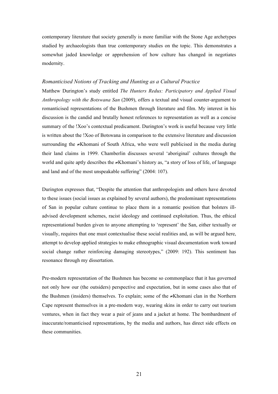contemporary literature that society generally is more familiar with the Stone Age archetypes studied by archaeologists than true contemporary studies on the topic. This demonstrates a somewhat jaded knowledge or apprehension of how culture has changed in negotiates modernity.

#### *Romanticised Notions of Tracking and Hunting as a Cultural Practice*

Matthew Durington's study entitled *The Hunters Redux: Participatory and Applied Visual Anthropology with the Botswana San* (2009), offers a textual and visual counter-argument to romanticised representations of the Bushmen through literature and film. My interest in his discussion is the candid and brutally honest references to representation as well as a concise summary of the !Xoo's contextual predicament. Durington's work is useful because very little is written about the !Xoo of Botswana in comparison to the extensive literature and discussion surrounding the ≠Khomani of South Africa, who were well publicised in the media during their land claims in 1999. Chamberlin discusses several 'aboriginal' cultures through the world and quite aptly describes the ≠Khomani's history as, "a story of loss of life, of language and land and of the most unspeakable suffering" (2004: 107).

Durington expresses that, "Despite the attention that anthropologists and others have devoted to these issues (social issues as explained by several authors), the predominant representations of San in popular culture continue to place them in a romantic position that bolsters illadvised development schemes, racist ideology and continued exploitation. Thus, the ethical representational burden given to anyone attempting to 'represent' the San, either textually or visually, requires that one must contextualise these social realities and, as will be argued here, attempt to develop applied strategies to make ethnographic visual documentation work toward social change rather reinforcing damaging stereotypes," (2009: 192). This sentiment has resonance through my dissertation.

Pre-modern representation of the Bushmen has become so commonplace that it has governed not only how our (the outsiders) perspective and expectation, but in some cases also that of the Bushmen (insiders) themselves. To explain; some of the ≠Khomani clan in the Northern Cape represent themselves in a pre-modern way, wearing skins in order to carry out tourism ventures, when in fact they wear a pair of jeans and a jacket at home. The bombardment of inaccurate/romanticised representations, by the media and authors, has direct side effects on these communities.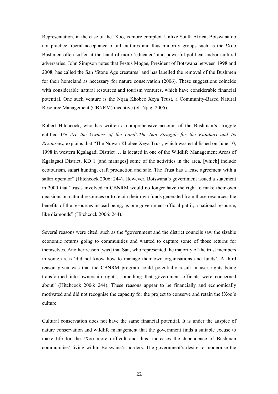Representation, in the case of the !Xoo, is more complex. Unlike South Africa, Botswana do not practice liberal acceptance of all cultures and thus minority groups such as the !Xoo Bushmen often suffer at the hand of more 'educated' and powerful political and/or cultural adversaries. John Simpson notes that Festus Mogae, President of Botswana between 1998 and 2008, has called the San 'Stone Age creatures' and has labelled the removal of the Bushmen for their homeland as necessary for nature conservation (2006). These suggestions coincide with considerable natural resources and tourism ventures, which have considerable financial potential. One such venture is the Nqaa Khobee Xeya Trust, a Community-Based Natural Resource Management (CBNRM) incentive (cf. Njagi 2005).

Robert Hitchcock, who has written a comprehensive account of the Bushman's struggle entitled *We Are the Owners of the Land':The San Struggle for the Kalahari and Its Resources*, explains that "The Nqwaa Khobee Xeya Trust, which was established on June 10, 1998 in western Kgalagadi District … is located in one of the Wildlife Management Areas of Kgalagadi District, KD 1 [and manages] some of the activities in the area, [which] include ecotourism, safari hunting, craft production and sale. The Trust has a lease agreement with a safari operator" (Hitchcock 2006: 244). However, Botswana's government issued a statement in 2000 that "trusts involved in CBNRM would no longer have the right to make their own decisions on natural resources or to retain their own funds generated from those resources, the benefits of the resources instead being, as one government official put it, a national resource, like diamonds" (Hitchcock 2006: 244).

Several reasons were cited, such as the "government and the district councils saw the sizable economic returns going to communities and wanted to capture some of those returns for themselves. Another reason [was] that San, who represented the majority of the trust members in some areas 'did not know how to manage their own organisations and funds'. A third reason given was that the CBNRM program could potentially result in user rights being transformed into ownership rights, something that government officials were concerned about" (Hitchcock 2006: 244). These reasons appear to be financially and economically motivated and did not recognise the capacity for the project to conserve and retain the !Xoo's culture.

Cultural conservation does not have the same financial potential. It is under the auspice of nature conservation and wildlife management that the government finds a suitable excuse to make life for the !Xoo more difficult and thus, increases the dependence of Bushman communities' living within Botswana's borders. The government's desire to modernise the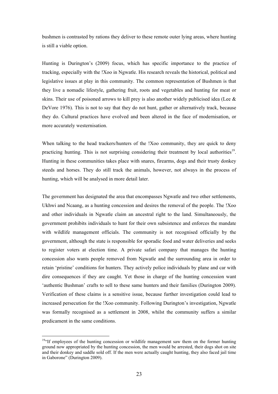bushmen is contrasted by rations they deliver to these remote outer lying areas, where hunting is still a viable option.

Hunting is Durington's (2009) focus, which has specific importance to the practice of tracking, especially with the !Xoo in Ngwatle. His research reveals the historical, political and legislative issues at play in this community. The common representation of Bushmen is that they live a nomadic lifestyle, gathering fruit, roots and vegetables and hunting for meat or skins. Their use of poisoned arrows to kill prey is also another widely publicised idea (Lee & DeVore 1976). This is not to say that they do not hunt, gather or alternatively track, because they do. Cultural practices have evolved and been altered in the face of modernisation, or more accurately westernisation.

When talking to the head trackers/hunters of the !Xoo community, they are quick to deny practicing hunting. This is not surprising considering their treatment by local authorities<sup>19</sup>. Hunting in these communities takes place with snares, firearms, dogs and their trusty donkey steeds and horses. They do still track the animals, however, not always in the process of hunting, which will be analysed in more detail later.

The government has designated the area that encompasses Ngwatle and two other settlements, Ukhwi and Ncaang, as a hunting concession and desires the removal of the people. The !Xoo and other individuals in Ngwatle claim an ancestral right to the land. Simultaneously, the government prohibits individuals to hunt for their own subsistence and enforces the mandate with wildlife management officials. The community is not recognised officially by the government, although the state is responsible for sporadic food and water deliveries and seeks to register voters at election time. A private safari company that manages the hunting concession also wants people removed from Ngwatle and the surrounding area in order to retain 'pristine' conditions for hunters. They actively police individuals by plane and car with dire consequences if they are caught. Yet those in charge of the hunting concession want 'authentic Bushman' crafts to sell to these same hunters and their families (Durington 2009). Verification of these claims is a sensitive issue, because further investigation could lead to increased persecution for the !Xoo community. Following Durington's investigation, Ngwatle was formally recognised as a settlement in 2008, whilst the community suffers a similar predicament in the same conditions.

 $19$ <sup>ct</sup> If employees of the hunting concession or wildlife management saw them on the former hunting ground now appropriated by the hunting concession, the men would be arrested, their dogs shot on site and their donkey and saddle sold off. If the men were actually caught hunting, they also faced jail time in Gaborone" (Durington 2009).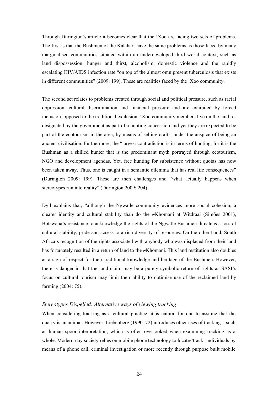Through Durington's article it becomes clear that the !Xoo are facing two sets of problems. The first is that the Bushmen of the Kalahari have the same problems as those faced by many marginalised communities situated within an underdeveloped third world context; such as land dispossession, hunger and thirst, alcoholism, domestic violence and the rapidly escalating HIV/AIDS infection rate "on top of the almost omnipresent tuberculosis that exists in different communities" (2009: 199). These are realities faced by the !Xoo community.

The second set relates to problems created through social and political pressure, such as racial oppression, cultural discrimination and financial pressure and are exhibited by forced inclusion, opposed to the traditional exclusion. !Xoo community members live on the land redesignated by the government as part of a hunting concession and yet they are expected to be part of the ecotourism in the area, by means of selling crafts, under the auspice of being an ancient civilisation. Furthermore, the "largest contradiction is in terms of hunting, for it is the Bushman as a skilled hunter that is the predominant myth portrayed through ecotourism, NGO and development agendas. Yet, free hunting for subsistence without quotas has now been taken away. Thus, one is caught in a semantic dilemma that has real life consequences" (Durington 2009: 199). These are then challenges and "what actually happens when stereotypes run into reality" (Durington 2009: 204).

Dyll explains that, "although the Ngwatle community evidences more social cohesion, a clearer identity and cultural stability than do the ≠Khomani at Witdraai (Simões 2001), Botswana's resistance to acknowledge the rights of the Ngwatle Bushmen threatens a loss of cultural stability, pride and access to a rich diversity of resources. On the other hand, South Africa's recognition of the rights associated with anybody who was displaced from their land has fortunately resulted in a return of land to the ≠Khomani. This land restitution also doubles as a sign of respect for their traditional knowledge and heritage of the Bushmen. However, there is danger in that the land claim may be a purely symbolic return of rights as SASI's focus on cultural tourism may limit their ability to optimise use of the reclaimed land by farming (2004: 75).

#### *Stereotypes Dispelled: Alternative ways of viewing tracking*

When considering tracking as a cultural practice, it is natural for one to assume that the quarry is an animal. However, Liebenberg (1990: 72) introduces other uses of tracking – such as human spoor interpretation, which is often overlooked when examining tracking as a whole. Modern-day society relies on mobile phone technology to locate/'track' individuals by means of a phone call, criminal investigation or more recently through purpose built mobile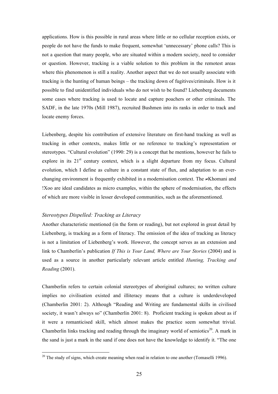applications. How is this possible in rural areas where little or no cellular reception exists, or people do not have the funds to make frequent, somewhat 'unnecessary' phone calls? This is not a question that many people, who are situated within a modern society, need to consider or question. However, tracking is a viable solution to this problem in the remotest areas where this phenomenon is still a reality. Another aspect that we do not usually associate with tracking is the hunting of human beings – the tracking down of fugitives/criminals. How is it possible to find unidentified individuals who do not wish to be found? Liebenberg documents some cases where tracking is used to locate and capture poachers or other criminals. The SADF, in the late 1970s (Mill 1987), recruited Bushmen into its ranks in order to track and locate enemy forces.

Liebenberg, despite his contribution of extensive literature on first-hand tracking as well as tracking in other contexts, makes little or no reference to tracking's representation or stereotypes. "Cultural evolution" (1990: 29) is a concept that he mentions, however he fails to explore in its  $21<sup>st</sup>$  century context, which is a slight departure from my focus. Cultural evolution, which I define as culture in a constant state of flux, and adaptation to an everchanging environment is frequently exhibited in a modernisation context. The ≠Khomani and !Xoo are ideal candidates as micro examples, within the sphere of modernisation, the effects of which are more visible in lesser developed communities, such as the aforementioned.

#### *Stereotypes Dispelled: Tracking as Literacy*

Another characteristic mentioned (in the form or reading), but not explored in great detail by Liebenberg, is tracking as a form of literacy. The omission of the idea of tracking as literacy is not a limitation of Liebenberg's work. However, the concept serves as an extension and link to Chamberlin's publication *If This is Your Land, Where are Your Stories* (2004) and is used as a source in another particularly relevant article entitled *Hunting, Tracking and Reading* (2001).

Chamberlin refers to certain colonial stereotypes of aboriginal cultures; no written culture implies no civilisation existed and illiteracy means that a culture is underdeveloped (Chamberlin 2001: 2). Although "Reading and Writing are fundamental skills in civilised society, it wasn't always so" (Chamberlin 2001: 8). Proficient tracking is spoken about as if it were a romanticised skill, which almost makes the practice seem somewhat trivial. Chamberlin links tracking and reading through the imaginary world of semiotics<sup>20</sup>. A mark in the sand is just a mark in the sand if one does not have the knowledge to identify it. "The one

 $20$  The study of signs, which create meaning when read in relation to one another (Tomaselli 1996).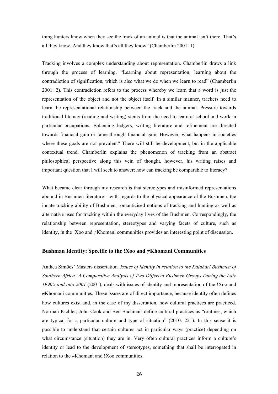thing hunters know when they see the track of an animal is that the animal isn't there. That's all they know. And they know that's all they know" (Chamberlin 2001: 1).

Tracking involves a complex understanding about representation. Chamberlin draws a link through the process of learning. "Learning about representation, learning about the contradiction of signification, which is also what we do when we learn to read" (Chamberlin 2001: 2). This contradiction refers to the process whereby we learn that a word is just the representation of the object and not the object itself. In a similar manner, trackers need to learn the representational relationship between the track and the animal. Pressure towards traditional literacy (reading and writing) stems from the need to learn at school and work in particular occupations. Balancing ledgers, writing literature and refinement are directed towards financial gain or fame through financial gain. However, what happens in societies where these goals are not prevalent? There will still be development, but in the applicable contextual trend. Chamberlin explains the phenomenon of tracking from an abstract philosophical perspective along this vein of thought, however, his writing raises and important question that I will seek to answer; how can tracking be comparable to literacy?

What became clear through my research is that stereotypes and misinformed representations abound in Bushmen literature – with regards to the physical appearance of the Bushmen, the innate tracking ability of Bushmen, romanticised notions of tracking and hunting as well as alternative uses for tracking within the everyday lives of the Bushmen. Correspondingly, the relationship between representation, stereotypes and varying facets of culture, such as identity, in the !Xoo and ≠Khomani communities provides an interesting point of discussion.

#### **Bushman Identity: Specific to the !Xoo and ≠Khomani Communities**

Anthea Simões' Masters dissertation*, Issues of identity in relation to the Kalahari Bushmen of Southern Africa: A Comparative Analysis of Two Different Bushmen Groups During the Late 1990's and into 2001* (2001), deals with issues of identity and representation of the !Xoo and ≠Khomani communities. These issues are of direct importance, because identity often defines how cultures exist and, in the case of my dissertation, how cultural practices are practiced. Norman Pachler, John Cook and Ben Bachmair define cultural practices as "routines, which are typical for a particular culture and type of situation" (2010: 221). In this sense it is possible to understand that certain cultures act in particular ways (practice) depending on what circumstance (situation) they are in. Very often cultural practices inform a culture's identity or lead to the development of stereotypes, something that shall be interrogated in relation to the ≠Khomani and !Xoo communities.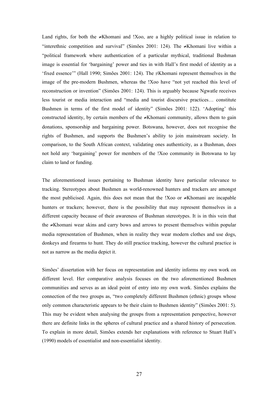Land rights, for both the ≠Khomani and !Xoo, are a highly political issue in relation to "interethnic competition and survival" (Simões 2001: 124). The ≠Khomani live within a "political framework where authentication of a particular mythical, traditional Bushman image is essential for 'bargaining' power and ties in with Hall's first model of identity as a 'fixed essence'" (Hall 1990; Simões 2001: 124). The ≠Khomani represent themselves in the image of the pre-modern Bushmen, whereas the !Xoo have "not yet reached this level of reconstruction or invention" (Simões 2001: 124). This is arguably because Ngwatle receives less tourist or media interaction and "media and tourist discursive practices… constitute Bushmen in terms of the first model of identity" (Simões 2001: 122). 'Adopting' this constructed identity, by certain members of the ≠Khomani community, allows them to gain donations, sponsorship and bargaining power. Botswana, however, does not recognise the rights of Bushmen, and supports the Bushmen's ability to join mainstream society. In comparison, to the South African context, validating ones authenticity, as a Bushman, does not hold any 'bargaining' power for members of the !Xoo community in Botswana to lay claim to land or funding.

The aforementioned issues pertaining to Bushman identity have particular relevance to tracking. Stereotypes about Bushmen as world-renowned hunters and trackers are amongst the most publicised. Again, this does not mean that the !Xoo or ≠Khomani are incapable hunters or trackers; however, there is the possibility that may represent themselves in a different capacity because of their awareness of Bushman stereotypes. It is in this vein that the ≠Khomani wear skins and carry bows and arrows to present themselves within popular media representation of Bushmen, when in reality they wear modern clothes and use dogs, donkeys and firearms to hunt. They do still practice tracking, however the cultural practice is not as narrow as the media depict it.

Simões' dissertation with her focus on representation and identity informs my own work on different level. Her comparative analysis focuses on the two aforementioned Bushmen communities and serves as an ideal point of entry into my own work. Simões explains the connection of the two groups as, "two completely different Bushmen (ethnic) groups whose only common characteristic appears to be their claim to Bushmen identity" (Simões 2001: 5). This may be evident when analysing the groups from a representation perspective, however there are definite links in the spheres of cultural practice and a shared history of persecution. To explain in more detail, Simões extends her explanations with reference to Stuart Hall's (1990) models of essentialist and non-essentialist identity.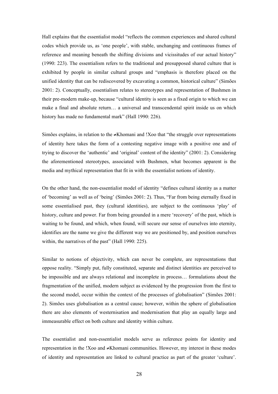Hall explains that the essentialist model "reflects the common experiences and shared cultural codes which provide us, as 'one people', with stable, unchanging and continuous frames of reference and meaning beneath the shifting divisions and vicissitudes of our actual history" (1990: 223). The essentialism refers to the traditional and presupposed shared culture that is exhibited by people in similar cultural groups and "emphasis is therefore placed on the unified identity that can be rediscovered by excavating a common, historical culture" (Simões 2001: 2). Conceptually, essentialism relates to stereotypes and representation of Bushmen in their pre-modern make-up, because "cultural identity is seen as a fixed origin to which we can make a final and absolute return… a universal and transcendental spirit inside us on which history has made no fundamental mark" (Hall 1990: 226).

Simões explains, in relation to the ≠Khomani and !Xoo that "the struggle over representations of identity here takes the form of a contesting negative image with a positive one and of trying to discover the 'authentic' and 'original' content of the identity" (2001: 2). Considering the aforementioned stereotypes, associated with Bushmen, what becomes apparent is the media and mythical representation that fit in with the essentialist notions of identity.

On the other hand, the non-essentialist model of identity "defines cultural identity as a matter of 'becoming' as well as of 'being' (Simões 2001: 2). Thus, "Far from being eternally fixed in some essentialised past, they (cultural identities), are subject to the continuous 'play' of history, culture and power. Far from being grounded in a mere 'recovery' of the past, which is waiting to be found, and which, when found, will secure our sense of ourselves into eternity, identifies are the name we give the different way we are positioned by, and position ourselves within, the narratives of the past" (Hall 1990: 225).

Similar to notions of objectivity, which can never be complete, are representations that oppose reality. "Simply put, fully constituted, separate and distinct identities are perceived to be impossible and are always relational and incomplete in process… formulations about the fragmentation of the unified, modern subject as evidenced by the progression from the first to the second model, occur within the context of the processes of globalisation" (Simões 2001: 2). Simões uses globalisation as a central cause; however, within the sphere of globalisation there are also elements of westernisation and modernisation that play an equally large and immeasurable effect on both culture and identity within culture.

The essentialist and non-essentialist models serve as reference points for identity and representation in the !Xoo and ≠Khomani communities. However, my interest in these modes of identity and representation are linked to cultural practice as part of the greater 'culture'.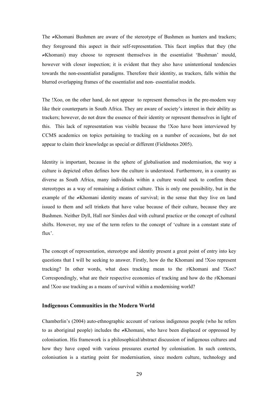The ≠Khomani Bushmen are aware of the stereotype of Bushmen as hunters and trackers; they foreground this aspect in their self-representation. This facet implies that they (the ≠Khomani) may choose to represent themselves in the essentialist 'Bushman' mould, however with closer inspection; it is evident that they also have unintentional tendencies towards the non-essentialist paradigms. Therefore their identity, as trackers, falls within the blurred overlapping frames of the essentialist and non- essentialist models.

The !Xoo, on the other hand, do not appear to represent themselves in the pre-modern way like their counterparts in South Africa. They are aware of society's interest in their ability as trackers; however, do not draw the essence of their identity or represent themselves in light of this. This lack of representation was visible because the !Xoo have been interviewed by CCMS academics on topics pertaining to tracking on a number of occasions, but do not appear to claim their knowledge as special or different (Fieldnotes 2005).

Identity is important, because in the sphere of globalisation and modernisation, the way a culture is depicted often defines how the culture is understood. Furthermore, in a country as diverse as South Africa, many individuals within a culture would seek to confirm these stereotypes as a way of remaining a distinct culture. This is only one possibility, but in the example of the ≠Khomani identity means of survival; in the sense that they live on land issued to them and sell trinkets that have value because of their culture, because they are Bushmen. Neither Dyll, Hall nor Simões deal with cultural practice or the concept of cultural shifts. However, my use of the term refers to the concept of 'culture in a constant state of flux'.

The concept of representation, stereotype and identity present a great point of entry into key questions that I will be seeking to answer. Firstly, how do the Khomani and !Xoo represent tracking? In other words, what does tracking mean to the ≠Khomani and !Xoo? Correspondingly, what are their respective economies of tracking and how do the  $\neq$ Khomani and !Xoo use tracking as a means of survival within a modernising world?

#### **Indigenous Communities in the Modern World**

Chamberlin's (2004) auto-ethnographic account of various indigenous people (who he refers to as aboriginal people) includes the ≠Khomani, who have been displaced or oppressed by colonisation. His framework is a philosophical/abstract discussion of indigenous cultures and how they have coped with various pressures exerted by colonisation. In such contexts, colonisation is a starting point for modernisation, since modern culture, technology and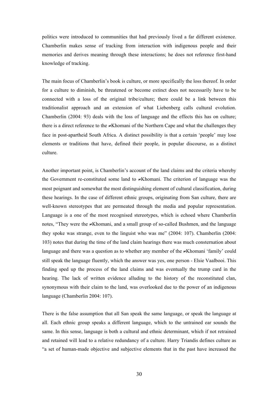politics were introduced to communities that had previously lived a far different existence. Chamberlin makes sense of tracking from interaction with indigenous people and their memories and derives meaning through these interactions; he does not reference first-hand knowledge of tracking.

The main focus of Chamberlin's book is culture, or more specifically the loss thereof. In order for a culture to diminish, be threatened or become extinct does not necessarily have to be connected with a loss of the original tribe/culture; there could be a link between this traditionalist approach and an extension of what Liebenberg calls cultural evolution. Chamberlin (2004: 93) deals with the loss of language and the effects this has on culture; there is a direct reference to the  $\neq$ Khomani of the Northern Cape and what the challenges they face in post-apartheid South Africa. A distinct possibility is that a certain 'people' may lose elements or traditions that have, defined their people, in popular discourse, as a distinct culture.

Another important point, is Chamberlin's account of the land claims and the criteria whereby the Government re-constituted some land to ≠Khomani. The criterion of language was the most poignant and somewhat the most distinguishing element of cultural classification, during these hearings. In the case of different ethnic groups, originating from San culture, there are well-known stereotypes that are permeated through the media and popular representation. Language is a one of the most recognised stereotypes, which is echoed where Chamberlin notes, "They were the ≠Khomani, and a small group of so-called Bushmen, and the language they spoke was strange, even to the linguist who was me" (2004: 107). Chamberlin (2004: 103) notes that during the time of the land claim hearings there was much consternation about language and there was a question as to whether any member of the ≠Khomani 'family' could still speak the language fluently, which the answer was yes, one person - Elsie Vaalbooi. This finding sped up the process of the land claims and was eventually the trump card in the hearing. The lack of written evidence alluding to the history of the reconstituted clan, synonymous with their claim to the land, was overlooked due to the power of an indigenous language (Chamberlin 2004: 107).

There is the false assumption that all San speak the same language, or speak the language at all. Each ethnic group speaks a different language, which to the untrained ear sounds the same. In this sense, language is both a cultural and ethnic determinant, which if not retrained and retained will lead to a relative redundancy of a culture. Harry Triandis defines culture as "a set of human-made objective and subjective elements that in the past have increased the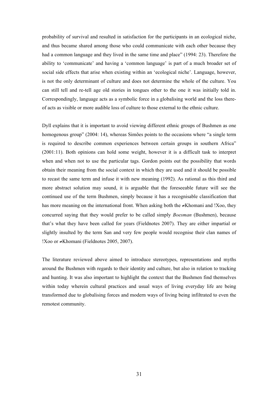probability of survival and resulted in satisfaction for the participants in an ecological niche, and thus became shared among those who could communicate with each other because they had a common language and they lived in the same time and place" (1994: 23). Therefore the ability to 'communicate' and having a 'common language' is part of a much broader set of social side effects that arise when existing within an 'ecological niche'. Language, however, is not the only determinant of culture and does not determine the whole of the culture. You can still tell and re-tell age old stories in tongues other to the one it was initially told in. Correspondingly, language acts as a symbolic force in a globalising world and the loss thereof acts as visible or more audible loss of culture to those external to the ethnic culture.

Dyll explains that it is important to avoid viewing different ethnic groups of Bushmen as one homogenous group" (2004: 14), whereas Simões points to the occasions where "a single term is required to describe common experiences between certain groups in southern Africa" (2001:11). Both opinions can hold some weight, however it is a difficult task to interpret when and when not to use the particular tags. Gordon points out the possibility that words obtain their meaning from the social context in which they are used and it should be possible to recast the same term and infuse it with new meaning (1992). As rational as this third and more abstract solution may sound, it is arguable that the foreseeable future will see the continued use of the term Bushmen, simply because it has a recognisable classification that has more meaning on the international front. When asking both the ≠Khomani and !Xoo, they concurred saying that they would prefer to be called simply *Boesman* (Bushmen), because that's what they have been called for years (Fieldnotes 2007). They are either impartial or slightly insulted by the term San and very few people would recognise their clan names of !Xoo or ≠Khomani (Fieldnotes 2005, 2007).

The literature reviewed above aimed to introduce stereotypes, representations and myths around the Bushmen with regards to their identity and culture, but also in relation to tracking and hunting. It was also important to highlight the context that the Bushmen find themselves within today wherein cultural practices and usual ways of living everyday life are being transformed due to globalising forces and modern ways of living being infiltrated to even the remotest community.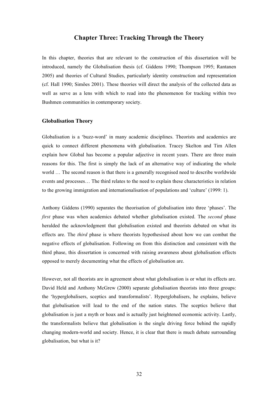# **Chapter Three: Tracking Through the Theory**

In this chapter, theories that are relevant to the construction of this dissertation will be introduced, namely the Globalisation thesis (cf. Giddens 1990; Thompson 1995; Rantanen 2005) and theories of Cultural Studies, particularly identity construction and representation (cf. Hall 1990; Simões 2001). These theories will direct the analysis of the collected data as well as serve as a lens with which to read into the phenomenon for tracking within two Bushmen communities in contemporary society.

#### **Globalisation Theory**

Globalisation is a 'buzz-word' in many academic disciplines. Theorists and academics are quick to connect different phenomena with globalisation. Tracey Skelton and Tim Allen explain how Global has become a popular adjective in recent years. There are three main reasons for this. The first is simply the lack of an alternative way of indicating the whole world ... The second reason is that there is a generally recognised need to describe worldwide events and processes… The third relates to the need to explain these characteristics in relation to the growing immigration and internationalisation of populations and 'culture' (1999: 1).

Anthony Giddens (1990) separates the theorisation of globalisation into three 'phases'. The *first* phase was when academics debated whether globalisation existed. The *second* phase heralded the acknowledgment that globalisation existed and theorists debated on what its effects are. The *third* phase is where theorists hypothesised about how we can combat the negative effects of globalisation. Following on from this distinction and consistent with the third phase, this dissertation is concerned with raising awareness about globalisation effects opposed to merely documenting what the effects of globalisation are.

However, not all theorists are in agreement about what globalisation is or what its effects are. David Held and Anthony McGrew (2000) separate globalisation theorists into three groups: the 'hyperglobalisers, sceptics and transformalists'. Hyperglobalisers, he explains, believe that globalisation will lead to the end of the nation states. The sceptics believe that globalisation is just a myth or hoax and is actually just heightened economic activity. Lastly, the transformalists believe that globalisation is the single driving force behind the rapidly changing modern-world and society. Hence, it is clear that there is much debate surrounding globalisation, but what is it?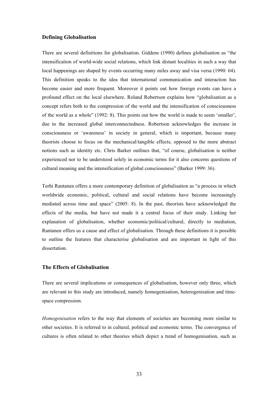## **Defining Globalisation**

There are several definitions for globalisation. Giddens (1990) defines globalisation as "the intensification of world-wide social relations, which link distant localities in such a way that local happenings are shaped by events occurring many miles away and visa versa (1990: 64). This definition speaks to the idea that international communication and interaction has become easier and more frequent. Moreover it points out how foreign events can have a profound effect on the local elsewhere. Roland Robertson explains how "globalisation as a concept refers both to the compression of the world and the intensification of consciousness of the world as a whole" (1992: 8). This points out how the world is made to seem 'smaller', due to the increased global interconnectedness. Robertson acknowledges the increase in consciousness or 'awareness' in society in general, which is important, because many theorists choose to focus on the mechanical/tangible effects; opposed to the more abstract notions such as identity etc. Chris Barker outlines that, "of course, globalisation is neither experienced nor to be understood solely in economic terms for it also concerns questions of cultural meaning and the intensification of global consciousness" (Barker 1999: 36).

Terhi Rantanen offers a more contemporary definition of globalisation as "a process in which worldwide economic, political, cultural and social relations have become increasingly mediated across time and space" (2005: 8). In the past, theorists have acknowledged the effects of the media, but have not made it a central focus of their study. Linking her explanation of globalisation, whether economic/political/cultural, directly to mediation, Rantanen offers us a cause and effect of globalisation. Through these definitions it is possible to outline the features that characterise globalisation and are important in light of this dissertation.

### **The Effects of Globalisation**

There are several implications or consequences of globalisation, however only three, which are relevant to this study are introduced, namely homogenisation, heterogenisation and timespace compression.

*Homogenisation* refers to the way that elements of societies are becoming more similar to other societies. It is referred to in cultural, political and economic terms. The convergence of cultures is often related to other theories which depict a trend of homogenisation, such as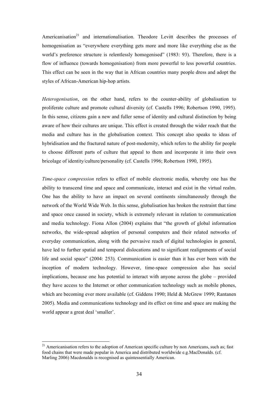Americanisation<sup>21</sup> and internationalisation. Theodore Levitt describes the processes of homogenisation as "everywhere everything gets more and more like everything else as the world's preference structure is relentlessly homogenised" (1983: 93). Therefore, there is a flow of influence (towards homogenisation) from more powerful to less powerful countries. This effect can be seen in the way that in African countries many people dress and adopt the styles of African-American hip-hop artists.

*Heterogenisation*, on the other hand, refers to the counter-ability of globalisation to proliferate culture and promote cultural diversity (cf. Castells 1996; Robertson 1990, 1995). In this sense, citizens gain a new and fuller sense of identity and cultural distinction by being aware of how their cultures are unique. This effect is created through the wider reach that the media and culture has in the globalisation context. This concept also speaks to ideas of hybridisation and the fractured nature of post-modernity, which refers to the ability for people to choose different parts of culture that appeal to them and incorporate it into their own bricolage of identity/culture/personality (cf. Castells 1996; Robertson 1990, 1995).

*Time-space compression* refers to effect of mobile electronic media, whereby one has the ability to transcend time and space and communicate, interact and exist in the virtual realm. One has the ability to have an impact on several continents simultaneously through the network of the World Wide Web. In this sense, globalisation has broken the restraint that time and space once caused in society, which is extremely relevant in relation to communication and media technology. Fiona Allon (2004) explains that "the growth of global information networks, the wide-spread adoption of personal computers and their related networks of everyday communication, along with the pervasive reach of digital technologies in general, have led to further spatial and temporal dislocations and to significant realignments of social life and social space" (2004: 253). Communication is easier than it has ever been with the inception of modern technology. However, time-space compression also has social implications, because one has potential to interact with anyone across the globe – provided they have access to the Internet or other communication technology such as mobile phones, which are becoming ever more available (cf. Giddens 1990; Held & McGrew 1999; Rantanen 2005). Media and communications technology and its effect on time and space are making the world appear a great deal 'smaller'.

 $21$  Americanisation refers to the adoption of American specific culture by non Americans, such as; fast food chains that were made popular in America and distributed worldwide e.g.MacDonalds. (cf. Marling 2006) Macdonalds is recognised as quintessentially American.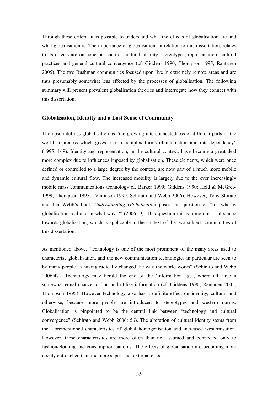Through these criteria it is possible to understand what the effects of globalisation are and what globalisation is. The importance of globalisation, in relation to this dissertation, relates to its effects are on concepts such as cultural identity, stereotypes, representation, cultural practices and general cultural convergence (cf. Giddens 1990; Thompson 1995; Rantanen 2005). The two Bushman communities focused upon live in extremely remote areas and are thus presumably somewhat less affected by the processes of globalisation. The following summary will present prevalent globalisation theories and interrogate how they connect with this dissertation.

#### **Globalisation, Identity and a Lost Sense of Community**

Thompson defines globalisation as "the growing interconnectedness of different parts of the world, a process which gives rise to complex forms of interaction and interdependency" (1995: 149). Identity and representation, in the cultural context, have become a great deal more complex due to influences imposed by globalisation. These elements, which were once defined or controlled to a large degree by the context, are now part of a much more mobile and dynamic cultural flow. The increased mobility is largely due to the ever increasingly mobile mass communications technology cf. Barker 1999; Giddens 1990; Held & McGrew 1999; Thompson 1995; Tomlinson 1999; Schirato and Webb 2006). However, Tony Shirato and Jen Webb's book *Understanding Globalisation* poses the question of "for who is globalisation real and in what ways?" (2006: 9). This question raises a more critical stance towards globalisation, which is applicable in the context of the two subject communities of this dissertation.

As mentioned above, "technology is one of the most prominent of the many areas used to characterise globalisation, and the new communication technologies in particular are seen to by many people as having radically changed the way the world works" (Schirato and Webb 2006:47). Technology may herald the end of the 'information age', where all have a somewhat equal chance to find and utilise information (cf. Giddens 1990; Rantanen 2005; Thompson 1995). However technology also has a definite effect on identity, cultural and otherwise, because more people are introduced to stereotypes and western norms. Globalisation is pinpointed to be the central link between "technology and cultural convergence" (Schirato and Webb 2006: 56). The alteration of cultural identity stems from the aforementioned characteristics of global homogenisation and increased westernisation. However, these characteristics are more often than not assumed and connected only to fashion/clothing and consumption patterns. The effects of globalisation are becoming more deeply entrenched than the mere superficial external effects.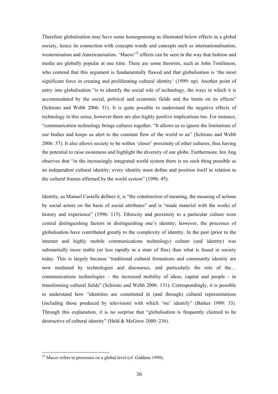Therefore globalisation may have some homogenising as illustrated below effects in a global society, hence its connection with concepts words and concepts such as internationalisation, westernisation and Americanisation. 'Macro'<sup>22</sup> effects can be seen in the way that fashion and media are globally popular at one time. There are some theorists, such as John Tomlinson, who contend that this argument is fundamentally flawed and that globalisation is 'the most significant force in creating and proliferating cultural identity' (1999: np). Another point of entry into globalisation "is to identify the social role of technology, the ways in which it is accommodated by the social, political and economic fields and the limits on its effects" (Schirato and Webb 2006: 51). It is quite possible to understand the negative effects of technology in this sense, however there are also highly positive implications too. For instance, "communication technology brings cultures together. "It allows us to ignore the limitations of our bodies and keeps us alert to the constant flow of the world to us" (Schirato and Webb 2006: 57). It also allows society to be within 'closer' proximity of other cultures, thus having the potential to raise awareness and highlight the diversity of our globe. Furthermore, Ien Ang observes that "in the increasingly integrated world system there is no such thing possible as an independent cultural identity; every identity must define and position itself in relation to the cultural frames affirmed by the world system" (1996: 45).

Identity, as Manuel Castells defines it, is "the construction of meaning, the meaning of actions by social actors on the basis of social attributes" and is "made material with the works of history and experience" (1996: 115). Ethnicity and proximity to a particular culture were central distinguishing factors in distinguishing one's identity; however, the processes of globalisation have contributed greatly to the complexity of identity. In the past (prior to the internet and highly mobile communications technology) culture (and identity) was substantially more stable (or less rapidly in a state of flux) than what is found in society today. This is largely because "traditional cultural formations and community identity are now mediated by technologies and discourses, and particularly the role of the… communications technologies – the increased mobility of ideas, capital and people - in transforming cultural fields" (Schirato and Webb 2006: 131). Correspondingly, it is possible to understand how "identities are constituted in (and through) cultural representations (including those produced by television) with which 'we' identify" (Barker 1999: 33). Through this explanation, it is no surprise that "globalisation is frequently claimed to be destructive of cultural identity" (Held & McGrew 2000: 236).

 $22$  Macro refers to processes on a global level (cf. Giddens 1999).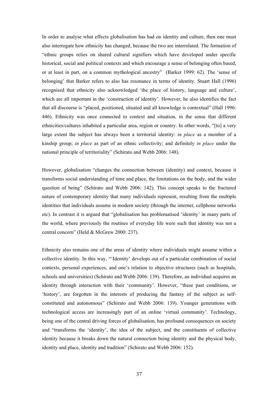In order to analyse what effects globalisation has had on identity and culture, then one must also interrogate how ethnicity has changed, because the two are interrelated. The formation of "ethnic groups relies on shared cultural signifiers which have developed under specific historical, social and political contexts and which encourage a sense of belonging often based, or at least in part, on a common mythological ancestry" (Barker 1999: 62). The 'sense of belonging' that Barker refers to also has resonance in terms of identity. Stuart Hall (1996) recognised that ethnicity also acknowledged 'the place of history, language and culture', which are all important in the 'construction of identity'. However, he also identifies the fact that all discourse is "placed, positioned, situated and all knowledge is contextual" (Hall 1996: 446). Ethnicity was once connected to context and situation, in the sense that different ethnicities/cultures inhabited a particular area, region or country. In other words, "[to] a very large extent the subject has always been a territorial identity: *in place* as a member of a kinship group; *in place* as part of an ethnic collectivity; and definitely *in place* under the national principle of territoriality" (Schirato and Webb 2006: 148).

However, globalisation "changes the connection between (identity) and context, because it transforms social understanding of time and place, the limitations on the body, and the wider question of being" (Schirato and Webb 2006: 142). This concept speaks to the fractured nature of contemporary identity that many individuals represent, resulting from the multiple identities that individuals assume in modern society (through the internet, cellphone networks etc). In contrast it is argued that "globalisation has problematised 'identity' in many parts of the world, where previously the routines of everyday life were such that identity was not a central concern" (Held & McGrew 2000: 237).

Ethnicity also remains one of the areas of identity where individuals might assume within a collective identity. In this way, "'Identity' develops out of a particular combination of social contexts, personal experiences, and one's relation to objective structures (such as hospitals, schools and universities) (Schirato and Webb 2006: 139). Therefore, an individual acquires an identity through interaction with their 'community'. However, "these past conditions, or 'history', are forgotten in the interests of producing the fantasy of the subject as selfconstituted and autonomous" (Schirato and Webb 2006: 139). Younger generations with technological access are increasingly part of an online 'virtual community'. Technology, being one of the central driving forces of globalisation, has profound consequences on society and "transforms the 'identity', the idea of the subject, and the constituents of collective identity because it breaks down the natural connection being identity and the physical body, identity and place, identity and tradition" (Schirato and Webb 2006: 152).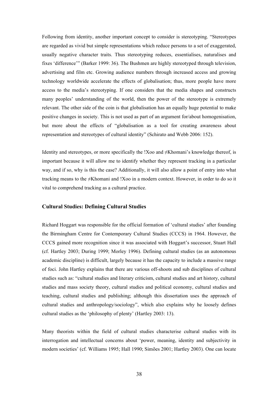Following from identity, another important concept to consider is stereotyping. "Stereotypes are regarded as vivid but simple representations which reduce persons to a set of exaggerated, usually negative character traits. Thus stereotyping reduces, essentialises, naturalises and fixes 'difference'" (Barker 1999: 36). The Bushmen are highly stereotyped through television, advertising and film etc. Growing audience numbers through increased access and growing technology worldwide accelerate the effects of globalisation; thus, more people have more access to the media's stereotyping. If one considers that the media shapes and constructs many peoples' understanding of the world, then the power of the stereotype is extremely relevant. The other side of the coin is that globalisation has an equally huge potential to make positive changes in society. This is not used as part of an argument for/about homogenisation, but more about the effects of "globalisation as a tool for creating awareness about representation and stereotypes of cultural identity" (Schirato and Webb 2006: 152).

Identity and stereotypes, or more specifically the !Xoo and ≠Khomani's knowledge thereof, is important because it will allow me to identify whether they represent tracking in a particular way, and if so, why is this the case? Additionally, it will also allow a point of entry into what tracking means to the ≠Khomani and !Xoo in a modern context. However, in order to do so it vital to comprehend tracking as a cultural practice.

#### **Cultural Studies: Defining Cultural Studies**

Richard Hoggart was responsible for the official formation of 'cultural studies' after founding the Birmingham Centre for Contemporary Cultural Studies (CCCS) in 1964. However, the CCCS gained more recognition since it was associated with Hoggart's successor, Stuart Hall (cf. Hartley 2003; During 1999; Morley 1996). Defining cultural studies (as an autonomous academic discipline) is difficult, largely because it has the capacity to include a massive range of foci. John Hartley explains that there are various off-shoots and sub disciplines of cultural studies such as: "cultural studies and literary criticism, cultural studies and art history, cultural studies and mass society theory, cultural studies and political economy, cultural studies and teaching, cultural studies and publishing; although this dissertation uses the approach of cultural studies and anthropology/sociology", which also explains why he loosely defines cultural studies as the 'philosophy of plenty' (Hartley 2003: 13).

Many theorists within the field of cultural studies characterise cultural studies with its interrogation and intellectual concerns about 'power, meaning, identity and subjectivity in modern societies' (cf. Williams 1995; Hall 1990; Simões 2001; Hartley 2003). One can locate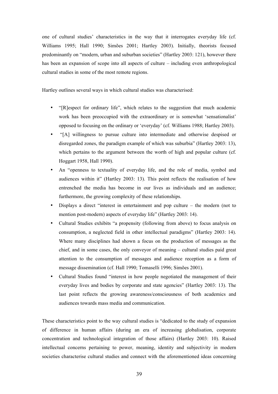one of cultural studies' characteristics in the way that it interrogates everyday life (cf. Williams 1995; Hall 1990; Simões 2001; Hartley 2003). Initially, theorists focused predominantly on "modern, urban and suburban societies" (Hartley 2003: 121), however there has been an expansion of scope into all aspects of culture – including even anthropological cultural studies in some of the most remote regions.

Hartley outlines several ways in which cultural studies was characterised:

- "[R]espect for ordinary life", which relates to the suggestion that much academic work has been preoccupied with the extraordinary or is somewhat 'sensationalist' opposed to focusing on the ordinary or 'everyday' (cf. Williams 1988; Hartley 2003).
- "[A] willingness to pursue culture into intermediate and otherwise despised or disregarded zones, the paradigm example of which was suburbia" (Hartley 2003: 13), which pertains to the argument between the worth of high and popular culture (cf. Hoggart 1958, Hall 1990).
- An "openness to textuality of everyday life, and the role of media, symbol and audiences within it" (Hartley 2003: 13). This point reflects the realisation of how entrenched the media has become in our lives as individuals and an audience; furthermore, the growing complexity of these relationships.
- Displays a direct "interest in entertainment and pop culture the modern (not to mention post-modern) aspects of everyday life" (Hartley 2003: 14).
- Cultural Studies exhibits "a propensity (following from above) to focus analysis on consumption, a neglected field in other intellectual paradigms" (Hartley 2003: 14). Where many disciplines had shown a focus on the production of messages as the chief, and in some cases, the only conveyor of meaning – cultural studies paid great attention to the consumption of messages and audience reception as a form of message dissemination (cf. Hall 1990; Tomaselli 1996; Simões 2001).
- Cultural Studies found "interest in how people negotiated the management of their everyday lives and bodies by corporate and state agencies" (Hartley 2003: 13). The last point reflects the growing awareness/consciousness of both academics and audiences towards mass media and communication.

These characteristics point to the way cultural studies is "dedicated to the study of expansion of difference in human affairs (during an era of increasing globalisation, corporate concentration and technological integration of those affairs) (Hartley 2003: 10). Raised intellectual concerns pertaining to power, meaning, identity and subjectivity in modern societies characterise cultural studies and connect with the aforementioned ideas concerning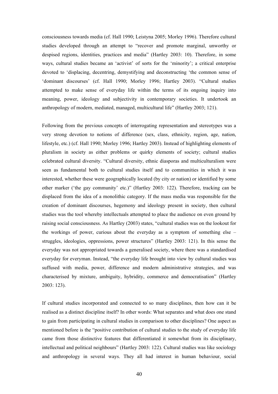consciousness towards media (cf. Hall 1990; Leistyna 2005; Morley 1996). Therefore cultural studies developed through an attempt to "recover and promote marginal, unworthy or despised regions, identities, practices and media" (Hartley 2003: 10). Therefore, in some ways, cultural studies became an 'activist' of sorts for the 'minority'; a critical enterprise devoted to 'displacing, decentring, demystifying and deconstructing 'the common sense of 'dominant discourses' (cf. Hall 1990; Morley 1996; Hartley 2003). "Cultural studies attempted to make sense of everyday life within the terms of its ongoing inquiry into meaning, power, ideology and subjectivity in contemporary societies. It undertook an anthropology of modern, mediated, managed, multicultural life" (Hartley 2003; 121).

Following from the previous concepts of interrogating representation and stereotypes was a very strong devotion to notions of difference (sex, class, ethnicity, region, age, nation, lifestyle, etc.) (cf. Hall 1990; Morley 1996; Hartley 2003). Instead of highlighting elements of pluralism in society as either problems or quirky elements of society; cultural studies celebrated cultural diversity. "Cultural diversity, ethnic diasporas and multiculturalism were seen as fundamental both to cultural studies itself and to communities in which it was interested, whether these were geographically located (by city or nation) or identified by some other marker ('the gay community' etc.)" (Hartley 2003: 122). Therefore, tracking can be displaced from the idea of a monolithic category. If the mass media was responsible for the creation of dominant discourses, hegemony and ideology present in society, then cultural studies was the tool whereby intellectuals attempted to place the audience on even ground by raising social consciousness. As Hartley (2003) states, "cultural studies was on the lookout for the workings of power, curious about the everyday as a symptom of something else – struggles, ideologies, oppressions, power structures" (Hartley 2003: 121). In this sense the everyday was not appropriated towards a generalised society, where there was a standardised everyday for everyman. Instead, "the everyday life brought into view by cultural studies was suffused with media, power, difference and modern administrative strategies, and was characterised by mixture, ambiguity, hybridity, commerce and democratisation" (Hartley 2003: 123).

If cultural studies incorporated and connected to so many disciplines, then how can it be realised as a distinct discipline itself? In other words: What separates and what does one stand to gain from participating in cultural studies in comparison to other disciplines? One aspect as mentioned before is the "positive contribution of cultural studies to the study of everyday life came from those distinctive features that differentiated it somewhat from its disciplinary, intellectual and political neighbours" (Hartley 2003: 122). Cultural studies was like sociology and anthropology in several ways. They all had interest in human behaviour, social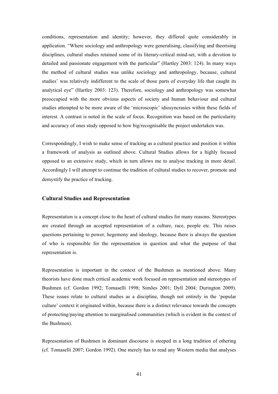conditions, representation and identity; however, they differed quite considerably in application. "Where sociology and anthropology were generalising, classifying and theorising disciplines, cultural studies retained some of its literary-critical mind-set, with a devotion to detailed and passionate engagement with the particular" (Hartley 2003: 124). In many ways the method of cultural studies was unlike sociology and anthropology, because, cultural studies' was relatively indifferent to the scale of those parts of everyday life that caught its analytical eye" (Hartley 2003: 123). Therefore, sociology and anthropology was somewhat preoccupied with the more obvious aspects of society and human behaviour and cultural studies attempted to be more aware of the 'microscopic' idiosyncrasies within these fields of interest. A contrast is noted in the scale of focus. Recognition was based on the particularity and accuracy of ones study opposed to how big/recognisable the project undertaken was.

Correspondingly, I wish to make sense of tracking as a cultural practice and position it within a framework of analysis as outlined above. Cultural Studies allows for a highly focused opposed to an extensive study, which in turn allows me to analyse tracking in more detail. Accordingly I will attempt to continue the tradition of cultural studies to recover, promote and demystify the practice of tracking.

## **Cultural Studies and Representation**

Representation is a concept close to the heart of cultural studies for many reasons. Stereotypes are created through an accepted representation of a culture, race, people etc. This raises questions pertaining to power, hegemony and ideology, because there is always the question of who is responsible for the representation in question and what the purpose of that representation is.

Representation is important in the context of the Bushmen as mentioned above. Many theorists have done much critical academic work focused on representation and stereotypes of Bushmen (cf. Gordon 1992; Tomaselli 1998; Simões 2001; Dyll 2004; Durington 2009). These issues relate to cultural studies as a discipline, though not entirely in the 'popular culture' context it originated within, because there is a distinct relevance towards the concepts of protecting/paying attention to marginalised communities (which is evident in the context of the Bushmen).

Representation of Bushmen in dominant discourse is steeped in a long tradition of othering (cf. Tomaselli 2007; Gordon 1992). One merely has to read any Western media that analyses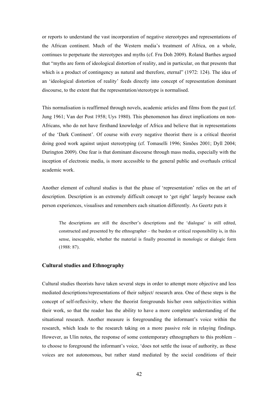or reports to understand the vast incorporation of negative stereotypes and representations of the African continent. Much of the Western media's treatment of Africa, on a whole, continues to perpetuate the stereotypes and myths (cf. Fru Doh 2009). Roland Barthes argued that "myths are form of ideological distortion of reality, and in particular, on that presents that which is a product of contingency as natural and therefore, eternal" (1972: 124). The idea of an 'ideological distortion of reality' feeds directly into concept of representation dominant discourse, to the extent that the representation/stereotype is normalised.

This normalisation is reaffirmed through novels, academic articles and films from the past (cf. Jung 1961; Van der Post 1958; Uys 1980). This phenomenon has direct implications on non-Africans, who do not have firsthand knowledge of Africa and believe that in representations of the 'Dark Continent'. Of course with every negative theorist there is a critical theorist doing good work against unjust stereotyping (cf. Tomaselli 1996; Simões 2001; Dyll 2004; Durington 2009). One fear is that dominant discourse through mass media, especially with the inception of electronic media, is more accessible to the general public and overhauls critical academic work.

Another element of cultural studies is that the phase of 'representation' relies on the art of description. Description is an extremely difficult concept to 'get right' largely because each person experiences, visualises and remembers each situation differently. As Geertz puts it

The descriptions are still the describer's descriptions and the 'dialogue' is still edited, constructed and presented by the ethnographer – the burden or critical responsibility is, in this sense, inescapable, whether the material is finally presented in monologic or dialogic form (1988: 87).

## **Cultural studies and Ethnography**

Cultural studies theorists have taken several steps in order to attempt more objective and less mediated descriptions/representations of their subject/ research area. One of these steps is the concept of self-reflexivity, where the theorist foregrounds his/her own subjectivities within their work, so that the reader has the ability to have a more complete understanding of the situational research. Another measure is foregrounding the informant's voice within the research, which leads to the research taking on a more passive role in relaying findings. However, as Ulin notes, the response of some contemporary ethnographers to this problem – to choose to foreground the informant's voice, 'does not settle the issue of authority, as these voices are not autonomous, but rather stand mediated by the social conditions of their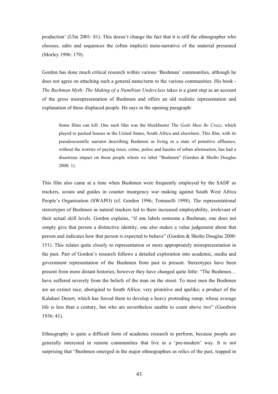production' (Ulin 2001: 81). This doesn't change the fact that it is still the ethnographer who chooses, edits and sequences the (often implicit) meta-narrative of the material presented (Morley 1996: 179).

Gordon has done much critical research within various 'Bushman' communities, although he does not agree on attaching such a general name/term to the various communities. His book - *The Bushman Myth: The Making of a Namibian Underclass* takes is a giant step as an account of the gross misrepresentation of Bushmen and offers an old realistic representation and explanation of these displaced people. He says in the opening paragraph:

Some films can kill. One such film was the blockbuster The *Gods Must Be Crazy*, which played to packed houses in the United States, South Africa and elsewhere. This film, with its pseudoscientific narrator describing Bushmen as living in a state of primitive affluence, without the worries of paying taxes, crime, police and hassles of urban alienisation, has had a disastrous impact on those people whom we label "Bushmen" (Gordon & Sholto Douglas 2000: 1).

This film also came at a time when Bushmen were frequently employed by the SADF as trackers, scouts and guides in counter insurgency war making against South West Africa People's Organisation (SWAPO) (cf. Gordon 1996; Tomaselli 1998). The representational stereotypes of Bushmen as natural trackers led to there increased employability, irrelevant of their actual skill levels. Gordon explains, "if one labels someone a Bushman, one does not simply give that person a distinctive identity, one also makes a value judgement about that person and indicates how that person is expected to behave" (Gordon & Sholto Douglas 2000: 151). This relates quite closely to representation or more appropriately misrepresentation in the past. Part of Gordon's research follows a detailed exploration into academic, media and government representation of the Bushmen from past to present. Stereotypes have been present from more distant histories; however they have changed quite little: "The Bushmen… have suffered severely from the beliefs of the man on the street. To most men the Bushmen are an extinct race, aboriginal to South Africa: very primitive and apelike; a product of the Kalahari Desert, which has forced them to develop a heavy protruding rump; whose average life is less than a century, but who are nevertheless unable to count above two" (Goodwin 1936: 41).

Ethnography is quite a difficult form of academic research to perform, because people are generally interested in remote communities that live in a 'pre-modern' way. It is not surprising that "Bushmen emerged in the major ethnographies as relics of the past, trapped in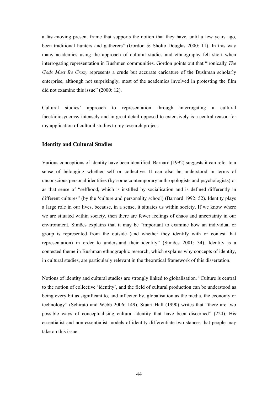a fast-moving present frame that supports the notion that they have, until a few years ago, been traditional hunters and gatherers" (Gordon & Sholto Douglas 2000: 11). In this way many academics using the approach of cultural studies and ethnography fell short when interrogating representation in Bushmen communities. Gordon points out that "ironically *The Gods Must Be Crazy* represents a crude but accurate caricature of the Bushman scholarly enterprise, although not surprisingly, most of the academics involved in protesting the film did not examine this issue" (2000: 12).

Cultural studies' approach to representation through interrogating a cultural facet/idiosyncrasy intensely and in great detail opposed to extensively is a central reason for my application of cultural studies to my research project.

### **Identity and Cultural Studies**

Various conceptions of identity have been identified. Barnard (1992) suggests it can refer to a sense of belonging whether self or collective. It can also be understood in terms of unconscious personal identities (by some contemporary anthropologists and psychologists) or as that sense of "selfhood, which is instilled by socialisation and is defined differently in different cultures" (by the 'culture and personality school) (Barnard 1992: 52). Identity plays a large role in our lives, because, in a sense, it situates us within society. If we know where we are situated within society, then there are fewer feelings of chaos and uncertainty in our environment. Simões explains that it may be "important to examine how an individual or group is represented from the outside (and whether they identify with or contest that representation) in order to understand their identity" (Simões 2001: 34). Identity is a contested theme in Bushman ethnographic research, which explains why concepts of identity, in cultural studies, are particularly relevant in the theoretical framework of this dissertation.

Notions of identity and cultural studies are strongly linked to globalisation. "Culture is central to the notion of collective 'identity', and the field of cultural production can be understood as being every bit as significant to, and inflected by, globalisation as the media, the economy or technology" (Schirato and Webb 2006: 149). Stuart Hall (1990) writes that "there are two possible ways of conceptualising cultural identity that have been discerned" (224). His essentialist and non-essentialist models of identity differentiate two stances that people may take on this issue.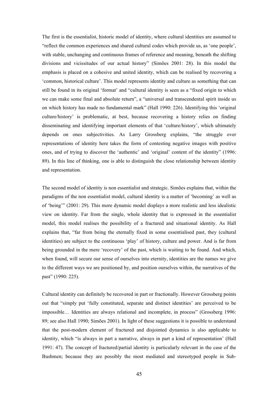The first is the essentialist, historic model of identity, where cultural identities are assumed to "reflect the common experiences and shared cultural codes which provide us, as 'one people', with stable, unchanging and continuous frames of reference and meaning, beneath the shifting divisions and vicissitudes of our actual history" (Simões 2001: 28). In this model the emphasis is placed on a cohesive and united identity, which can be realised by recovering a 'common, historical culture'. This model represents identity and culture as something that can still be found in its original 'format' and "cultural identity is seen as a "fixed origin to which we can make some final and absolute return", a "universal and transcendental spirit inside us on which history has made no fundamental mark" (Hall 1990: 226). Identifying this 'original culture/history' is problematic, at best, because recovering a history relies on finding disseminating and identifying important elements of that 'culture/history', which ultimately depends on ones subjectivities. As Larry Grossberg explains, "the struggle over representations of identity here takes the form of contesting negative images with positive ones, and of trying to discover the 'authentic' and 'original' content of the identity" (1996: 89). In this line of thinking, one is able to distinguish the close relationship between identity and representation.

The second model of identity is non essentialist and strategic. Simões explains that, within the paradigms of the non essentialist model, cultural identity is a matter of 'becoming' as well as of 'being'" (2001: 29). This more dynamic model displays a more realistic and less idealistic view on identity. Far from the single, whole identity that is expressed in the essentialist model, this model realises the possibility of a fractured and situational identity. As Hall explains that, "far from being the eternally fixed in some essentialised past, they (cultural identities) are subject to the continuous 'play' of history, culture and power. And is far from being grounded in the mere 'recovery' of the past, which is waiting to be found. And which, when found, will secure our sense of ourselves into eternity, identities are the names we give to the different ways we are positioned by, and position ourselves within, the narratives of the past" (1990: 225).

Cultural identity can definitely be recovered in part or fractionally. However Grossberg points out that "simply put 'fully constituted, separate and distinct identities' are perceived to be impossible… Identities are always relational and incomplete, in process" (Grossberg 1996: 89; see also Hall 1990; Simões 2001). In light of these suggestions it is possible to understand that the post-modern element of fractured and disjointed dynamics is also applicable to identity, which "is always in part a narrative, always in part a kind of representation' (Hall 1991: 47). The concept of fractured/partial identity is particularly relevant in the case of the Bushmen; because they are possibly the most mediated and stereotyped people in Sub-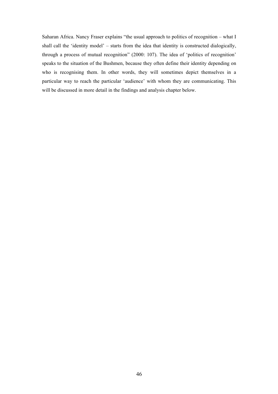Saharan Africa. Nancy Fraser explains "the usual approach to politics of recognition – what I shall call the 'identity model' – starts from the idea that identity is constructed dialogically, through a process of mutual recognition" (2000: 107). The idea of 'politics of recognition' speaks to the situation of the Bushmen, because they often define their identity depending on who is recognising them. In other words, they will sometimes depict themselves in a particular way to reach the particular 'audience' with whom they are communicating. This will be discussed in more detail in the findings and analysis chapter below.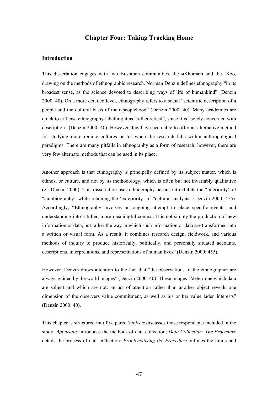# **Chapter Four: Taking Tracking Home**

## **Introduction**

This dissertation engages with two Bushmen communities, the ≠Khomani and the !Xoo, drawing on the methods of ethnographic research. Norman Denzin defines ethnography "in its broadest sense, as the science devoted to describing ways of life of humankind" (Denzin 2000: 40). On a more detailed level, ethnography refers to a social "scientific description of a people and the cultural basis of their peoplehood" (Denzin 2000: 40). Many academics are quick to criticise ethnography labelling it as "a-theoretical", since it is "solely concerned with description" (Denzin 2000: 40). However, few have been able to offer an alternative method for studying more remote cultures or for when the research falls within anthropological paradigms. There are many pitfalls in ethnography as a form of research; however, there are very few alternate methods that can be used in its place.

Another approach is that ethnography is principally defined by its subject matter, which is ethnos, or culture, and not by its methodology, which is often but not invariably qualitative (cf. Denzin 2000). This dissertation uses ethnography because it exhibits the "interiority" of "autobiography" while retaining the 'exteriority' of "cultural analysis" (Denzin 2000: 455). Accordingly, **"**Ethnography involves an ongoing attempt to place specific events, and understanding into a fuller, more meaningful context. It is not simply the production of new information or data, but rather the way in which such information or data are transformed into a written or visual form. As a result, it combines research design, fieldwork, and various methods of inquiry to produce historically, politically, and personally situated accounts, descriptions, interpretations, and representations of human lives" (Denzin 2000: 455).

However, Denzin draws attention to the fact that "the observations of the ethnographer are always guided by the world images" (Denzin 2000: 40). These images "determine which data are salient and which are not: an act of attention rather than another object reveals one dimension of the observers value commitment, as well as his or her value laden interests" (Denzin 2000: 40).

This chapter is structured into five parts. *Subjects* discusses those respondents included in the study; *Apparatus* introduces the methods of data collection; *Data Collection: The Procedure* details the process of data collection; *Problematising the Procedure* outlines the limits and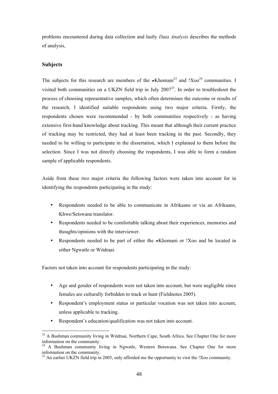problems encountered during data collection and lastly *Data Analysis* describes the methods of analysis,

# **Subjects**

The subjects for this research are members of the ≠Khomani<sup>23</sup> and !Xoo<sup>24</sup> communities. I visited both communities on a UKZN field trip in July  $2007^{25}$ . In order to troubleshoot the process of choosing representative samples, which often determines the outcome or results of the research, I identified suitable respondents using two major criteria. Firstly, the respondents chosen were recommended - by both communities respectively - as having extensive first-hand knowledge about tracking. This meant that although their current practice of tracking may be restricted, they had at least been tracking in the past. Secondly, they needed to be willing to participate in the dissertation, which I explained to them before the selection. Since I was not directly choosing the respondents, I was able to form a random sample of applicable respondents.

Aside from these two major criteria the following factors were taken into account for in identifying the respondents participating in the study:

- Respondents needed to be able to communicate in Afrikaans or via an Afrikaans, Khwe/Setswana translator.
- Respondents needed to be comfortable talking about their experiences, memories and thoughts/opinions with the interviewer.
- Respondents needed to be part of either the ≠Khomani or !Xoo and be located in either Ngwatle or Witdraai.

Factors not taken into account for respondents participating in the study:

- Age and gender of respondents were not taken into account, but were negligible since females are culturally forbidden to track or hunt (Fieldnotes 2005).
- Respondent's employment status or particular vocation was not taken into account, unless applicable to tracking.
- Respondent's education/qualification was not taken into account.

<sup>&</sup>lt;sup>23</sup> A Bushman community living in Witdraai, Northern Cape, South Africa. See Chapter One for more information on the community.

<sup>&</sup>lt;sup>24</sup> A Bushman community living in Ngwatle, Western Botswana. See Chapter One for more information on the community.

<sup>&</sup>lt;sup>25</sup> An earlier UKZN field trip in 2005, only afforded me the opportunity to visit the !Xoo community.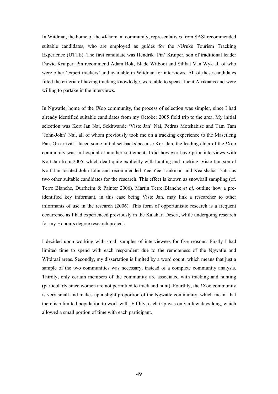In Witdraai, the home of the ≠Khomani community, representatives from SASI recommended suitable candidates, who are employed as guides for the //Uruke Tourism Tracking Experience (UTTE). The first candidate was Hendrik 'Pin' Kruiper, son of traditional leader Dawid Kruiper. Pin recommend Adam Bok, Blade Witbooi and Silikat Van Wyk all of who were other 'expert trackers' and available in Witdraai for interviews. All of these candidates fitted the criteria of having tracking knowledge, were able to speak fluent Afrikaans and were willing to partake in the interviews.

In Ngwatle, home of the !Xoo community, the process of selection was simpler, since I had already identified suitable candidates from my October 2005 field trip to the area. My initial selection was Kort Jan Nai, Sekhwande 'Viste Jan' Nai, Pedrus Motshabise and Tam Tam 'John-John' Nai, all of whom previously took me on a tracking experience to the Masetleng Pan. On arrival I faced some initial set-backs because Kort Jan, the leading elder of the !Xoo community was in hospital at another settlement. I did however have prior interviews with Kort Jan from 2005, which dealt quite explicitly with hunting and tracking. Viste Jan, son of Kort Jan located John-John and recommended Yee-Yee Lankman and Keatshaba Tsatsi as two other suitable candidates for the research. This effect is known as snowball sampling (cf. Terre Blanche, Durrheim & Painter 2006). Martin Terre Blanche *et al*, outline how a preidentified key informant, in this case being Viste Jan, may link a researcher to other informants of use in the research (2006). This form of opportunistic research is a frequent occurrence as I had experienced previously in the Kalahari Desert, while undergoing research for my Honours degree research project.

I decided upon working with small samples of interviewees for five reasons. Firstly I had limited time to spend with each respondent due to the remoteness of the Ngwatle and Witdraai areas. Secondly, my dissertation is limited by a word count, which means that just a sample of the two communities was necessary, instead of a complete community analysis. Thirdly, only certain members of the community are associated with tracking and hunting (particularly since women are not permitted to track and hunt). Fourthly, the !Xoo community is very small and makes up a slight proportion of the Ngwatle community, which meant that there is a limited population to work with. Fifthly, each trip was only a few days long, which allowed a small portion of time with each participant.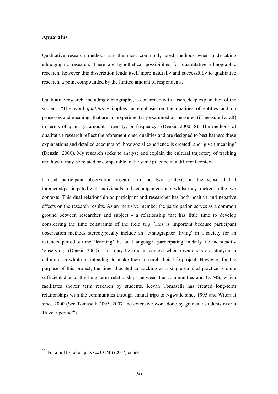### **Apparatus**

Qualitative research methods are the most commonly used methods when undertaking ethnographic research. There are hypothetical possibilities for quantitative ethnographic research, however this dissertation lends itself more naturally and successfully to qualitative research, a point compounded by the limited amount of respondents.

Qualitative research, including ethnography, is concerned with a rich, deep explanation of the subject. "The word *qualitative* implies an emphasis on the qualities of entities and on processes and meanings that are not experimentally examined or measured (if measured at all) in terms of quantity, amount, intensity, or frequency" (Denzin 2000: 8). The methods of qualitative research reflect the aforementioned qualities and are designed to best harness these explanations and detailed accounts of 'how social experience is created' and 'given meaning' (Denzin 2000). My research seeks to analyse and explain the cultural trajectory of tracking and how it may be related or comparable to the same practice in a different context.

I used participant observation research in the two contexts in the sense that I interacted/participated with individuals and accompanied them whilst they tracked in the two contexts. This dual-relationship as participant and researcher has both positive and negative effects on the research results. As an inclusive member the participation serves as a common ground between researcher and subject - a relationship that has little time to develop considering the time constraints of the field trip. This is important because participant observation methods stereotypically include an "ethnographer 'living' in a society for an extended period of time, 'learning' the local language, 'participating' in daily life and steadily 'observing' (Denzin 2000). This may be true in context when researchers are studying a culture as a whole or intending to make their research their life project. However, for the purpose of this project, the time allocated to tracking as a single cultural practice is quite sufficient due to the long term relationships between the communities and CCMS, which facilitates shorter term research by students. Keyan Tomaselli has created long-term relationships with the communities through annual trips to Ngwatle since 1995 and Witdraai since 2000 (See Tomaselli 2005, 2007 and extensive work done by graduate students over a 16 year period $^{26}$ ).

 <sup>26</sup> For a full list of outputs see CCMS (2007) online.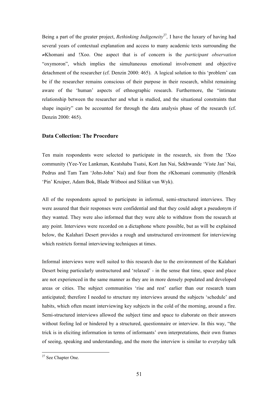Being a part of the greater project, *Rethinking Indigeneity*<sup>27</sup>, I have the luxury of having had several years of contextual explanation and access to many academic texts surrounding the ≠Khomani and !Xoo. One aspect that is of concern is the *participant observation* "oxymoron", which implies the simultaneous emotional involvement and objective detachment of the researcher (cf. Denzin 2000: 465). A logical solution to this 'problem' can be if the researcher remains conscious of their purpose in their research, whilst remaining aware of the 'human' aspects of ethnographic research. Furthermore, the "intimate relationship between the researcher and what is studied, and the situational constraints that shape inquiry" can be accounted for through the data analysis phase of the research (cf. Denzin 2000: 465).

# **Data Collection: The Procedure**

Ten main respondents were selected to participate in the research, six from the !Xoo community (Yee-Yee Lankman, Keatshaba Tsatsi, Kort Jan Nai, Sekhwande 'Viste Jan' Nai, Pedrus and Tam Tam 'John-John' Nai) and four from the ≠Khomani community (Hendrik 'Pin' Kruiper, Adam Bok, Blade Witbooi and Silikat van Wyk).

All of the respondents agreed to participate in informal, semi-structured interviews. They were assured that their responses were confidential and that they could adopt a pseudonym if they wanted. They were also informed that they were able to withdraw from the research at any point. Interviews were recorded on a dictaphone where possible, but as will be explained below, the Kalahari Desert provides a rough and unstructured environment for interviewing which restricts formal interviewing techniques at times.

Informal interviews were well suited to this research due to the environment of the Kalahari Desert being particularly unstructured and 'relaxed' - in the sense that time, space and place are not experienced in the same manner as they are in more densely populated and developed areas or cities. The subject communities 'rise and rest' earlier than our research team anticipated; therefore I needed to structure my interviews around the subjects 'schedule' and habits, which often meant interviewing key subjects in the cold of the morning, around a fire. Semi-structured interviews allowed the subject time and space to elaborate on their answers without feeling led or hindered by a structured, questionnaire or interview. In this way, "the trick is in eliciting information in terms of informants' own interpretations, their own frames of seeing, speaking and understanding, and the more the interview is similar to everyday talk

 <sup>27</sup> See Chapter One.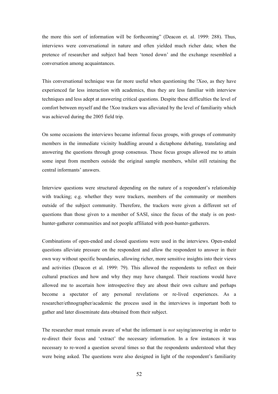the more this sort of information will be forthcoming" (Deacon et. al. 1999: 288). Thus, interviews were conversational in nature and often yielded much richer data; when the pretence of researcher and subject had been 'toned down' and the exchange resembled a conversation among acquaintances.

This conversational technique was far more useful when questioning the !Xoo, as they have experienced far less interaction with academics, thus they are less familiar with interview techniques and less adept at answering critical questions. Despite these difficulties the level of comfort between myself and the !Xoo trackers was alleviated by the level of familiarity which was achieved during the 2005 field trip.

On some occasions the interviews became informal focus groups, with groups of community members in the immediate vicinity huddling around a dictaphone debating, translating and answering the questions through group consensus. These focus groups allowed me to attain some input from members outside the original sample members, whilst still retaining the central informants' answers.

Interview questions were structured depending on the nature of a respondent's relationship with tracking; e.g. whether they were trackers, members of the community or members outside of the subject community. Therefore, the trackers were given a different set of questions than those given to a member of SASI, since the focus of the study is on posthunter-gatherer communities and not people affiliated with post-hunter-gatherers.

Combinations of open-ended and closed questions were used in the interviews. Open-ended questions alleviate pressure on the respondent and allow the respondent to answer in their own way without specific boundaries, allowing richer, more sensitive insights into their views and activities (Deacon et al. 1999: 79). This allowed the respondents to reflect on their cultural practices and how and why they may have changed. Their reactions would have allowed me to ascertain how introspective they are about their own culture and perhaps become a spectator of any personal revelations or re-lived experiences. As a researcher/ethnographer/academic the process used in the interviews is important both to gather and later disseminate data obtained from their subject.

The researcher must remain aware of what the informant is *not* saying/answering in order to re-direct their focus and 'extract' the necessary information. In a few instances it was necessary to re-word a question several times so that the respondents understood what they were being asked. The questions were also designed in light of the respondent's familiarity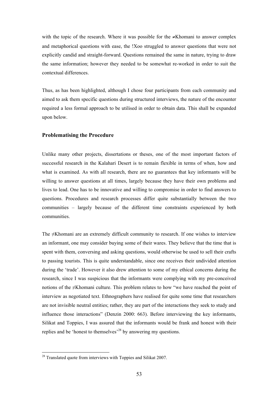with the topic of the research. Where it was possible for the ≠Khomani to answer complex and metaphorical questions with ease, the !Xoo struggled to answer questions that were not explicitly candid and straight-forward. Questions remained the same in nature, trying to draw the same information; however they needed to be somewhat re-worked in order to suit the contextual differences.

Thus, as has been highlighted, although I chose four participants from each community and aimed to ask them specific questions during structured interviews, the nature of the encounter required a less formal approach to be utilised in order to obtain data. This shall be expanded upon below.

#### **Problematising the Procedure**

Unlike many other projects, dissertations or theses, one of the most important factors of successful research in the Kalahari Desert is to remain flexible in terms of when, how and what is examined. As with all research, there are no guarantees that key informants will be willing to answer questions at all times, largely because they have their own problems and lives to lead. One has to be innovative and willing to compromise in order to find answers to questions. Procedures and research processes differ quite substantially between the two communities – largely because of the different time constraints experienced by both communities.

The ≠Khomani are an extremely difficult community to research. If one wishes to interview an informant, one may consider buying some of their wares. They believe that the time that is spent with them, conversing and asking questions, would otherwise be used to sell their crafts to passing tourists. This is quite understandable, since one receives their undivided attention during the 'trade'. However it also drew attention to some of my ethical concerns during the research, since I was suspicious that the informants were complying with my pre-conceived notions of the ≠Khomani culture. This problem relates to how "we have reached the point of interview as negotiated text. Ethnographers have realised for quite some time that researchers are not invisible neutral entities; rather, they are part of the interactions they seek to study and influence those interactions" (Denzin 2000: 663). Before interviewing the key informants, Silikat and Toppies, I was assured that the informants would be frank and honest with their replies and be 'honest to themselves'28 by answering my questions.

<sup>&</sup>lt;sup>28</sup> Translated quote from interviews with Toppies and Silikat 2007.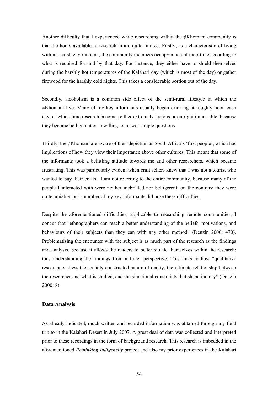Another difficulty that I experienced while researching within the  $\neq$ Khomani community is that the hours available to research in are quite limited. Firstly, as a characteristic of living within a harsh environment, the community members occupy much of their time according to what is required for and by that day. For instance, they either have to shield themselves during the harshly hot temperatures of the Kalahari day (which is most of the day) or gather firewood for the harshly cold nights. This takes a considerable portion out of the day.

Secondly, alcoholism is a common side effect of the semi-rural lifestyle in which the ≠Khomani live. Many of my key informants usually began drinking at roughly noon each day, at which time research becomes either extremely tedious or outright impossible, because they become belligerent or unwilling to answer simple questions.

Thirdly, the ≠Khomani are aware of their depiction as South Africa's 'first people', which has implications of how they view their importance above other cultures. This meant that some of the informants took a belittling attitude towards me and other researchers, which became frustrating. This was particularly evident when craft sellers knew that I was not a tourist who wanted to buy their crafts. I am not referring to the entire community, because many of the people I interacted with were neither inebriated nor belligerent, on the contrary they were quite amiable, but a number of my key informants did pose these difficulties.

Despite the aforementioned difficulties, applicable to researching remote communities, I concur that "ethnographers can reach a better understanding of the beliefs, motivations, and behaviours of their subjects than they can with any other method" (Denzin 2000: 470). Problematising the encounter with the subject is as much part of the research as the findings and analysis, because it allows the readers to better situate themselves within the research; thus understanding the findings from a fuller perspective. This links to how "qualitative researchers stress the socially constructed nature of reality, the intimate relationship between the researcher and what is studied, and the situational constraints that shape inquiry" (Denzin 2000: 8).

#### **Data Analysis**

As already indicated, much written and recorded information was obtained through my field trip to in the Kalahari Desert in July 2007. A great deal of data was collected and interpreted prior to these recordings in the form of background research. This research is imbedded in the aforementioned *Rethinking Indigeneity* project and also my prior experiences in the Kalahari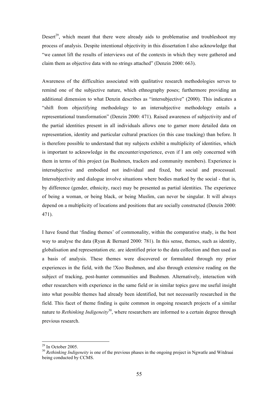Desert<sup>29</sup>, which meant that there were already aids to problematise and troubleshoot my process of analysis. Despite intentional objectivity in this dissertation I also acknowledge that "we cannot lift the results of interviews out of the contexts in which they were gathered and claim them as objective data with no strings attached" (Denzin 2000: 663).

Awareness of the difficulties associated with qualitative research methodologies serves to remind one of the subjective nature, which ethnography poses; furthermore providing an additional dimension to what Denzin describes as "intersubjective" (2000). This indicates a "shift from objectifying methodology to an intersubjective methodology entails a representational transformation" (Denzin 2000: 471). Raised awareness of subjectivity and of the partial identities present in all individuals allows one to garner more detailed data on representation, identity and particular cultural practices (in this case tracking) than before. It is therefore possible to understand that my subjects exhibit a multiplicity of identities, which is important to acknowledge in the encounter/experience, even if I am only concerned with them in terms of this project (as Bushmen, trackers and community members). Experience is intersubjective and embodied not individual and fixed, but social and processual. Intersubjectivity and dialogue involve situations where bodies marked by the social - that is, by difference (gender, ethnicity, race) may be presented as partial identities. The experience of being a woman, or being black, or being Muslim, can never be singular. It will always depend on a multiplicity of locations and positions that are socially constructed (Denzin 2000: 471).

I have found that 'finding themes' of commonality, within the comparative study, is the best way to analyse the data (Ryan & Bernard 2000: 781). In this sense, themes, such as identity, globalisation and representation etc. are identified prior to the data collection and then used as a basis of analysis. These themes were discovered or formulated through my prior experiences in the field, with the !Xoo Bushmen, and also through extensive reading on the subject of tracking, post-hunter communities and Bushmen. Alternatively, interaction with other researchers with experience in the same field or in similar topics gave me useful insight into what possible themes had already been identified, but not necessarily researched in the field. This facet of theme finding is quite common in ongoing research projects of a similar nature to *Rethinking Indigeneity*30, where researchers are informed to a certain degree through previous research.

 $29$  In October 2005.

<sup>&</sup>lt;sup>30</sup> Rethinking Indigeneity is one of the previous phases in the ongoing project in Ngwatle and Witdraai being conducted by CCMS.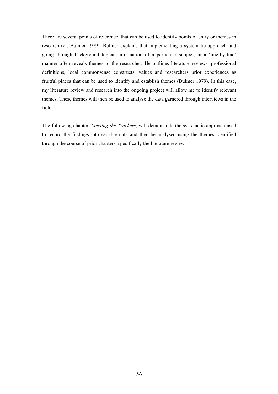There are several points of reference, that can be used to identify points of entry or themes in research (cf. Bulmer 1979). Bulmer explains that implementing a systematic approach and going through background topical information of a particular subject, in a 'line-by-line' manner often reveals themes to the researcher. He outlines literature reviews, professional definitions, local commonsense constructs, values and researchers prior experiences as fruitful places that can be used to identify and establish themes (Bulmer 1979). In this case, my literature review and research into the ongoing project will allow me to identify relevant themes. These themes will then be used to analyse the data garnered through interviews in the field.

The following chapter, *Meeting the Trackers*, will demonstrate the systematic approach used to record the findings into sailable data and then be analysed using the themes identified through the course of prior chapters, specifically the literature review.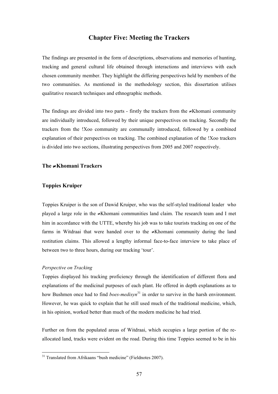# **Chapter Five: Meeting the Trackers**

The findings are presented in the form of descriptions, observations and memories of hunting, tracking and general cultural life obtained through interactions and interviews with each chosen community member. They highlight the differing perspectives held by members of the two communities. As mentioned in the methodology section, this dissertation utilises qualitative research techniques and ethnographic methods.

The findings are divided into two parts - firstly the trackers from the ≠Khomani community are individually introduced, followed by their unique perspectives on tracking. Secondly the trackers from the !Xoo community are communally introduced, followed by a combined explanation of their perspectives on tracking. The combined explanation of the !Xoo trackers is divided into two sections, illustrating perspectives from 2005 and 2007 respectively.

## **The** ≠**Khomani Trackers**

### **Toppies Kruiper**

Toppies Kruiper is the son of Dawid Kruiper, who was the self-styled traditional leader who played a large role in the ≠Khomani communities land claim. The research team and I met him in accordance with the UTTE, whereby his job was to take tourists tracking on one of the farms in Witdraai that were handed over to the ≠Khomani community during the land restitution claims. This allowed a lengthy informal face-to-face interview to take place of between two to three hours, during our tracking 'tour'.

#### *Perspective on Tracking*

Toppies displayed his tracking proficiency through the identification of different flora and explanations of the medicinal purposes of each plant. He offered in depth explanations as to how Bushmen once had to find *boes-medisyn*<sup>31</sup> in order to survive in the harsh environment. However, he was quick to explain that he still used much of the traditional medicine, which, in his opinion, worked better than much of the modern medicine he had tried.

Further on from the populated areas of Witdraai, which occupies a large portion of the reallocated land, tracks were evident on the road. During this time Toppies seemed to be in his

<sup>&</sup>lt;sup>31</sup> Translated from Afrikaans "bush medicine" (Fieldnotes 2007).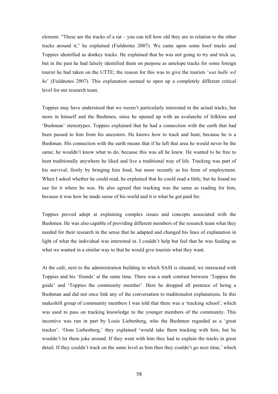element. "These are the tracks of a rat – you can tell how old they are in relation to the other tracks around it," he explained (Fieldnotes 2007). We came upon some hoof tracks and Toppies identified as donkey tracks. He explained that he was not going to try and trick us, but in the past he had falsely identified them on purpose as antelope tracks for some foreign tourist he had taken on the UTTE; the reason for this was to give the tourists '*wat hulle wil he*' (Fieldnotes 2007). This explanation seemed to open up a completely different critical level for our research team.

Toppies may have understood that we weren't particularly interested in the actual tracks, but more in himself and the Bushmen, since he opened up with an avalanche of folklore and 'Bushman' stereotypes. Toppies explained that he had a connection with the earth that had been passed to him from his ancestors. He knows how to track and hunt, because he is a Bushman. His connection with the earth means that if he left that area he would never be the same; he wouldn't know what to do, because this was all he knew. He wanted to be free to hunt traditionally anywhere he liked and live a traditional way of life. Tracking was part of his survival, firstly by bringing him food, but more recently as his form of employment. When I asked whether he could read, he explained that he could read a little, but he found no use for it where he was. He also agreed that tracking was the same as reading for him, because it was how he made sense of his world and it is what he got paid for.

Toppies proved adept at explaining complex issues and concepts associated with the Bushmen. He was also capable of providing different members of the research team what they needed for their research in the sense that he adapted and changed his lines of explanation in light of what the individual was interested in. I couldn't help but feel that he was feeding us what we wanted in a similar way to that he would give tourists what they want.

At the café, next to the administration building in which SASI is situated, we interacted with Toppies and his 'friends' at the same time. There was a stark contrast between 'Toppies the guide' and 'Toppies the community member'. Here he dropped all pretence of being a Bushman and did not once link any of the conversation to traditionalist explanations. In this makeshift group of community members I was told that there was a 'tracking school', which was used to pass on tracking knowledge to the younger members of the community. This incentive was run in part by Louis Liebenberg, who the Bushmen regarded as a 'great tracker'. 'Oom Liebenberg,' they explained 'would take them tracking with him, but he wouldn't let them joke around. If they went with him they had to explain the tracks in great detail. If they couldn't track on the same level as him then they couldn't go next time,' which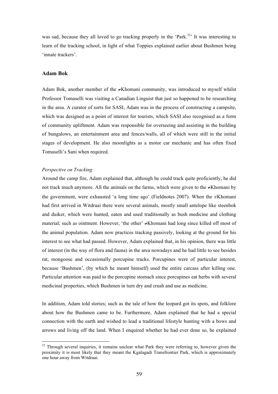was sad, because they all loved to go tracking properly in the 'Park.<sup>32</sup>' It was interesting to learn of the tracking school, in light of what Toppies explained earlier about Bushmen being 'innate trackers'.

#### **Adam Bok**

Adam Bok, another member of the ≠Khomani community, was introduced to myself whilst Professor Tomaselli was visiting a Canadian Linguist that just so happened to be researching in the area. A curator of sorts for SASI, Adam was in the process of constructing a campsite, which was designed as a point of interest for tourists, which SASI also recognised as a form of community upliftment. Adam was responsible for overseeing and assisting in the building of bungalows, an entertainment area and fences/walls, all of which were still in the initial stages of development. He also moonlights as a motor car mechanic and has often fixed Tomaselli's Sani when required.

#### *Perspective on Tracking*

Around the camp fire, Adam explained that, although he could track quite proficiently, he did not track much anymore. All the animals on the farms, which were given to the ≠Khomani by the government, were exhausted 'a long time ago' (Fieldnotes 2007). When the  $\neq$ Khomani had first arrived in Witdraai there were several animals, mostly small antelope like steenbok and duiker, which were hunted, eaten and used traditionally as bush medicine and clothing material; such as ointment. However, 'the other' ≠Khomani had long since killed off most of the animal population. Adam now practices tracking passively, looking at the ground for his interest to see what had passed. However, Adam explained that, in his opinion, there was little of interest (in the way of flora and fauna) in the area nowadays and he had little to see besides rat, mongoose and occasionally porcupine tracks. Porcupines were of particular interest, because 'Bushmen', (by which he meant himself) used the entire carcass after killing one. Particular attention was paid to the porcupine stomach since porcupines eat herbs with several medicinal properties, which Bushmen in turn dry and crush and use as medicine.

In addition, Adam told stories; such as the tale of how the leopard got its spots, and folklore about how the Bushmen came to be. Furthermore, Adam explained that he had a special connection with the earth and wished to lead a traditional lifestyle hunting with a bows and arrows and living off the land. When I enquired whether he had ever done so, he explained

 $32$  Through several inquiries, it remains unclear what Park they were referring to, however given the proximity it is most likely that they meant the Kgalagadi Transfrontier Park, which is approximately one hour away from Witdraai.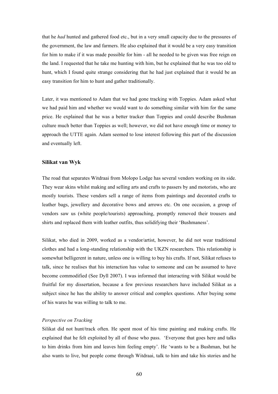that he *had* hunted and gathered food etc., but in a very small capacity due to the pressures of the government, the law and farmers. He also explained that it would be a very easy transition for him to make if it was made possible for him - all he needed to be given was free reign on the land. I requested that he take me hunting with him, but he explained that he was too old to hunt, which I found quite strange considering that he had just explained that it would be an easy transition for him to hunt and gather traditionally.

Later, it was mentioned to Adam that we had gone tracking with Toppies. Adam asked what we had paid him and whether we would want to do something similar with him for the same price. He explained that he was a better tracker than Toppies and could describe Bushman culture much better than Toppies as well; however, we did not have enough time or money to approach the UTTE again. Adam seemed to lose interest following this part of the discussion and eventually left.

### **Silikat van Wyk**

The road that separates Witdraai from Molopo Lodge has several vendors working on its side. They wear skins whilst making and selling arts and crafts to passers by and motorists, who are mostly tourists. These vendors sell a range of items from paintings and decorated crafts to leather bags, jewellery and decorative bows and arrows etc. On one occasion, a group of vendors saw us (white people/tourists) approaching, promptly removed their trousers and shirts and replaced them with leather outfits, thus solidifying their 'Bushmaness'.

Silikat, who died in 2009, worked as a vendor/artist, however, he did not wear traditional clothes and had a long-standing relationship with the UKZN researchers. This relationship is somewhat belligerent in nature, unless one is willing to buy his crafts. If not, Silikat refuses to talk, since he realises that his interaction has value to someone and can be assumed to have become commodified (See Dyll 2007). I was informed that interacting with Silikat would be fruitful for my dissertation, because a few previous researchers have included Silikat as a subject since he has the ability to answer critical and complex questions. After buying some of his wares he was willing to talk to me.

#### *Perspective on Tracking*

Silikat did not hunt/track often. He spent most of his time painting and making crafts. He explained that he felt exploited by all of those who pass. 'Everyone that goes here and talks to him drinks from him and leaves him feeling empty'. He 'wants to be a Bushman, but he also wants to live, but people come through Witdraai, talk to him and take his stories and he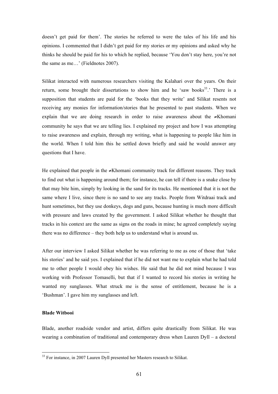doesn't get paid for them'. The stories he referred to were the tales of his life and his opinions. I commented that I didn't get paid for my stories or my opinions and asked why he thinks he should be paid for his to which he replied, because 'You don't stay here, you're not the same as me…' (Fieldnotes 2007).

Silikat interacted with numerous researchers visiting the Kalahari over the years. On their return, some brought their dissertations to show him and he 'saw books<sup>33</sup>.' There is a supposition that students are paid for the 'books that they write' and Silikat resents not receiving any monies for information/stories that he presented to past students. When we explain that we are doing research in order to raise awareness about the ≠Khomani community he says that we are telling lies. I explained my project and how I was attempting to raise awareness and explain, through my writing, what is happening to people like him in the world. When I told him this he settled down briefly and said he would answer any questions that I have.

He explained that people in the ≠Khomani community track for different reasons. They track to find out what is happening around them; for instance, he can tell if there is a snake close by that may bite him, simply by looking in the sand for its tracks. He mentioned that it is not the same where I live, since there is no sand to see any tracks. People from Witdraai track and hunt sometimes, but they use donkeys, dogs and guns, because hunting is much more difficult with pressure and laws created by the government. I asked Silikat whether he thought that tracks in his context are the same as signs on the roads in mine; he agreed completely saying there was no difference – they both help us to understand what is around us.

After our interview I asked Silikat whether he was referring to me as one of those that 'take his stories' and he said yes. I explained that if he did not want me to explain what he had told me to other people I would obey his wishes. He said that he did not mind because I was working with Professor Tomaselli, but that if I wanted to record his stories in writing he wanted my sunglasses. What struck me is the sense of entitlement, because he is a 'Bushman'. I gave him my sunglasses and left.

# **Blade Witbooi**

Blade, another roadside vendor and artist, differs quite drastically from Silikat. He was wearing a combination of traditional and contemporary dress when Lauren Dyll – a doctoral

 <sup>33</sup> For instance, in 2007 Lauren Dyll presented her Masters research to Silikat.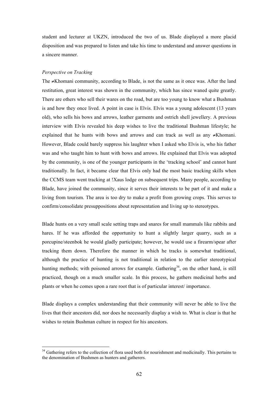student and lecturer at UKZN, introduced the two of us. Blade displayed a more placid disposition and was prepared to listen and take his time to understand and answer questions in a sincere manner.

#### *Perspective on Tracking*

The ≠Khomani community, according to Blade, is not the same as it once was. After the land restitution, great interest was shown in the community, which has since waned quite greatly. There are others who sell their wares on the road, but are too young to know what a Bushman is and how they once lived. A point in case is Elvis. Elvis was a young adolescent (13 years old), who sells his bows and arrows, leather garments and ostrich shell jewellery. A previous interview with Elvis revealed his deep wishes to live the traditional Bushman lifestyle; he explained that he hunts with bows and arrows and can track as well as any ≠Khomani. However, Blade could barely suppress his laughter when I asked who Elvis is, who his father was and who taught him to hunt with bows and arrows. He explained that Elvis was adopted by the community, is one of the younger participants in the 'tracking school' and cannot hunt traditionally. In fact, it became clear that Elvis only had the most basic tracking skills when the CCMS team went tracking at !Xaus lodge on subsequent trips. Many people, according to Blade, have joined the community, since it serves their interests to be part of it and make a living from tourism. The area is too dry to make a profit from growing crops. This serves to confirm/consolidate presuppositions about representation and living up to stereotypes.

Blade hunts on a very small scale setting traps and snares for small mammals like rabbits and hares. If he was afforded the opportunity to hunt a slightly larger quarry, such as a porcupine/steenbok he would gladly participate; however, he would use a firearm/spear after tracking them down. Therefore the manner in which he tracks is somewhat traditional, although the practice of hunting is not traditional in relation to the earlier stereotypical hunting methods; with poisoned arrows for example. Gathering<sup>34</sup>, on the other hand, is still practiced, though on a much smaller scale. In this process, he gathers medicinal herbs and plants or when he comes upon a rare root that is of particular interest/ importance.

Blade displays a complex understanding that their community will never be able to live the lives that their ancestors did, nor does he necessarily display a wish to. What is clear is that he wishes to retain Bushman culture in respect for his ancestors.

<sup>&</sup>lt;sup>34</sup> Gathering refers to the collection of flora used both for nourishment and medicinally. This pertains to the denomination of Bushmen as hunters and gatherers.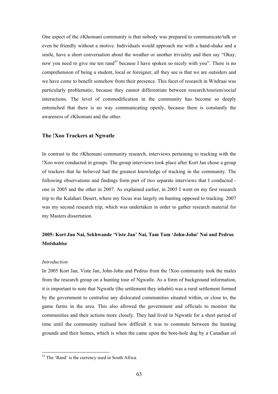One aspect of the ≠Khomani community is that nobody was prepared to communicate/talk or even be friendly without a motive. Individuals would approach me with a hand-shake and a smile, have a short conversation about the weather or another triviality and then say "Okay, now you need to give me ten rand<sup>35</sup> because I have spoken so nicely with you". There is no comprehension of being a student, local or foreigner, all they see is that we are outsiders and we have come to benefit somehow from their presence. This facet of research in Witdraai was particularly problematic, because they cannot differentiate between research/tourism/social interactions. The level of commodification in the community has become so deeply entrenched that there is no way communicating openly, because there is constantly the awareness of ≠Khomani and the other.

#### **The !Xoo Trackers at Ngwatle**

In contrast to the ≠Khomani community research, interviews pertaining to tracking with the !Xoo were conducted in groups. The group interviews took place after Kort Jan chose a group of trackers that he believed had the greatest knowledge of tracking in the community. The following observations and findings form part of two separate interviews that I conducted one in 2005 and the other in 2007. As explained earlier, in 2005 I went on my first research trip to the Kalahari Desert, where my focus was largely on hunting opposed to tracking. 2007 was my second research trip, which was undertaken in order to gather research material for my Masters dissertation.

# **2005: Kort Jan Nai, Sekhwande 'Viste Jan' Nai, Tam Tam 'John-John' Nai and Pedrus Motshabise**

#### *Introduction*

In 2005 Kort Jan, Viste Jan, John-John and Pedrus from the !Xoo community took the males from the research group on a hunting tour of Ngwatle. As a form of background information, it is important to note that Ngwatle (the settlement they inhabit) was a rural settlement formed by the government to centralise any dislocated communities situated within, or close to, the game farms in the area. This also allowed the government and officials to monitor the communities and their actions more closely. They had lived in Ngwatle for a short period of time until the community realised how difficult it was to commute between the hunting grounds and their homes, which is when the came upon the bore-hole dug by a Canadian oil

<sup>&</sup>lt;sup>35</sup> The 'Rand' is the currency used in South Africa.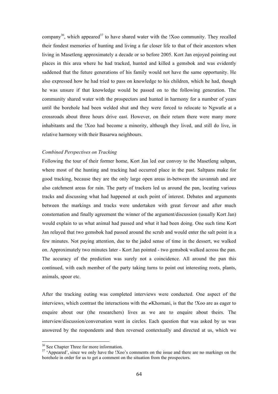company<sup>36</sup>, which appeared<sup>37</sup> to have shared water with the !Xoo community. They recalled their fondest memories of hunting and living a far closer life to that of their ancestors when living in Masetleng approximately a decade or so before 2005. Kort Jan enjoyed pointing out places in this area where he had tracked, hunted and killed a gemsbok and was evidently saddened that the future generations of his family would not have the same opportunity. He also expressed how he had tried to pass on knowledge to his children, which he had, though he was unsure if that knowledge would be passed on to the following generation. The community shared water with the prospectors and hunted in harmony for a number of years until the borehole had been welded shut and they were forced to relocate to Ngwatle at a crossroads about three hours drive east. However, on their return there were many more inhabitants and the !Xoo had become a minority, although they lived, and still do live, in relative harmony with their Basarwa neighbours.

## *Combined Perspectives on Tracking*

Following the tour of their former home, Kort Jan led our convoy to the Masetleng saltpan, where most of the hunting and tracking had occurred place in the past. Saltpans make for good tracking, because they are the only large open areas in-between the savannah and are also catchment areas for rain. The party of trackers led us around the pan, locating various tracks and discussing what had happened at each point of interest. Debates and arguments between the markings and tracks were undertaken with great fervour and after much consternation and finally agreement the winner of the argument/discussion (usually Kort Jan) would explain to us what animal had passed and what it had been doing. One such time Kort Jan relayed that two gemsbok had passed around the scrub and would enter the salt point in a few minutes. Not paying attention, due to the jaded sense of time in the dessert, we walked on. Approximately two minutes later - Kort Jan pointed - two gemsbok walked across the pan. The accuracy of the prediction was surely not a coincidence. All around the pan this continued, with each member of the party taking turns to point out interesting roots, plants, animals, spoor etc.

After the tracking outing was completed interviews were conducted. One aspect of the interviews, which contrast the interactions with the ≠Khomani, is that the !Xoo are as eager to enquire about our (the researchers) lives as we are to enquire about theirs. The interview/discussion/conversation went in circles. Each question that was asked by us was answered by the respondents and then reversed contextually and directed at us, which we

<sup>&</sup>lt;sup>36</sup> See Chapter Three for more information.

<sup>&</sup>lt;sup>37</sup> 'Appeared', since we only have the !Xoo's comments on the issue and there are no markings on the borehole in order for us to get a comment on the situation from the prospectors.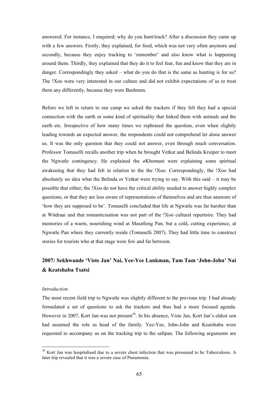answered. For instance, I enquired; why do you hunt/track? After a discussion they came up with a few answers. Firstly, they explained, for food, which was not very often anymore and secondly, because they enjoy tracking to 'remember' and also know what is happening around them. Thirdly, they explained that they do it to feel fear, fun and know that they are in danger. Correspondingly they asked – what do you do that is the same as hunting is for us? The !Xoo were very interested in our culture and did not exhibit expectations of us to treat them any differently, because they were Bushmen.

Before we left to return to our camp we asked the trackers if they felt they had a special connection with the earth or some kind of spirituality that linked them with animals and the earth etc. Irrespective of how many times we rephrased the question, even when slightly leading towards an expected answer, the respondents could not comprehend let alone answer us. It was the only question that they could not answer, even through much conversation. Professor Tomaselli recalls another trip when he brought Vetkat and Belinda Kruiper to meet the Ngwatle contingency. He explained the ≠Khomani were explaining some spiritual awakening that they had felt in relation to the the !Xoo. Correspondingly, the !Xoo had absolutely no idea what the Belinda or Vetkat were trying to say. With this said – it may be possible that either; the !Xoo do not have the critical ability needed to answer highly complex questions, or that they are less aware of representations of themselves and are thus unaware of 'how they are supposed to be'. Tomaselli concluded that life at Ngwatle was far harsher than at Witdraai and that romanticisation was not part of the !Xoo cultural repertoire. They had memories of a warm, nourishing wind at Masetleng Pan, but a cold, cutting experience, at Ngwatle Pan where they currently reside (Tomaselli 2007). They had little time to construct stories for tourists who at that stage were few and far between.

# **2007: Sekhwande 'Viste Jan' Nai, Yee-Yee Lankman, Tam Tam 'John-John' Nai & Keatshaba Tsatsi**

### *Introduction*

The most recent field trip to Ngwatle was slightly different to the previous trip. I had already formulated a set of questions to ask the trackers and thus had a more focused agenda. However in 2007, Kort Jan was not present<sup>38</sup>. In his absence, Viste Jan, Kort Jan's eldest son had assumed the role as head of the family. Yee-Yee, John-John and Keatshaba were requested to accompany us on the tracking trip to the saltpan. The following arguments are

<sup>&</sup>lt;sup>38</sup> Kort Jan was hospitalised due to a severe chest infection that was presumed to be Tuberculosis. A later trip revealed that it was a severe case of Pneumonia.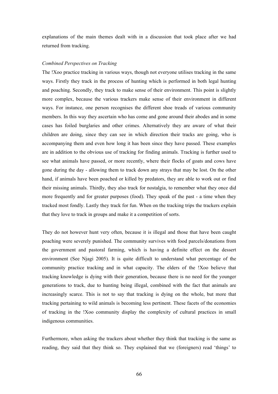explanations of the main themes dealt with in a discussion that took place after we had returned from tracking.

#### *Combined Perspectives on Tracking*

The !Xoo practice tracking in various ways, though not everyone utilises tracking in the same ways. Firstly they track in the process of hunting which is performed in both legal hunting and poaching. Secondly, they track to make sense of their environment. This point is slightly more complex, because the various trackers make sense of their environment in different ways. For instance, one person recognises the different shoe treads of various community members. In this way they ascertain who has come and gone around their abodes and in some cases has foiled burglaries and other crimes. Alternatively they are aware of what their children are doing, since they can see in which direction their tracks are going, who is accompanying them and even how long it has been since they have passed. These examples are in addition to the obvious use of tracking for finding animals. Tracking is further used to see what animals have passed, or more recently, where their flocks of goats and cows have gone during the day - allowing them to track down any strays that may be lost. On the other hand, if animals have been poached or killed by predators, they are able to work out or find their missing animals. Thirdly, they also track for nostalgia, to remember what they once did more frequently and for greater purposes (food). They speak of the past - a time when they tracked most fondly. Lastly they track for fun. When on the tracking trips the trackers explain that they love to track in groups and make it a competition of sorts.

They do not however hunt very often, because it is illegal and those that have been caught poaching were severely punished. The community survives with food parcels/donations from the government and pastoral farming, which is having a definite effect on the dessert environment (See Njagi 2005). It is quite difficult to understand what percentage of the community practice tracking and in what capacity. The elders of the !Xoo believe that tracking knowledge is dying with their generation, because there is no need for the younger generations to track, due to hunting being illegal, combined with the fact that animals are increasingly scarce. This is not to say that tracking is dying on the whole, but more that tracking pertaining to wild animals is becoming less pertinent. These facets of the economies of tracking in the !Xoo community display the complexity of cultural practices in small indigenous communities.

Furthermore, when asking the trackers about whether they think that tracking is the same as reading, they said that they think so. They explained that we (foreigners) read 'things' to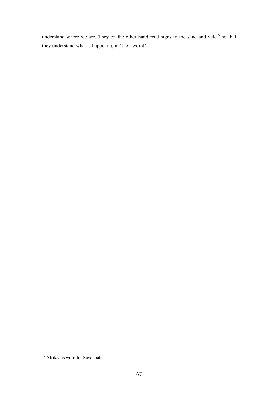understand where we are. They on the other hand read signs in the sand and veld<sup>39</sup> so that they understand what is happening in 'their world'.

<sup>&</sup>lt;sup>39</sup> Afrikaans word for Savannah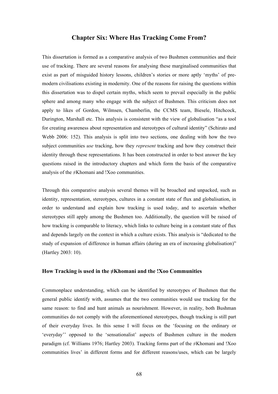## **Chapter Six: Where Has Tracking Come From?**

This dissertation is formed as a comparative analysis of two Bushmen communities and their use of tracking. There are several reasons for analysing these marginalised communities that exist as part of misguided history lessons, children's stories or more aptly 'myths' of premodern civilisations existing in modernity. One of the reasons for raising the questions within this dissertation was to dispel certain myths, which seem to prevail especially in the public sphere and among many who engage with the subject of Bushmen. This criticism does not apply to likes of Gordon, Wilmsen, Chamberlin, the CCMS team, Biesele, Hitchcock, Durington, Marshall etc. This analysis is consistent with the view of globalisation "as a tool for creating awareness about representation and stereotypes of cultural identity" (Schirato and Webb 2006: 152). This analysis is split into two sections, one dealing with how the two subject communities *use* tracking, how they *represent* tracking and how they construct their identity through these representations. It has been constructed in order to best answer the key questions raised in the introductory chapters and which form the basis of the comparative analysis of the  $\neq$ Khomani and !Xoo communities.

Through this comparative analysis several themes will be broached and unpacked, such as identity, representation, stereotypes, cultures in a constant state of flux and globalisation, in order to understand and explain how tracking is used today, and to ascertain whether stereotypes still apply among the Bushmen too. Additionally, the question will be raised of how tracking is comparable to literacy, which links to culture being in a constant state of flux and depends largely on the context in which a culture exists. This analysis is "dedicated to the study of expansion of difference in human affairs (during an era of increasing globalisation)" (Hartley 2003: 10).

#### **How Tracking is used in the ≠Khomani and the !Xoo Communities**

Commonplace understanding, which can be identified by stereotypes of Bushmen that the general public identify with, assumes that the two communities would use tracking for the same reason: to find and hunt animals as nourishment. However, in reality, both Bushman communities do not comply with the aforementioned stereotypes, though tracking is still part of their everyday lives. In this sense I will focus on the 'focusing on the ordinary or 'everyday'' opposed to the 'sensationalist' aspects of Bushmen culture in the modern paradigm (cf. Williams 1976; Hartley 2003). Tracking forms part of the ≠Khomani and !Xoo communities lives' in different forms and for different reasons/uses, which can be largely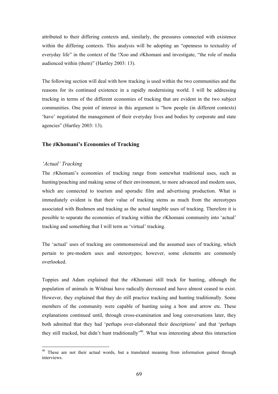attributed to their differing contexts and, similarly, the pressures connected with existence within the differing contexts. This analysis will be adopting an "openness to textuality of everyday life" in the context of the !Xoo and ≠Khomani and investigate, "the role of media audienced within (them)" (Hartley 2003: 13).

The following section will deal with how tracking is used within the two communities and the reasons for its continued existence in a rapidly modernising world. I will be addressing tracking in terms of the different economies of tracking that are evident in the two subject communities. One point of interest in this argument is "how people (in different contexts) 'have' negotiated the management of their everyday lives and bodies by corporate and state agencies" (Hartley 2003: 13).

#### **The ≠Khomani's Economies of Tracking**

## *'Actual' Tracking*

The ≠Khomani's economies of tracking range from somewhat traditional uses, such as hunting/poaching and making sense of their environment, to more advanced and modern uses, which are connected to tourism and sporadic film and advertising production. What is immediately evident is that their value of tracking stems as much from the stereotypes associated with Bushmen and tracking as the actual tangible uses of tracking. Therefore it is possible to separate the economies of tracking within the ≠Khomani community into 'actual' tracking and something that I will term as 'virtual' tracking.

The 'actual' uses of tracking are commonsensical and the assumed uses of tracking, which pertain to pre-modern uses and stereotypes; however, some elements are commonly overlooked.

Toppies and Adam explained that the ≠Khomani still track for hunting, although the population of animals in Witdraai have radically decreased and have almost ceased to exist. However, they explained that they do still practice tracking and hunting traditionally. Some members of the community were capable of hunting using a bow and arrow etc. These explanations continued until, through cross-examination and long conversations later, they both admitted that they had 'perhaps over-elaborated their descriptions' and that 'perhaps they still tracked, but didn't hunt traditionally<sup> $40$ </sup>. What was interesting about this interaction

<sup>&</sup>lt;sup>40</sup> These are not their actual words, but a translated meaning from information gained through interviews.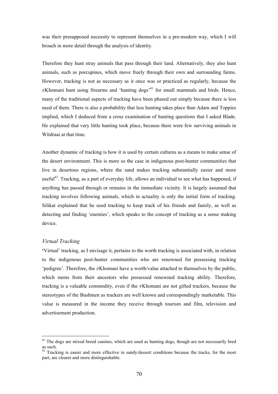was their presupposed necessity to represent themselves in a pre-modern way, which I will broach in more detail through the analysis of identity.

Therefore they hunt stray animals that pass through their land. Alternatively, they also hunt animals, such as porcupines, which move freely through their own and surrounding farms. However, tracking is not as necessary as it once was or practiced as regularly, because the  $\neq$ Khomani hunt using firearms and 'hunting dogs'<sup>41</sup> for small mammals and birds. Hence, many of the traditional aspects of tracking have been phased out simply because there is less need of them. There is also a probability that less hunting takes place than Adam and Toppies implied, which I deduced from a cross examination of hunting questions that I asked Blade. He explained that very little hunting took place, because there were few surviving animals in Witdraai at that time.

Another dynamic of tracking is how it is used by certain cultures as a means to make sense of the desert environment. This is more so the case in indigenous post-hunter communities that live in desertous regions, where the sand makes tracking substantially easier and more useful<sup>42</sup>. Tracking, as a part of everyday life, allows an individual to see what has happened, if anything has passed through or remains in the immediate vicinity. It is largely assumed that tracking involves following animals, which in actuality is only the initial form of tracking. Silikat explained that he used tracking to keep track of his friends and family, as well as detecting and finding 'enemies', which speaks to the concept of tracking as a sense making device.

#### *Virtual Tracking*

**'**Virtual' tracking, as I envisage it, pertains to the worth tracking is associated with, in relation to the indigenous post-hunter communities who are renowned for possessing tracking 'pedigree'. Therefore, the ≠Khomani have a worth/value attached to themselves by the public, which stems from their ancestors who possessed renowned tracking ability. Therefore, tracking is a valuable commodity, even if the ≠Khomani are not gifted trackers, because the stereotypes of the Bushmen as trackers are well known and correspondingly marketable. This value is measured in the income they receive through tourism and film, television and advertisement production.

<sup>&</sup>lt;sup>41</sup> The dogs are mixed breed canines, which are used as hunting dogs, though are not necessarily bred as such.

Tracking is easier and more effective in sandy/dessert conditions because the tracks, for the most part, are clearer and more distinguishable.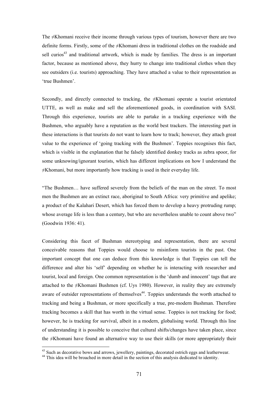The ≠Khomani receive their income through various types of tourism, however there are two definite forms. Firstly, some of the ≠Khomani dress in traditional clothes on the roadside and sell curios<sup>43</sup> and traditional artwork, which is made by families. The dress is an important factor, because as mentioned above, they hurry to change into traditional clothes when they see outsiders (i.e. tourists) approaching. They have attached a value to their representation as 'true Bushmen'.

Secondly, and directly connected to tracking, the ≠Khomani operate a tourist orientated UTTE, as well as make and sell the aforementioned goods, in coordination with SASI. Through this experience, tourists are able to partake in a tracking experience with the Bushmen, who arguably have a reputation as the world best trackers. The interesting part in these interactions is that tourists do not want to learn how to track; however, they attach great value to the experience of 'going tracking with the Bushmen'. Toppies recognises this fact, which is visible in the explanation that he falsely identified donkey tracks as zebra spoor, for some unknowing/ignorant tourists, which has different implications on how I understand the ≠Khomani, but more importantly how tracking is used in their everyday life.

"The Bushmen… have suffered severely from the beliefs of the man on the street. To most men the Bushmen are an extinct race, aboriginal to South Africa: very primitive and apelike; a product of the Kalahari Desert, which has forced them to develop a heavy protruding rump; whose average life is less than a century, but who are nevertheless unable to count above two" (Goodwin 1936: 41).

Considering this facet of Bushman stereotyping and representation, there are several conceivable reasons that Toppies would choose to misinform tourists in the past. One important concept that one can deduce from this knowledge is that Toppies can tell the difference and alter his 'self' depending on whether he is interacting with researcher and tourist, local and foreign. One common representation is the 'dumb and innocent' tags that are attached to the ≠Khomani Bushmen (cf. Uys 1980). However, in reality they are extremely aware of outsider representations of themselves<sup>44</sup>. Toppies understands the worth attached to tracking and being a Bushman, or more specifically a true, pre-modern Bushman. Therefore tracking becomes a skill that has worth in the virtual sense. Toppies is not tracking for food; however, he is tracking for survival, albeit in a modern, globalising world. Through this line of understanding it is possible to conceive that cultural shifts/changes have taken place, since the ≠Khomani have found an alternative way to use their skills (or more appropriately their

<sup>&</sup>lt;sup>43</sup> Such as decorative bows and arrows, jewellery, paintings, decorated ostrich eggs and leatherwear.

<sup>&</sup>lt;sup>44</sup> This idea will be broached in more detail in the section of this analysis dedicated to identity.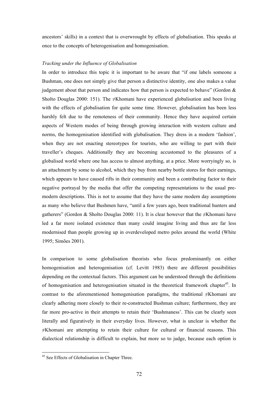ancestors' skills) in a context that is overwrought by effects of globalisation. This speaks at once to the concepts of heterogenisation and homogenisation.

#### *Tracking under the Influence of Globalisation*

In order to introduce this topic it is important to be aware that "if one labels someone a Bushman, one does not simply give that person a distinctive identity, one also makes a value judgement about that person and indicates how that person is expected to behave" (Gordon  $\&$ Sholto Douglas 2000: 151). The  $\neq$ Khomani have experienced globalisation and been living with the effects of globalisation for quite some time. However, globalisation has been less harshly felt due to the remoteness of their community. Hence they have acquired certain aspects of Western modes of being through growing interaction with western culture and norms, the homogenisation identified with globalisation. They dress in a modern 'fashion', when they are not enacting stereotypes for tourists, who are willing to part with their traveller's cheques. Additionally they are becoming accustomed to the pleasures of a globalised world where one has access to almost anything, at a price. More worryingly so, is an attachment by some to alcohol, which they buy from nearby bottle stores for their earnings, which appears to have caused rifts in their community and been a contributing factor to their negative portrayal by the media that offer the competing representations to the usual premodern descriptions. This is not to assume that they have the same modern day assumptions as many who believe that Bushmen have, "until a few years ago, been traditional hunters and gatherers" (Gordon & Sholto Douglas 2000: 11). It is clear however that the  $\neq$ Khomani have led a far more isolated existence than many could imagine living and thus are far less modernised than people growing up in overdeveloped metro poles around the world (White 1995; Simões 2001).

In comparison to some globalisation theorists who focus predominantly on either homogenisation and heterogenisation (cf. Levitt 1983) there are different possibilities depending on the contextual factors. This argument can be understood through the definitions of homogenisation and heterogenisation situated in the theoretical framework chapter<sup>45</sup>. In contrast to the aforementioned homogenisation paradigms, the traditional ≠Khomani are clearly adhering more closely to their re-constructed Bushman culture; furthermore, they are far more pro-active in their attempts to retain their 'Bushmaness'. This can be clearly seen literally and figuratively in their everyday lives. However, what is unclear is whether the ≠Khomani are attempting to retain their culture for cultural or financial reasons. This dialectical relationship is difficult to explain, but more so to judge, because each option is

<sup>&</sup>lt;sup>45</sup> See Effects of Globalisation in Chapter Three.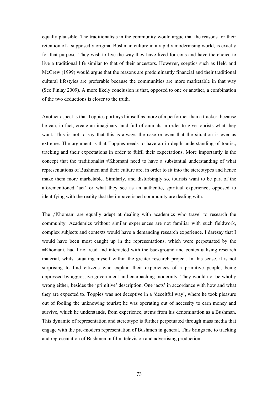equally plausible. The traditionalists in the community would argue that the reasons for their retention of a supposedly original Bushman culture in a rapidly modernising world, is exactly for that purpose. They wish to live the way they have lived for eons and have the choice to live a traditional life similar to that of their ancestors. However, sceptics such as Held and McGrew (1999) would argue that the reasons are predominantly financial and their traditional cultural lifestyles are preferable because the communities are more marketable in that way (See Finlay 2009). A more likely conclusion is that, opposed to one or another, a combination of the two deductions is closer to the truth.

Another aspect is that Toppies portrays himself as more of a performer than a tracker, because he can, in fact, create an imaginary land full of animals in order to give tourists what they want. This is not to say that this is always the case or even that the situation is ever as extreme. The argument is that Toppies needs to have an in depth understanding of tourist, tracking and their expectations in order to fulfil their expectations. More importantly is the concept that the traditionalist ≠Khomani need to have a substantial understanding of what representations of Bushmen and their culture are, in order to fit into the stereotypes and hence make them more marketable. Similarly, and disturbingly so, tourists want to be part of the aforementioned 'act' or what they see as an authentic, spiritual experience, opposed to identifying with the reality that the impoverished community are dealing with.

The  $\neq$ Khomani are equally adept at dealing with academics who travel to research the community. Academics without similar experiences are not familiar with such fieldwork, complex subjects and contexts would have a demanding research experience. I daresay that I would have been most caught up in the representations, which were perpetuated by the ≠Khomani, had I not read and interacted with the background and contextualising research material, whilst situating myself within the greater research project. In this sense, it is not surprising to find citizens who explain their experiences of a primitive people, being oppressed by aggressive government and encroaching modernity. They would not be wholly wrong either, besides the 'primitive' description. One 'acts' in accordance with how and what they are expected to. Toppies was not deceptive in a 'deceitful way', where he took pleasure out of fooling the unknowing tourist; he was operating out of necessity to earn money and survive, which he understands, from experience, stems from his denomination as a Bushman. This dynamic of representation and stereotype is further perpetuated through mass media that engage with the pre-modern representation of Bushmen in general. This brings me to tracking and representation of Bushmen in film, television and advertising production.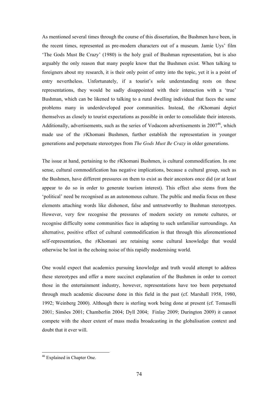As mentioned several times through the course of this dissertation, the Bushmen have been, in the recent times, represented as pre-modern characters out of a museum. Jamie Uys' film 'The Gods Must Be Crazy' (1980) is the holy grail of Bushman representation, but is also arguably the only reason that many people know that the Bushmen exist. When talking to foreigners about my research, it is their only point of entry into the topic, yet it is a point of entry nevertheless. Unfortunately, if a tourist's sole understanding rests on these representations, they would be sadly disappointed with their interaction with a 'true' Bushman, which can be likened to talking to a rural dwelling individual that faces the same problems many in underdeveloped poor communities. Instead, the ≠Khomani depict themselves as closely to tourist expectations as possible in order to consolidate their interests. Additionally, advertisements, such as the series of Vodacom advertisements in  $2007<sup>46</sup>$ , which made use of the ≠Khomani Bushmen, further establish the representation in younger generations and perpetuate stereotypes from *The Gods Must Be Crazy* in older generations.

The issue at hand, pertaining to the ≠Khomani Bushmen, is cultural commodification. In one sense, cultural commodification has negative implications, because a cultural group, such as the Bushmen, have different pressures on them to exist as their ancestors once did (or at least appear to do so in order to generate tourism interest). This effect also stems from the 'political' need be recognised as an autonomous culture. The public and media focus on these elements attaching words like dishonest, false and untrustworthy to Bushman stereotypes. However, very few recognise the pressures of modern society on remote cultures, or recognise difficulty some communities face in adapting to such unfamiliar surroundings. An alternative, positive effect of cultural commodification is that through this aforementioned self-representation, the ≠Khomani are retaining some cultural knowledge that would otherwise be lost in the echoing noise of this rapidly modernising world.

One would expect that academics pursuing knowledge and truth would attempt to address these stereotypes and offer a more succinct explanation of the Bushmen in order to correct those in the entertainment industry, however, representations have too been perpetuated through much academic discourse done in this field in the past (cf. Marshall 1958, 1980, 1992; Weinberg 2000). Although there is sterling work being done at present (cf. Tomaselli 2001; Simões 2001; Chamberlin 2004; Dyll 2004; Finlay 2009; Durington 2009) it cannot compete with the sheer extent of mass media broadcasting in the globalisation context and doubt that it ever will.

 <sup>46</sup> Explained in Chapter One.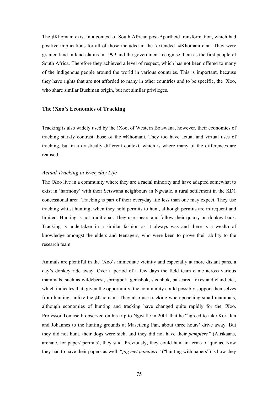The ≠Khomani exist in a context of South African post-Apartheid transformation, which had positive implications for all of those included in the 'extended' ≠Khomani clan. They were granted land in land-claims in 1999 and the government recognise them as the first people of South Africa. Therefore they achieved a level of respect, which has not been offered to many of the indigenous people around the world in various countries. This is important, because they have rights that are not afforded to many in other countries and to be specific, the !Xoo, who share similar Bushman origin, but not similar privileges.

#### **The !Xoo's Economies of Tracking**

Tracking is also widely used by the !Xoo, of Western Botswana, however, their economies of tracking starkly contrast those of the ≠Khomani. They too have actual and virtual uses of tracking, but in a drastically different context, which is where many of the differences are realised.

## *Actual Tracking in Everyday Life*

The !Xoo live in a community where they are a racial minority and have adapted somewhat to exist in 'harmony' with their Setswana neighbours in Ngwatle, a rural settlement in the KD1 concessional area. Tracking is part of their everyday life less than one may expect. They use tracking whilst hunting, when they hold permits to hunt, although permits are infrequent and limited. Hunting is not traditional. They use spears and follow their quarry on donkey back. Tracking is undertaken in a similar fashion as it always was and there is a wealth of knowledge amongst the elders and teenagers, who were keen to prove their ability to the research team.

Animals are plentiful in the !Xoo's immediate vicinity and especially at more distant pans, a day's donkey ride away. Over a period of a few days the field team came across various mammals, such as wildebeest, springbok, gemsbok, steenbok, bat-eared foxes and eland etc., which indicates that, given the opportunity, the community could possibly support themselves from hunting, unlike the ≠Khomani. They also use tracking when poaching small mammals, although economies of hunting and tracking have changed quite rapidly for the !Xoo. Professor Tomaselli observed on his trip to Ngwatle in 2001 that he "agreed to take Kort Jan and Johannes to the hunting grounds at Masetleng Pan, about three hours' drive away. But they did not hunt, their dogs were sick, and they did not have their *pampiere"* (Afrikaans, archaic, for paper/ permits), they said. Previously, they could hunt in terms of quotas. Now they had to have their papers as well; "*jag met pampiere*" ("hunting with papers") is how they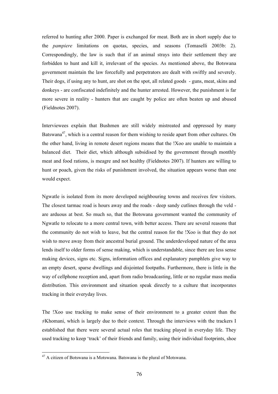referred to hunting after 2000. Paper is exchanged for meat. Both are in short supply due to the *pampiere* limitations on quotas, species, and seasons (Tomaselli 2003b: 2). Correspondingly, the law is such that if an animal strays into their settlement they are forbidden to hunt and kill it, irrelevant of the species. As mentioned above, the Botswana government maintain the law forcefully and perpetrators are dealt with swiftly and severely. Their dogs, if using any to hunt, are shot on the spot, all related goods - guns, meat, skins and donkeys - are confiscated indefinitely and the hunter arrested. However, the punishment is far more severe in reality - hunters that are caught by police are often beaten up and abused (Fieldnotes 2007).

Interviewees explain that Bushmen are still widely mistreated and oppressed by many Batswana<sup>47</sup>, which is a central reason for them wishing to reside apart from other cultures. On the other hand, living in remote desert regions means that the !Xoo are unable to maintain a balanced diet. Their diet, which although subsidised by the government through monthly meat and food rations, is meagre and not healthy (Fieldnotes 2007). If hunters are willing to hunt or poach, given the risks of punishment involved, the situation appears worse than one would expect.

Ngwatle is isolated from its more developed neighbouring towns and receives few visitors. The closest tarmac road is hours away and the roads - deep sandy cutlines through the veld are arduous at best. So much so, that the Botswana government wanted the community of Ngwatle to relocate to a more central town, with better access. There are several reasons that the community do not wish to leave, but the central reason for the !Xoo is that they do not wish to move away from their ancestral burial ground. The underdeveloped nature of the area lends itself to older forms of sense making, which is understandable, since there are less sense making devices, signs etc. Signs, information offices and explanatory pamphlets give way to an empty desert, sparse dwellings and disjointed footpaths. Furthermore, there is little in the way of cellphone reception and, apart from radio broadcasting, little or no regular mass media distribution. This environment and situation speak directly to a culture that incorporates tracking in their everyday lives.

The !Xoo use tracking to make sense of their environment to a greater extent than the ≠Khomani, which is largely due to their context. Through the interviews with the trackers I established that there were several actual roles that tracking played in everyday life. They used tracking to keep 'track' of their friends and family, using their individual footprints, shoe

 <sup>47</sup> A citizen of Botswana is a Motswana. Batswana is the plural of Motswana.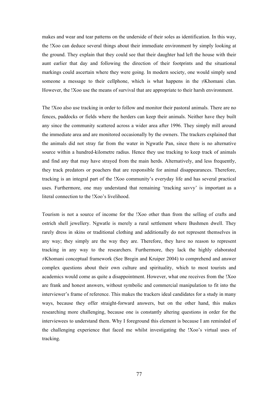makes and wear and tear patterns on the underside of their soles as identification. In this way, the !Xoo can deduce several things about their immediate environment by simply looking at the ground. They explain that they could see that their daughter had left the house with their aunt earlier that day and following the direction of their footprints and the situational markings could ascertain where they were going. In modern society, one would simply send someone a message to their cellphone, which is what happens in the  $\neq$ Khomani clan. However, the !Xoo use the means of survival that are appropriate to their harsh environment.

The !Xoo also use tracking in order to follow and monitor their pastoral animals. There are no fences, paddocks or fields where the herders can keep their animals. Neither have they built any since the community scattered across a wider area after 1996. They simply mill around the immediate area and are monitored occasionally by the owners. The trackers explained that the animals did not stray far from the water in Ngwatle Pan, since there is no alternative source within a hundred-kilometre radius. Hence they use tracking to keep track of animals and find any that may have strayed from the main herds. Alternatively, and less frequently, they track predators or poachers that are responsible for animal disappearances. Therefore, tracking is an integral part of the !Xoo community's everyday life and has several practical uses. Furthermore, one may understand that remaining 'tracking savvy' is important as a literal connection to the !Xoo's livelihood.

Tourism is not a source of income for the !Xoo other than from the selling of crafts and ostrich shell jewellery. Ngwatle is merely a rural settlement where Bushmen dwell. They rarely dress in skins or traditional clothing and additionally do not represent themselves in any way; they simply are the way they are. Therefore, they have no reason to represent tracking in any way to the researchers. Furthermore, they lack the highly elaborated ≠Khomani conceptual framework (See Bregin and Kruiper 2004) to comprehend and answer complex questions about their own culture and spirituality, which to most tourists and academics would come as quite a disappointment. However, what one receives from the !Xoo are frank and honest answers, without symbolic and commercial manipulation to fit into the interviewer's frame of reference. This makes the trackers ideal candidates for a study in many ways, because they offer straight-forward answers, but on the other hand, this makes researching more challenging, because one is constantly altering questions in order for the interviewees to understand them. Why I foreground this element is because I am reminded of the challenging experience that faced me whilst investigating the !Xoo's virtual uses of tracking.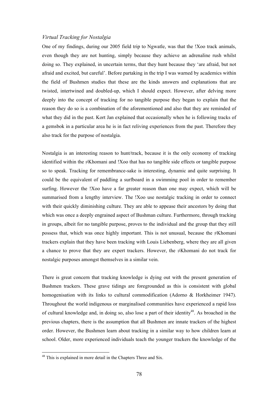## *Virtual Tracking for Nostalgia*

One of my findings, during our 2005 field trip to Ngwatle, was that the !Xoo track animals, even though they are not hunting, simply because they achieve an adrenaline rush whilst doing so. They explained, in uncertain terms, that they hunt because they 'are afraid, but not afraid and excited, but careful'. Before partaking in the trip I was warned by academics within the field of Bushmen studies that these are the kinds answers and explanations that are twisted, intertwined and doubled-up, which I should expect. However, after delving more deeply into the concept of tracking for no tangible purpose they began to explain that the reason they do so is a combination of the aforementioned and also that they are reminded of what they did in the past. Kort Jan explained that occasionally when he is following tracks of a gemsbok in a particular area he is in fact reliving experiences from the past. Therefore they also track for the purpose of nostalgia.

Nostalgia is an interesting reason to hunt/track, because it is the only economy of tracking identified within the ≠Khomani and !Xoo that has no tangible side effects or tangible purpose so to speak. Tracking for remembrance-sake is interesting, dynamic and quite surprising. It could be the equivalent of paddling a surfboard in a swimming pool in order to remember surfing. However the !Xoo have a far greater reason than one may expect, which will be summarised from a lengthy interview. The !Xoo use nostalgic tracking in order to connect with their quickly diminishing culture. They are able to appease their ancestors by doing that which was once a deeply engrained aspect of Bushman culture. Furthermore, through tracking in groups, albeit for no tangible purpose, proves to the individual and the group that they still possess that, which was once highly important. This is not unusual, because the ≠Khomani trackers explain that they have been tracking with Louis Liebenberg, where they are all given a chance to prove that they are expert trackers. However, the ≠Khomani do not track for nostalgic purposes amongst themselves in a similar vein.

There is great concern that tracking knowledge is dying out with the present generation of Bushmen trackers. These grave tidings are foregrounded as this is consistent with global homogenisation with its links to cultural commodification (Adorno & Horkheimer 1947). Throughout the world indigenous or marginalised communities have experienced a rapid loss of cultural knowledge and, in doing so, also lose a part of their identity<sup>48</sup>. As broached in the previous chapters, there is the assumption that all Bushmen are innate trackers of the highest order. However, the Bushmen learn about tracking in a similar way to how children learn at school. Older, more experienced individuals teach the younger trackers the knowledge of the

 <sup>48</sup> This is explained in more detail in the Chapters Three and Six.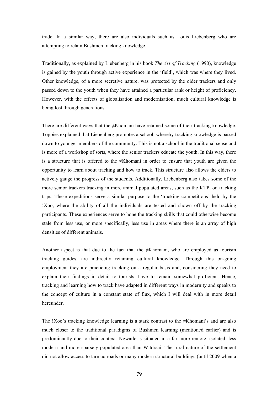trade. In a similar way, there are also individuals such as Louis Liebenberg who are attempting to retain Bushmen tracking knowledge.

Traditionally, as explained by Liebenberg in his book *The Art of Tracking* (1990), knowledge is gained by the youth through active experience in the 'field', which was where they lived. Other knowledge, of a more secretive nature, was protected by the older trackers and only passed down to the youth when they have attained a particular rank or height of proficiency. However, with the effects of globalisation and modernisation, much cultural knowledge is being lost through generations.

There are different ways that the ≠Khomani have retained some of their tracking knowledge. Toppies explained that Liebenberg promotes a school, whereby tracking knowledge is passed down to younger members of the community. This is not a school in the traditional sense and is more of a workshop of sorts, where the senior trackers educate the youth. In this way, there is a structure that is offered to the ≠Khomani in order to ensure that youth are given the opportunity to learn about tracking and how to track. This structure also allows the elders to actively gauge the progress of the students. Additionally, Liebenberg also takes some of the more senior trackers tracking in more animal populated areas, such as the KTP, on tracking trips. These expeditions serve a similar purpose to the 'tracking competitions' held by the !Xoo, where the ability of all the individuals are tested and shown off by the tracking participants. These experiences serve to hone the tracking skills that could otherwise become stale from less use, or more specifically, less use in areas where there is an array of high densities of different animals.

Another aspect is that due to the fact that the  $\neq$ Khomani, who are employed as tourism tracking guides, are indirectly retaining cultural knowledge. Through this on-going employment they are practicing tracking on a regular basis and, considering they need to explain their findings in detail to tourists, have to remain somewhat proficient. Hence, tracking and learning how to track have adapted in different ways in modernity and speaks to the concept of culture in a constant state of flux, which I will deal with in more detail hereunder.

The !Xoo's tracking knowledge learning is a stark contrast to the ≠Khomani's and are also much closer to the traditional paradigms of Bushmen learning (mentioned earlier) and is predominantly due to their context. Ngwatle is situated in a far more remote, isolated, less modern and more sparsely populated area than Witdraai. The rural nature of the settlement did not allow access to tarmac roads or many modern structural buildings (until 2009 when a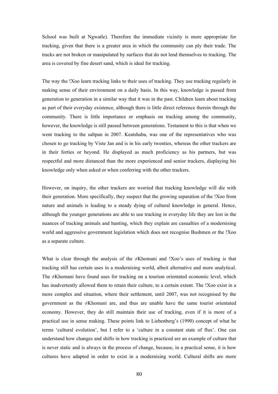School was built at Ngwatle). Therefore the immediate vicinity is more appropriate for tracking, given that there is a greater area in which the community can ply their trade. The tracks are not broken or manipulated by surfaces that do not lend themselves to tracking. The area is covered by fine desert sand, which is ideal for tracking.

The way the !Xoo learn tracking links to their uses of tracking. They use tracking regularly in making sense of their environment on a daily basis. In this way, knowledge is passed from generation to generation in a similar way that it was in the past. Children learn about tracking as part of their everyday existence, although there is little direct reference therein through the community. There is little importance or emphasis on tracking among the community, however, the knowledge is still passed between generations. Testament to this is that when we went tracking to the saltpan in 2007. Keatshaba, was one of the representatives who was chosen to go tracking by Viste Jan and is in his early twenties, whereas the other trackers are in their forties or beyond. He displayed as much proficiency as his partners, but was respectful and more distanced than the more experienced and senior trackers, displaying his knowledge only when asked or when conferring with the other trackers.

However, on inquiry, the other trackers are worried that tracking knowledge will die with their generation. More specifically, they suspect that the growing separation of the !Xoo from nature and animals is leading to a steady dying of cultural knowledge in general. Hence, although the younger generations are able to use tracking in everyday life they are lost in the nuances of tracking animals and hunting, which they explain are casualties of a modernising world and aggressive government legislation which does not recognise Bushmen or the !Xoo as a separate culture.

What is clear through the analysis of the  $\neq$ Khomani and !Xoo's uses of tracking is that tracking still has certain uses in a modernising world, albeit alternative and more analytical. The ≠Khomani have found uses for tracking on a tourism orientated economic level, which has inadvertently allowed them to retain their culture, to a certain extent. The !Xoo exist in a more complex and situation, where their settlement, until 2007, was not recognised by the government as the ≠Khomani are, and thus are unable have the same tourist orientated economy. However, they do still maintain their use of tracking, even if it is more of a practical use in sense making. These points link to Liebenberg's (1990) concept of what he terms 'cultural evolution', but I refer to a 'culture in a constant state of flux'. One can understand how changes and shifts in how tracking is practiced are an example of culture that is never static and is always in the process of change, because, in a practical sense, it is how cultures have adapted in order to exist in a modernising world. Cultural shifts are more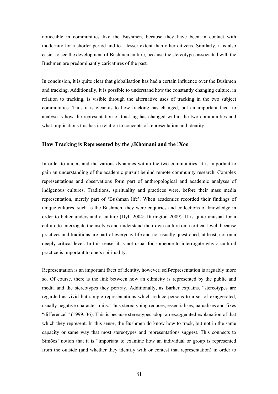noticeable in communities like the Bushmen, because they have been in contact with modernity for a shorter period and to a lesser extent than other citizens. Similarly, it is also easier to see the development of Bushmen culture, because the stereotypes associated with the Bushmen are predominantly caricatures of the past.

In conclusion, it is quite clear that globalisation has had a certain influence over the Bushmen and tracking. Additionally, it is possible to understand how the constantly changing culture, in relation to tracking, is visible through the alternative uses of tracking in the two subject communities. Thus it is clear as to how tracking has changed, but an important facet to analyse is how the representation of tracking has changed within the two communities and what implications this has in relation to concepts of representation and identity.

#### **How Tracking is Represented by the ≠Khomani and the !Xoo**

In order to understand the various dynamics within the two communities, it is important to gain an understanding of the academic pursuit behind remote community research. Complex representations and observations form part of anthropological and academic analyses of indigenous cultures. Traditions, spirituality and practices were, before their mass media representation, merely part of 'Bushman life'. When academics recorded their findings of unique cultures, such as the Bushmen, they were enquiries and collections of knowledge in order to better understand a culture (Dyll 2004; Durington 2009). It is quite unusual for a culture to interrogate themselves and understand their own culture on a critical level, because practices and traditions are part of everyday life and not usually questioned; at least, not on a deeply critical level. In this sense, it is not usual for someone to interrogate why a cultural practice is important to one's spirituality.

Representation is an important facet of identity, however, self-representation is arguably more so. Of course, there is the link between how an ethnicity is represented by the public and media and the stereotypes they portray. Additionally, as Barker explains, "stereotypes are regarded as vivid but simple representations which reduce persons to a set of exaggerated, usually negative character traits. Thus stereotyping reduces, essentialises, natualises and fixes "difference"" (1999: 36). This is because stereotypes adopt an exaggerated explanation of that which they represent. In this sense, the Bushmen do know how to track, but not in the same capacity or same way that most stereotypes and representations suggest. This connects to Simões' notion that it is "important to examine how an individual or group is represented from the outside (and whether they identify with or contest that representation) in order to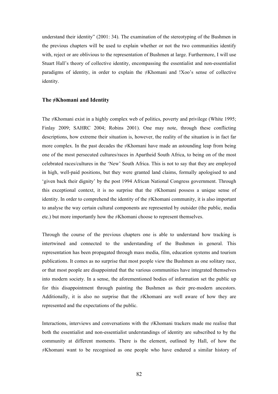understand their identity" (2001: 34). The examination of the stereotyping of the Bushmen in the previous chapters will be used to explain whether or not the two communities identify with, reject or are oblivious to the representation of Bushmen at large. Furthermore, I will use Stuart Hall's theory of collective identity, encompassing the essentialist and non-essentialist paradigms of identity, in order to explain the ≠Khomani and !Xoo's sense of collective identity.

#### **The ≠Khomani and Identity**

The ≠Khomani exist in a highly complex web of politics, poverty and privilege (White 1995; Finlay 2009; SAHRC 2004; Robins 2001). One may note, through these conflicting descriptions, how extreme their situation is, however, the reality of the situation is in fact far more complex. In the past decades the  $\neq$ Khomani have made an astounding leap from being one of the most persecuted cultures/races in Apartheid South Africa, to being on of the most celebrated races/cultures in the 'New' South Africa. This is not to say that they are employed in high, well-paid positions, but they were granted land claims, formally apologised to and 'given back their dignity' by the post 1994 African National Congress government. Through this exceptional context, it is no surprise that the  $\neq$ Khomani possess a unique sense of identity. In order to comprehend the identity of the ≠Khomani community, it is also important to analyse the way certain cultural components are represented by outsider (the public, media etc.) but more importantly how the ≠Khomani choose to represent themselves.

Through the course of the previous chapters one is able to understand how tracking is intertwined and connected to the understanding of the Bushmen in general. This representation has been propagated through mass media, film, education systems and tourism publications. It comes as no surprise that most people view the Bushmen as one solitary race, or that most people are disappointed that the various communities have integrated themselves into modern society. In a sense, the aforementioned bodies of information set the public up for this disappointment through painting the Bushmen as their pre-modern ancestors. Additionally, it is also no surprise that the  $\neq$ Khomani are well aware of how they are represented and the expectations of the public.

Interactions, interviews and conversations with the ≠Khomani trackers made me realise that both the essentialist and non-essentialist understandings of identity are subscribed to by the community at different moments. There is the element, outlined by Hall, of how the ≠Khomani want to be recognised as one people who have endured a similar history of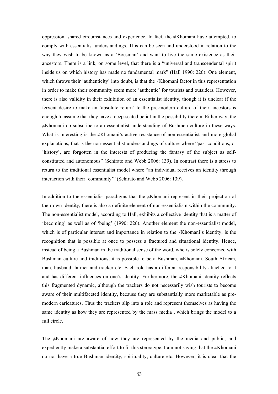oppression, shared circumstances and experience. In fact, the  $\neq$ Khomani have attempted, to comply with essentialist understandings. This can be seen and understood in relation to the way they wish to be known as a 'Boesman' and want to live the same existence as their ancestors. There is a link, on some level, that there is a "universal and transcendental spirit inside us on which history has made no fundamental mark" (Hall 1990: 226). One element, which throws their 'authenticity' into doubt, is that the  $\neq$ Khomani factor in this representation in order to make their community seem more 'authentic' for tourists and outsiders. However, there is also validity in their exhibition of an essentialist identity, though it is unclear if the fervent desire to make an 'absolute return' to the pre-modern culture of their ancestors is enough to assume that they have a deep-seated belief in the possibility therein. Either way, the ≠Khomani do subscribe to an essentialist understanding of Bushmen culture in these ways. What is interesting is the ≠Khomani's active resistance of non-essentialist and more global explanations, that is the non-essentialist understandings of culture where "past conditions, or 'history', are forgotten in the interests of producing the fantasy of the subject as selfconstituted and autonomous" (Schirato and Webb 2006: 139). In contrast there is a stress to return to the traditional essentialist model where "an individual receives an identity through interaction with their 'community'" (Schirato and Webb 2006: 139).

In addition to the essentialist paradigms that the  $\neq$ Khomani represent in their projection of their own identity, there is also a definite element of non-essentialism within the community. The non-essentialist model, according to Hall, exhibits a collective identity that is a matter of 'becoming' as well as of 'being' (1990: 226). Another element the non-essentialist model, which is of particular interest and importance in relation to the ≠Khomani's identity, is the recognition that is possible at once to possess a fractured and situational identity. Hence, instead of being a Bushman in the traditional sense of the word, who is solely concerned with Bushman culture and traditions, it is possible to be a Bushman,  $\neq$ Khomani, South African, man, husband, farmer and tracker etc. Each role has a different responsibility attached to it and has different influences on one's identity. Furthermore, the ≠Khomani identity reflects this fragmented dynamic, although the trackers do not necessarily wish tourists to become aware of their multifaceted identity, because they are substantially more marketable as premodern caricatures. Thus the trackers slip into a role and represent themselves as having the same identity as how they are represented by the mass media , which brings the model to a full circle.

The ≠Khomani are aware of how they are represented by the media and public, and expediently make a substantial effort to fit this stereotype. I am not saying that the  $\neq$ Khomani do not have a true Bushman identity, spirituality, culture etc. However, it is clear that the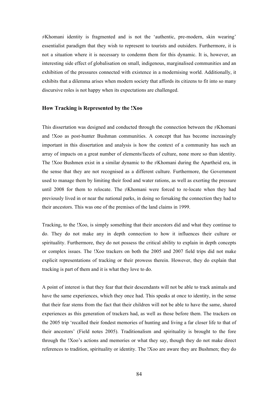≠Khomani identity is fragmented and is not the 'authentic, pre-modern, skin wearing' essentialist paradigm that they wish to represent to tourists and outsiders. Furthermore, it is not a situation where it is necessary to condemn them for this dynamic. It is, however, an interesting side effect of globalisation on small, indigenous, marginalised communities and an exhibition of the pressures connected with existence in a modernising world. Additionally, it exhibits that a dilemma arises when modern society that affords its citizens to fit into so many discursive roles is not happy when its expectations are challenged.

#### **How Tracking is Represented by the !Xoo**

This dissertation was designed and conducted through the connection between the ≠Khomani and !Xoo as post-hunter Bushman communities. A concept that has become increasingly important in this dissertation and analysis is how the context of a community has such an array of impacts on a great number of elements/facets of culture, none more so than identity. The !Xoo Bushmen exist in a similar dynamic to the ≠Khomani during the Apartheid era, in the sense that they are not recognised as a different culture. Furthermore, the Government used to manage them by limiting their food and water rations, as well as exerting the pressure until 2008 for them to relocate. The ≠Khomani were forced to re-locate when they had previously lived in or near the national parks, in doing so forsaking the connection they had to their ancestors. This was one of the premises of the land claims in 1999.

Tracking, to the !Xoo, is simply something that their ancestors did and what they continue to do. They do not make any in depth connection to how it influences their culture or spirituality. Furthermore, they do not possess the critical ability to explain in depth concepts or complex issues. The !Xoo trackers on both the 2005 and 2007 field trips did not make explicit representations of tracking or their prowess therein. However, they do explain that tracking is part of them and it is what they love to do.

A point of interest is that they fear that their descendants will not be able to track animals and have the same experiences, which they once had. This speaks at once to identity, in the sense that their fear stems from the fact that their children will not be able to have the same, shared experiences as this generation of trackers had, as well as those before them. The trackers on the 2005 trip 'recalled their fondest memories of hunting and living a far closer life to that of their ancestors' (Field notes 2005). Traditionalism and spirituality is brought to the fore through the !Xoo's actions and memories or what they say, though they do not make direct references to tradition, spirituality or identity. The !Xoo are aware they are Bushmen; they do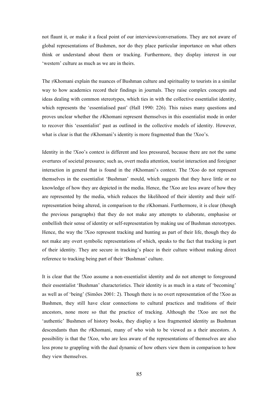not flaunt it, or make it a focal point of our interviews/conversations. They are not aware of global representations of Bushmen, nor do they place particular importance on what others think or understand about them or tracking. Furthermore, they display interest in our 'western' culture as much as we are in theirs.

The  $\neq$ Khomani explain the nuances of Bushman culture and spirituality to tourists in a similar way to how academics record their findings in journals. They raise complex concepts and ideas dealing with common stereotypes, which ties in with the collective essentialist identity, which represents the 'essentialised past' (Hall 1990: 226). This raises many questions and proves unclear whether the ≠Khomani represent themselves in this essentialist mode in order to recover this 'essentialist' past as outlined in the collective models of identity. However, what is clear is that the  $\neq$ Khomani's identity is more fragmented than the !Xoo's.

Identity in the !Xoo's context is different and less pressured, because there are not the same overtures of societal pressures; such as, overt media attention, tourist interaction and foreigner interaction in general that is found in the ≠Khomani's context. The !Xoo do not represent themselves in the essentialist 'Bushman' mould, which suggests that they have little or no knowledge of how they are depicted in the media. Hence, the !Xoo are less aware of how they are represented by the media, which reduces the likelihood of their identity and their selfrepresentation being altered, in comparison to the  $\neq$ Khomani. Furthermore, it is clear (though the previous paragraphs) that they do not make any attempts to elaborate, emphasise or embellish their sense of identity or self-representation by making use of Bushman stereotypes. Hence, the way the !Xoo represent tracking and hunting as part of their life, though they do not make any overt symbolic representations of which, speaks to the fact that tracking is part of their identity. They are secure in tracking's place in their culture without making direct reference to tracking being part of their 'Bushman' culture.

It is clear that the !Xoo assume a non-essentialist identity and do not attempt to foreground their essentialist 'Bushman' characteristics. Their identity is as much in a state of 'becoming' as well as of 'being' (Simões 2001: 2). Though there is no overt representation of the !Xoo as Bushmen, they still have clear connections to cultural practices and traditions of their ancestors, none more so that the practice of tracking. Although the !Xoo are not the 'authentic' Bushmen of history books, they display a less fragmented identity as Bushman descendants than the ≠Khomani, many of who wish to be viewed as a their ancestors. A possibility is that the !Xoo, who are less aware of the representations of themselves are also less prone to grappling with the dual dynamic of how others view them in comparison to how they view themselves.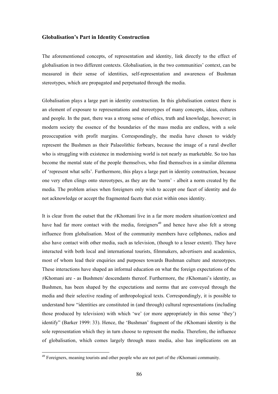#### **Globalisation's Part in Identity Construction**

The aforementioned concepts, of representation and identity, link directly to the effect of globalisation in two different contexts. Globalisation, in the two communities' context, can be measured in their sense of identities, self-representation and awareness of Bushman stereotypes, which are propagated and perpetuated through the media.

Globalisation plays a large part in identity construction. In this globalisation context there is an element of exposure to representations and stereotypes of many concepts, ideas, cultures and people. In the past, there was a strong sense of ethics, truth and knowledge, however; in modern society the essence of the boundaries of the mass media are endless, with a sole preoccupation with profit margins. Correspondingly, the media have chosen to widely represent the Bushmen as their Palaeolithic forbears, because the image of a rural dweller who is struggling with existence in modernising world is not nearly as marketable. So too has become the mental state of the people themselves, who find themselves in a similar dilemma of 'represent what sells'. Furthermore, this plays a large part in identity construction, because one very often clings onto stereotypes, as they are the 'norm' - albeit a norm created by the media. The problem arises when foreigners only wish to accept one facet of identity and do not acknowledge or accept the fragmented facets that exist within ones identity.

It is clear from the outset that the ≠Khomani live in a far more modern situation/context and have had far more contact with the media, foreigners<sup> $49$ </sup> and hence have also felt a strong influence from globalisation. Most of the community members have cellphones, radios and also have contact with other media, such as television, (though to a lesser extent). They have interacted with both local and international tourists, filmmakers, advertisers and academics, most of whom lead their enquiries and purposes towards Bushman culture and stereotypes. These interactions have shaped an informal education on what the foreign expectations of the  $\neq$ Khomani are - as Bushmen/ descendants thereof. Furthermore, the  $\neq$ Khomani's identity, as Bushmen, has been shaped by the expectations and norms that are conveyed through the media and their selective reading of anthropological texts. Correspondingly, it is possible to understand how "identities are constituted in (and through) cultural representations (including those produced by television) with which 'we' (or more appropriately in this sense 'they') identify" (Barker 1999: 33). Hence, the 'Bushman' fragment of the ≠Khomani identity is the sole representation which they in turn choose to represent the media. Therefore, the influence of globalisation, which comes largely through mass media, also has implications on an

 <sup>49</sup> Foreigners, meaning tourists and other people who are not part of the ≠Khomani community.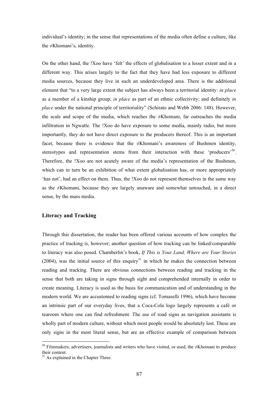individual's identity; in the sense that representations of the media often define a culture, like the ≠Khomani's, identity.

On the other hand, the !Xoo have 'felt' the effects of globalisation to a lesser extent and in a different way. This arises largely to the fact that they have had less exposure to different media sources, because they live in such an underdeveloped area. There is the additional element that "to a very large extent the subject has always been a territorial identity: *in place* as a member of a kinship group; *in place* as part of an ethnic collectivity; and definitely *in place* under the national principle of territoriality" (Schirato and Webb 2006: 148). However, the scale and scope of the media, which reaches the ≠Khomani, far outreaches the media infiltration in Ngwatle. The !Xoo do have exposure to some media, mainly radio, but more importantly, they do not have direct exposure to the producers thereof. This is an important facet, because there is evidence that the ≠Khomani's awareness of Bushmen identity, stereotypes and representation stems from their interaction with these 'producers'<sup>50</sup>. Therefore, the !Xoo are not acutely aware of the media's representation of the Bushmen, which can in turn be an exhibition of what extent globalisation has, or more appropriately 'has not', had an effect on them. Thus, the !Xoo do not represent themselves in the same way as the ≠Khomani, because they are largely unaware and somewhat untouched, in a direct sense, by the mass media.

#### **Literacy and Tracking**

Through this dissertation, the reader has been offered various accounts of how complex the practice of tracking is, however; another question of how tracking can be linked/comparable to literacy was also posed. Chamberlin's book, *If This is Your Land, Where are Your Stories*  (2004), was the initial source of this enquiry<sup>51</sup> in which he makes the connection between reading and tracking. There are obvious connections between reading and tracking in the sense that both are taking in signs through sight and comprehended internally in order to create meaning. Literacy is used as the basis for communication and of understanding in the modern world. We are accustomed to reading signs (cf. Tomaselli 1996), which have become an intrinsic part of our everyday lives, that a Coca-Cola logo largely represents a café or tearoom where one can find refreshment. The use of road signs as navigation assistants is wholly part of modern culture, without which most people would be absolutely lost. These are only signs in the most literal sense, but are an effective example of comparison between

 <sup>50</sup> Filmmakers, advertisers, journalists and writers who have visited, or used, the ≠Khomani to produce their content.

<sup>&</sup>lt;sup>51</sup> As explained in the Chapter Three.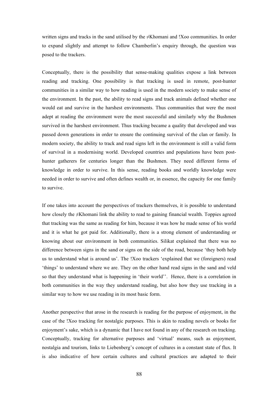written signs and tracks in the sand utilised by the ≠Khomani and !Xoo communities. In order to expand slightly and attempt to follow Chamberlin's enquiry through, the question was posed to the trackers.

Conceptually, there is the possibility that sense-making qualities expose a link between reading and tracking. One possibility is that tracking is used in remote, post-hunter communities in a similar way to how reading is used in the modern society to make sense of the environment. In the past, the ability to read signs and track animals defined whether one would eat and survive in the harshest environments. Thus communities that were the most adept at reading the environment were the most successful and similarly why the Bushmen survived in the harshest environment. Thus tracking became a quality that developed and was passed down generations in order to ensure the continuing survival of the clan or family. In modern society, the ability to track and read signs left in the environment is still a valid form of survival in a modernising world. Developed countries and populations have been posthunter gatherers for centuries longer than the Bushmen. They need different forms of knowledge in order to survive. In this sense, reading books and worldly knowledge were needed in order to survive and often defines wealth or, in essence, the capacity for one family to survive.

If one takes into account the perspectives of trackers themselves, it is possible to understand how closely the  $\neq$ Khomani link the ability to read to gaining financial wealth. Toppies agreed that tracking was the same as reading for him, because it was how he made sense of his world and it is what he got paid for. Additionally, there is a strong element of understanding or knowing about our environment in both communities. Silikat explained that there was no difference between signs in the sand or signs on the side of the road, because 'they both help us to understand what is around us'. The !Xoo trackers 'explained that we (foreigners) read 'things' to understand where we are. They on the other hand read signs in the sand and veld so that they understand what is happening in 'their world''. Hence, there is a correlation in both communities in the way they understand reading, but also how they use tracking in a similar way to how we use reading in its most basic form.

Another perspective that arose in the research is reading for the purpose of enjoyment, in the case of the !Xoo tracking for nostalgic purposes. This is akin to reading novels or books for enjoyment's sake, which is a dynamic that I have not found in any of the research on tracking. Conceptually, tracking for alternative purposes and 'virtual' means, such as enjoyment, nostalgia and tourism, links to Liebenberg's concept of cultures in a constant state of flux. It is also indicative of how certain cultures and cultural practices are adapted to their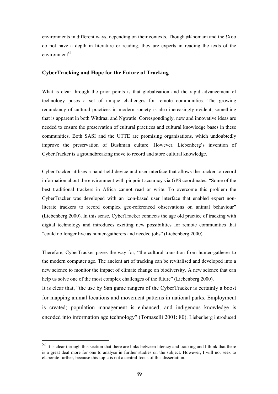environments in different ways, depending on their contexts. Though ≠Khomani and the !Xoo do not have a depth in literature or reading, they are experts in reading the texts of the  $environment<sup>52</sup>$ 

## **CyberTracking and Hope for the Future of Tracking**

What is clear through the prior points is that globalisation and the rapid advancement of technology poses a set of unique challenges for remote communities. The growing redundancy of cultural practices in modern society is also increasingly evident, something that is apparent in both Witdraai and Ngwatle. Correspondingly, new and innovative ideas are needed to ensure the preservation of cultural practices and cultural knowledge bases in these communities. Both SASI and the UTTE are promising organisations, which undoubtedly improve the preservation of Bushman culture. However, Liebenberg's invention of CyberTracker is a groundbreaking move to record and store cultural knowledge.

CyberTracker utilises a hand-held device and user interface that allows the tracker to record information about the environment with pinpoint accuracy via GPS coordinates. "Some of the best traditional trackers in Africa cannot read or write. To overcome this problem the CyberTracker was developed with an icon-based user interface that enabled expert nonliterate trackers to record complex geo-referenced observations on animal behaviour" (Liebenberg 2000). In this sense, CyberTracker connects the age old practice of tracking with digital technology and introduces exciting new possibilities for remote communities that "could no longer live as hunter-gatherers and needed jobs" (Liebenberg 2000).

Therefore, CyberTracker paves the way for, "the cultural transition from hunter-gatherer to the modern computer age. The ancient art of tracking can be revitalised and developed into a new science to monitor the impact of climate change on biodiversity. A new science that can help us solve one of the most complex challenges of the future" (Liebenberg 2000).

It is clear that, "the use by San game rangers of the CyberTracker is certainly a boost for mapping animal locations and movement patterns in national parks. Employment is created; population management is enhanced; and indigenous knowledge is encoded into information age technology" (Tomaselli 2001: 80). Liebenberg introduced

 $52$  It is clear through this section that there are links between literacy and tracking and I think that there is a great deal more for one to analyse in further studies on the subject. However, I will not seek to elaborate further, because this topic is not a central focus of this dissertation.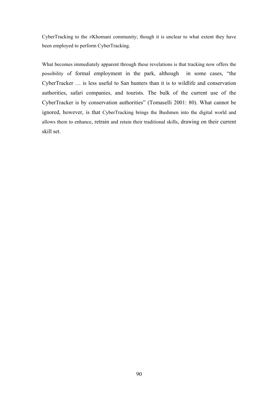CyberTracking to the  $\neq$ Khomani community; though it is unclear to what extent they have been employed to perform CyberTracking.

What becomes immediately apparent through these revelations is that tracking now offers the possibility of formal employment in the park, although in some cases, "the CyberTracker … is less useful to San hunters than it is to wildlife and conservation authorities, safari companies, and tourists. The bulk of the current use of the CyberTracker is by conservation authorities" (Tomaselli 2001: 80). What cannot be ignored, however, is that CyberTracking brings the Bushmen into the digital world and allows them to enhance, retrain and retain their traditional skills, drawing on their current skill set.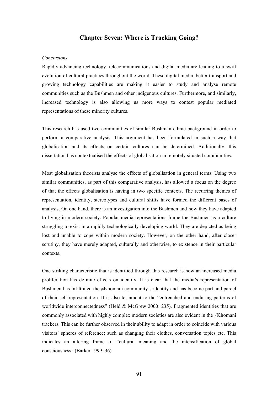## **Chapter Seven: Where is Tracking Going?**

#### *Conclusions*

Rapidly advancing technology, telecommunications and digital media are leading to a swift evolution of cultural practices throughout the world. These digital media, better transport and growing technology capabilities are making it easier to study and analyse remote communities such as the Bushmen and other indigenous cultures. Furthermore, and similarly, increased technology is also allowing us more ways to contest popular mediated representations of these minority cultures.

This research has used two communities of similar Bushman ethnic background in order to perform a comparative analysis. This argument has been formulated in such a way that globalisation and its effects on certain cultures can be determined. Additionally, this dissertation has contextualised the effects of globalisation in remotely situated communities.

Most globalisation theorists analyse the effects of globalisation in general terms. Using two similar communities, as part of this comparative analysis, has allowed a focus on the degree of that the effects globalisation is having in two specific contexts. The recurring themes of representation, identity, stereotypes and cultural shifts have formed the different bases of analysis. On one hand, there is an investigation into the Bushmen and how they have adapted to living in modern society. Popular media representations frame the Bushmen as a culture struggling to exist in a rapidly technologically developing world. They are depicted as being lost and unable to cope within modern society. However, on the other hand, after closer scrutiny, they have merely adapted, culturally and otherwise, to existence in their particular contexts.

One striking characteristic that is identified through this research is how an increased media proliferation has definite effects on identity. It is clear that the media's representation of Bushmen has infiltrated the ≠Khomani community's identity and has become part and parcel of their self-representation. It is also testament to the "entrenched and enduring patterns of worldwide interconnectedness" (Held & McGrew 2000: 235). Fragmented identities that are commonly associated with highly complex modern societies are also evident in the ≠Khomani trackers. This can be further observed in their ability to adapt in order to coincide with various visitors' spheres of reference; such as changing their clothes, conversation topics etc. This indicates an altering frame of "cultural meaning and the intensification of global consciousness" (Barker 1999: 36).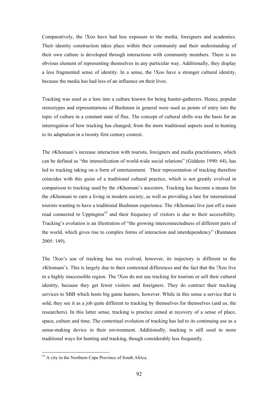Comparatively, the !Xoo have had less exposure to the media, foreigners and academics. Their identity construction takes place within their community and their understanding of their own culture is developed through interactions with community members. There is no obvious element of representing themselves in any particular way. Additionally, they display a less fragmented sense of identity. In a sense, the !Xoo have a stronger cultural identity, because the media has had less of an influence on their lives.

Tracking was used as a lens into a culture known for being hunter-gatherers. Hence, popular stereotypes and representations of Bushmen in general were used as points of entry into the topic of culture in a constant state of flux. The concept of cultural shifts was the basis for an interrogation of how tracking has changed; from the more traditional aspects used in hunting to its adaptation in a twenty first century context.

The ≠Khomani's increase interaction with tourists, foreigners and media practitioners, which can be defined as "the intensification of world-wide social relations" (Giddens 1990: 64), has led to tracking taking on a form of entertainment. Their representation of tracking therefore coincides with this guise of a traditional cultural practice, which is not greatly evolved in comparison to tracking used by the  $\neq$ Khomani's ancestors. Tracking has become a means for the ≠Khomani to earn a living in modern society, as well as providing a lure for international tourists wanting to have a traditional Bushman experience. The ≠Khomani live just off a main road connected to Uppington<sup>53</sup> and their frequency of visitors is due to their accessibility. Tracking's evolution is an illustration of "the growing interconnectedness of different parts of the world, which gives rise to complex forms of interaction and interdependency" (Rantanen 2005: 149).

The !Xoo's use of tracking has too evolved, however, its trajectory is different to the ≠Khomani's. This is largely due to their contextual differences and the fact that the !Xoo live in a highly inaccessible region. The !Xoo do not use tracking for tourism or sell their cultural identity, because they get fewer visitors and foreigners. They do contract their tracking services to SBB which hosts big game hunters, however. While in this sense a service that is sold, they see it as a job quite different to tracking by themselves for themselves (and us, the researchers). In this latter sense, tracking is practice aimed at recovery of a sense of place, space, culture and time. The contextual evolution of tracking has led to its continuing use as a sense-making device in their environment. Additionally, tracking is still used in more traditional ways for hunting and tracking, though considerably less frequently.

 $53$  A city in the Northern Cape Province of South Africa.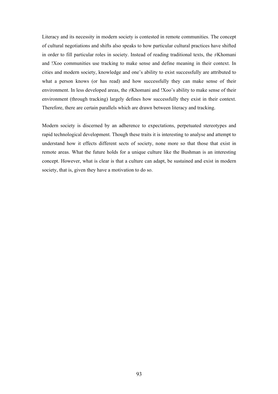Literacy and its necessity in modern society is contested in remote communities. The concept of cultural negotiations and shifts also speaks to how particular cultural practices have shifted in order to fill particular roles in society. Instead of reading traditional texts, the ≠Khomani and !Xoo communities use tracking to make sense and define meaning in their context. In cities and modern society, knowledge and one's ability to exist successfully are attributed to what a person knows (or has read) and how successfully they can make sense of their environment. In less developed areas, the ≠Khomani and !Xoo's ability to make sense of their environment (through tracking) largely defines how successfully they exist in their context. Therefore, there are certain parallels which are drawn between literacy and tracking.

Modern society is discerned by an adherence to expectations, perpetuated stereotypes and rapid technological development. Though these traits it is interesting to analyse and attempt to understand how it effects different sects of society, none more so that those that exist in remote areas. What the future holds for a unique culture like the Bushman is an interesting concept. However, what is clear is that a culture can adapt, be sustained and exist in modern society, that is, given they have a motivation to do so.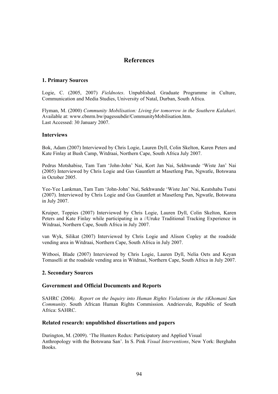# **References**

## **1. Primary Sources**

Logie, C. (2005, 2007) *Fieldnotes*. Unpublished. Graduate Programme in Culture, Communication and Media Studies, University of Natal, Durban, South Africa.

Flyman, M. (2000) *Community Mobilisation: Living for tomorrow in the Southern Kalahari*. Available at: www.cbnrm.bw/pagessubdir/CommunityMobilisation.htm. Last Accessed: 30 January 2007.

## **Interviews**

Bok, Adam (2007) Interviewed by Chris Logie, Lauren Dyll, Colin Skelton, Karen Peters and Kate Finlay at Bush Camp, Witdraai, Northern Cape, South Africa July 2007.

Pedrus Motshabise, Tam Tam 'John-John' Nai, Kort Jan Nai, Sekhwande 'Wiste Jan' Nai (2005) Interviewed by Chris Logie and Gus Gauntlett at Masetleng Pan, Ngwatle, Botswana in October 2005.

Yee-Yee Lankman, Tam Tam 'John-John' Nai, Sekhwande 'Wiste Jan' Nai, Keatshaba Tsatsi (2007). Interviewed by Chris Logie and Gus Gauntlett at Masetleng Pan, Ngwatle, Botswana in July 2007.

Kruiper, Toppies (2007) Interviewed by Chris Logie, Lauren Dyll, Colin Skelton, Karen Peters and Kate Finlay while participating in a //Uruke Traditional Tracking Experience in Witdraai, Northern Cape, South Africa in July 2007.

van Wyk, Silikat (2007) Interviewed by Chris Logie and Alison Copley at the roadside vending area in Witdraai, Northern Cape, South Africa in July 2007.

Witbooi, Blade (2007) Interviewed by Chris Logie, Lauren Dyll, Nelia Oets and Keyan Tomaselli at the roadside vending area in Witdraai, Northern Cape, South Africa in July 2007.

#### **2. Secondary Sources**

#### **Government and Official Documents and Reports**

SAHRC (2004). Report on the Inquiry into Human Rights Violations in the ≠*Khomani San Community*. South African Human Rights Commission. Andriesvale, Republic of South Africa: SAHRC.

#### **Related research: unpublished dissertations and papers**

Durington, M. (2009). 'The Hunters Redux: Participatory and Applied Visual Anthropology with the Botswana San'. In S. Pink *Visual Interventions*, New York: Berghahn Books.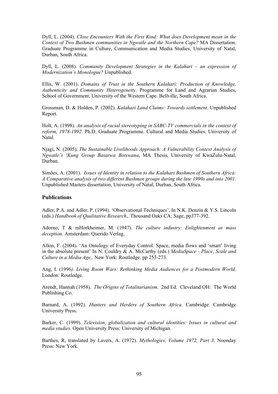Dyll, L. (2004). *Close Encounters With the First Kind: What does Development mean in the Context of Two Bushmen communities in Ngwatle and the Northern Cape?* MA Dissertation. Graduate Programme in Culture, Communication and Media Studies, University of Natal, Durban, South Africa.

Dyll, L. (2008). *Community Development Strategies in the Kalahari – an expression of Modernization's Monologue?* Unpublished.

Ellis, W. (2001). *Domains of Trust in the Southern Kalahari: Production of Knowledge, Authenticity and Community Heterogeneity*. Programme for Land and Agrarian Studies, School of Government, University of the Western Cape. Bellville, South Africa.

Grossman, D. & Holden, P. (2002). *Kalahari Land Claims: Towards settlement*. Unpublished Report.

Holt, A. (1998). *An analysis of racial stereotyping in SABC-TV commercials in the context of reform, 1978-1992*. Ph.D. Graduate Programme. Cultural and Media Studies. University of Natal.

Njagi, N. (2005). *The Sustainable Livelihoods Approach: A Vulnerability Context Analysis of Ngwatle's !Kung Group Basarwa Botswana*, MA Thesis, University of KwaZulu-Natal, Durban.

Simões, A. (2001). *Issues of Identity in relation to the Kalahari Bushmen of Southern Africa: A Comparative analysis of two different Bushmen groups during the late 1990s and into 2001.*  Unpublished Masters dissertation, University of Natal, Durban, South Africa.

## **Publications**

Adler, P.A. and Adler, P. (1994). 'Observational Techniques', In N.K. Denzin & Y.S. Lincoln (eds.) *Handbook of Qualitative Research*,. Thousand Oaks CA: Sage, pp377-392.

Adorno, T & mHorkheimer, M. (1947). *The culture industry: Enlightenment as mass deception*. Amsterdam: Querido Verlag.

Allon, F. (2004). 'An Ontology of Everyday Control: Space, media flows and 'smart' living in the absolute present' In N. Couldry & A. McCarthy (eds.) *MediaSpace - Place, Scale and Culture in a Media Age,*. New York: Routledge. pp 253-273.

Ang, I. (1996*). Living Room Wars: Rethinking Media Audiences for a Postmodern World*. London: Routledge.

Arendt, Hannah (1958). *The Origins of Totalitarianism*. 2nd Ed. Cleveland OH: The World Publishing Co.

Barnard, A. (1992). *Hunters and Herders of Southern Africa*. Cambridge: Cambridge University Press.

Barker, C. (1999). *Television, globalization and cultural identities: Issues in cultural and media studies.* Open University Press: University of Michigan.

Barthes, R, translated by Lavers, A. (1972). *Mythologies, Volume 1972, Part 3.* Noonday Press: New York.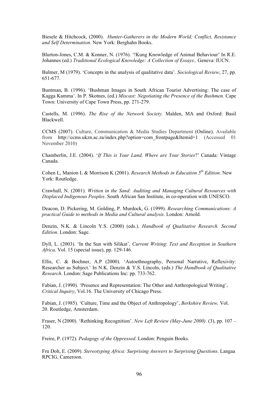Biesele & Hitchcock, (2000). *Hunter-Gatherers in the Modern World; Conflict, Resistance and Self Determination*. New York: Berghahn Books.

Blurton-Jones, C.M. & Konner, N. (1976). '!Kung Knowledge of Animal Behaviour' In R.E. Johannes (ed.) *Traditional Ecological Knowledge: A Collection of Essays*.. Geneva: IUCN.

Bulmer, M (1979). 'Concepts in the analysis of qualitative data'. *Sociological Review*, 27, pp. 651-677.

Buntman, B. (1996). 'Bushman Images in South African Tourist Advertising: The case of Kagga Kamma'. In P. Skotnes, (ed.) *Miscast: Negotiating the Presence of the Bushmen.* Cape Town: University of Cape Town Press, pp. 271-279.

Castells, M. (1996). *The Rise of the Network Society.* Malden, MA and Oxford: Basil Blackwell.

CCMS (2007). Culture, Communication & Media Studies Department (Online). Available from http://ccms.ukzn.ac.za/index.php?option=com\_frontpage&Itemid=1 (Accessed 01 November 2010)

Chamberlin, J.E. (2004). '*If This is Your Land, Where are Your Stories*?' Canada: Vintage Canada.

Cohen L, Manion L & Morrison K (2001). *Research Methods in Education 5th Edition*. New York: Routledge.

Crawhall, N. (2001). *Written in the Sand: Auditing and Managing Cultural Resources with Displaced Indigenous Peoples*. South African San Institute, in co-operation with UNESCO.

Deacon, D. Pickering, M. Golding, P. Murdock, G. (1999). *Researching Communications: A practical Guide to methods in Media and Cultural analysis.* London: Arnold.

Denzin, N.K. & Lincoln Y.S. (2000) (eds.). *Handbook of Qualitative Research. Second Edition*. London: Sage.

Dyll, L. (2003). 'In the Sun with Silikat', *Current Writing*: *Text and Reception in Southern Africa,* Vol. 15 (special issue), pp. 129-146.

Ellis, C. & Bochner, A.P (2000). 'Autoethnography, Personal Narrative, Reflexivity: Researcher as Subject.' In N.K. Denzin & Y.S. Lincoln, (eds.) *The Handbook of Qualitative Research*. London: Sage Publications Inc: pp. 733-762.

Fabian, J. (1990). 'Presence and Representation: The Other and Anthropological Writing', *Critical Inquiry*, Vol.16. The University of Chicago Press.

Fabian, J. (1985). 'Culture, Time and the Object of Anthropology', *Berkshire Review,* Vol. 20. Routledge, Amsterdam.

Fraser, N (2000). 'Rethinking Recognition'*. New Left Review (May-June 2000)*. (3), pp. 107 – 120.

Freire, P. (1972). *Pedagogy of the Oppressed*. London: Penguin Books.

Fru Doh, E. (2009). *Stereotyping Africa: Surprising Answers to Surprising Questions*. Langaa RPCIG, Cameroon.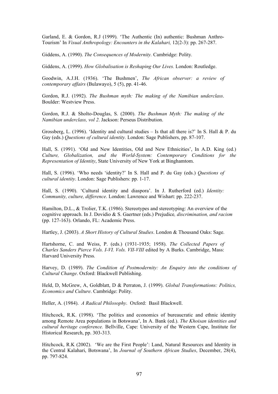Garland, E. & Gordon, R.J (1999). 'The Authentic (In) authentic: Bushman Anthro-Tourism' In *Visual Anthropology: Encounters in the Kalahari,* 12(2-3): pp. 267-287.

Giddens, A. (1990). *The Consequences of Modernity.* Cambridge: Polity*.*

Giddens, A. (1999). *How Globalisation is Reshaping Our Lives.* London: Routledge.

Goodwin, A.J.H. (1936). 'The Bushmen', *The African observer: a review of contemporary affairs* (Bulawayo), 5 (5), pp. 41-46.

Gordon, R.J. (1992). *The Bushman myth: The making of the Namibian underclass*. Boulder: Westview Press.

Gordon, R.J. & Sholto-Douglas, S. (2000). *The Bushman Myth: The making of the Namibian underclass, vol 2*. Jackson: Perseus Distribution.

Grossberg, L. (1996). 'Identity and cultural studies – Is that all there is?' In S. Hall & P. du Gay (eds.) *Questions of cultural identity.* London: Sage Publishers, pp. 87-107.

Hall, S. (1991). 'Old and New Identities, Old and New Ethnicities', In A.D. King (ed.) *Culture, Globalization, and the World-System: Contemporary Conditions for the Representation of Identity*, State University of New York at Binghamtom.

Hall, S. (1996). 'Who needs 'identity?' In S. Hall and P. du Gay (eds.) *Questions of cultural identity*. London: Sage Publishers: pp. 1-17.

Hall, S. (1990). 'Cultural identity and diaspora'. In J. Rutherford (ed.) *Identity: Community, culture, difference*. London: Lawrence and Wishart: pp. 222-237.

Hamilton, D.L., & Trolier, T.K. (1986). Stereotypes and stereotyping: An overview of the cognitive approach. In J. Dovidio & S. Gaertner (eds.) Prejudice*, discrimination, and racism* (pp. 127-163). Orlando, FL: Academic Press.

Hartley, J. (2003). *A Short History of Cultural Studies*. London & Thousand Oaks: Sage.

Hartshorne, C. and Weiss, P. (eds.) (1931-1935; 1958). *The Collected Papers of Charles Sanders Pierce Vols. I-VI. Vols. VII-VIII* edited by A Burks. Cambridge, Mass: Harvard University Press*.*

Harvey, D. (1989). *The Condition of Postmodernity: An Enquiry into the conditions of Cultural Change*. Oxford: Blackwell Publishing.

Held, D, McGrew, A, Goldblatt, D & Perraton, J. (1999). *Global Transformations: Politics, Economics and Culture*. Cambridge: Polity.

Heller, A. (1984). *A Radical Philosophy*. Oxford: Basil Blackwell.

Hitchcock, R.K. (1998). 'The politics and economics of bureaucratic and ethnic identity among Remote Area populations in Botswana', In A. Bank (ed.). *The Khoisan identities and cultural heritage conference.* Bellville, Cape: University of the Western Cape, Institute for Historical Research, pp. 303-313.

Hitchcock, R.K (2002). 'We are the First People': Land, Natural Resources and Identity in the Central Kalahari, Botswana', In *Journal of Southern African Studies*, December, 28(4), pp. 797-824.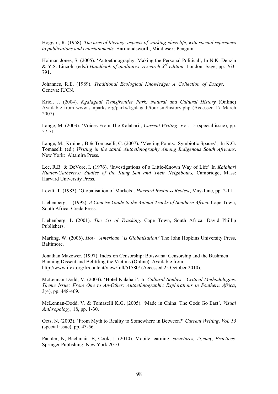Hoggart, R. (1958). *The uses of literacy: aspects of working-class life, with special references to publications and entertainments*. Harmondsworth, Middlesex: Penguin.

Holman Jones, S. (2005). 'Autoethnography: Making the Personal Political', In N.K. Denzin & Y.S. Lincoln (eds.) *Handbook of qualitative research 3rd edition*. London: Sage, pp. 763- 791.

Johannes, R.E. (1989). *Traditional Ecological Knowledge: A Collection of Essays*. Geneva: IUCN.

Kriel, J. (2004). *Kgalagadi Transfrontier Park: Natural and Cultural History* (Online) Available from www.sanparks.org/parks/kgalagadi/tourism/history.php (Accessed 17 March 2007)

Lange, M. (2003). 'Voices From The Kalahari', *Current Writing*, Vol. 15 (special issue), pp. 57-71.

Lange, M., Kruiper, B & Tomaselli, C. (2007). 'Meeting Points: Symbiotic Spaces', In K.G. Tomaselli (ed.) *Writing in the san/d. Autoethnography Among Indigenous South Africans*. New York: Altamira Press.

Lee, R.B. & DeVore, I. (1976). 'Investigations of a Little-Known Way of Life' In *Kalahari Hunter-Gatherers: Studies of the Kung San and Their Neighbours,* Cambridge, Mass: Harvard University Press*.*

Levitt, T. (1983). 'Globalisation of Markets'. *Harvard Business Revie*w, May-June, pp. 2-11.

Liebenberg, L (1992). *A Concise Guide to the Animal Tracks of Southern Africa.* Cape Town, South Africa: Creda Press.

Liebenberg, L (2001). *The Art of Tracking.* Cape Town, South Africa: David Phillip Publishers.

Marling, W. (2006). *How "American" is Globalisation?* The John Hopkins University Press, Baltimore.

Jonathan Mazower. (1997). Index on Censorship: Botswana: Censorship and the Bushmen: Banning Dissent and Belittling the Victims (Online). Available from http://www.ifex.org/fr/content/view/full/51580/ (Accessed 25 October 2010).

McLennan-Dodd, V. (2003). 'Hotel Kalahari', In *Cultural Studies - Critical Methodologies*. *Theme Issue: From One to An-Other: Autoethnographic Explorations in Southern Africa*, 3(4), pp. 448-469.

McLennan-Dodd, V. & Tomaselli K.G. (2005). 'Made in China: The Gods Go East'. *Visual Anthropology*, 18, pp. 1-30.

Oets, N. (2003). 'From Myth to Reality to Somewhere in Between?' *Current Writing*, *Vol. 15* (special issue), pp. 43-56.

Pachler, N, Bachmair, B, Cook, J. (2010). Mobile learning*: structures, Agency, Practices.* Springer Publishing: New York 2010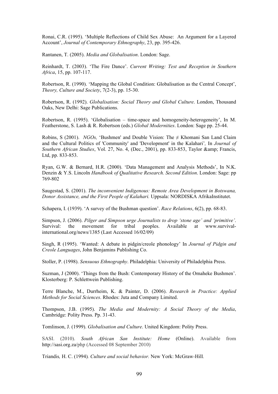Ronai, C.R. (1995). 'Multiple Reflections of Child Sex Abuse: An Argument for a Layered Account', *Journal of Contemporary Ethnography*, 23, pp. 395-426.

Rantanen, T. (2005). *Media and Globalisation*. London: Sage.

Reinhardt, T. (2003). 'The Fire Dance'. *Current Writing: Test and Reception in Southern Africa*, 15, pp. 107-117.

Robertson, R. (1990). 'Mapping the Global Condition: Globalisation as the Central Concept', *Theory, Culture and Society*, 7(2-3), pp. 15-30.

Robertson, R. (1992). *Globalisation: Social Theory and Global Culture*. London, Thousand Oaks, New Delhi: Sage Publications.

Robertson, R. (1995). 'Globalisation – time-space and homogeneity-heterogeneity', In M. Featherstone, S. Lash & R. Robertson (eds.) *Global Modernities*. London: Sage pp. 25-44.

Robins, S (2001). *NGOs*, 'Bushmen' and Double Vision: The  $\neq$  Khomani San Land Claim and the Cultural Politics of 'Community' and 'Development' in the Kalahari'*,* In *Journal of Southern African Studies*, Vol. 27, No. 4, (Dec., 2001), pp. 833-853, Taylor & amp; Francis, Ltd, pp. 833-853.

Ryan, G.W. & Bernard, H.R. (2000). 'Data Management and Analysis Methods', In N.K. Denzin & Y.S. Lincoln *Handbook of Qualitative Research. Second Edition*. London: Sage: pp 769-802

Saugestad, S. (2001). *The inconvenient Indigenous: Remote Area Development in Botswana, Donor Assistance, and the First People of Kalahari.* Uppsala: NORDISKA AfrikaInstitutet.

Schapera, I. (1939). 'A survey of the Bushman question'. *Race Relations*, 6(2), pp. 68-83.

Simpson, J. (2006). *Pilger and Simpson urge Journalists to drop 'stone age' and 'primitive'*. Survival: the movement for tribal peoples. Available at www.survivalinternational.org/news/1385 (Last Accessed 16/02/09)

Singh, R (1995). 'Wanted: A debate in pidgin/creole phonology' In *Journal of Pidgin and Creole Languages*, John Benjamins Publishing Co.

Stoller, P. (1998). *Sensuous Ethnography*. Philadelphia: University of Philadelphia Press.

Suzman, J (2000). 'Things from the Bush: Contemporary History of the Omaheke Bushmen'. Klosterberg: P. Schlettwein Publishing.

Terre Blanche, M., Durrheim, K. & Painter, D. (2006). *Research in Practice: Applied Methods for Social Sciences*. Rhodes: Juta and Company Limited.

Thompson, J.B. (1995). *The Media and Modernity: A Social Theory of the Media*, Cambridge: Polity Press. Pp. 31-43.

Tomlinson, J. (1999). *Globalisation and Culture*. United Kingdom: Polity Press.

SASI. (2010). *South African San Institute: Home* (Online). Available from http://sasi.org.za/php (Accessed 08 September 2010)

Triandis*,* H. C. (1994)*. Culture and social behavior.* New York: McGraw*-*Hill*.*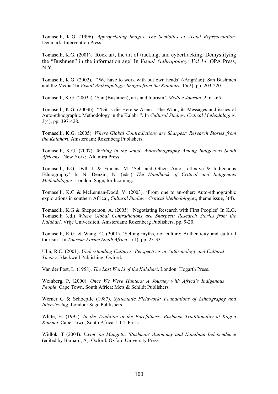Tomaselli, K.G. (1996). *Appropriating Images. The Semiotics of Visual Representation.* Denmark: Intervention Press.

Tomaselli, K.G. (2001). 'Rock art, the art of tracking, and cybertracking: Demystifying the "Bushmen" in the information age' In *Visual Anthropology: Vol 14.* OPA Press, N.Y.

Tomaselli, K.G. (2002). *"*'We have to work with out own heads' (/Angn!ao): San Bushmen and the Media" In *Visual Anthropology: Images from the Kalahari,* 15(2): pp. 203-220.

Tomaselli, K.G. (2003a). 'San (Bushmen), arts and tourism', *Medien Journal*, 2: 61-65.

Tomaselli, K.G. (2003b). *"'*Dit is die Here se Asem': The Wind, its Messages and issues of Auto-ethnographic Methodology in the Kalahri". In *Cultural Studies: Critical Methodologies,*  3(4), pp. 397-428.

Tomaselli, K.G. (2005). *Where Global Contradictions are Sharpest: Research Stories from the Kalahari*. Amsterdam: Rozenberg Publishers.

Tomaselli, K.G. (2007). *Writing in the san/d. Autoethnography Among Indigenous South Africans*. New York: Altamira Press.

Tomaselli, KG, Dyll, L & Francis, M. 'Self and Other: Auto, reflexive & Indigenous Ethnography' In N. Denzin, N. (eds.) *The Handbook of Critical and Indigenous Methodologies*. London: Sage, forthcoming.

Tomaselli, K.G & McLennan-Dodd, V. (2003). 'From one to an-other: Auto-ethnographic explorations in southern Africa', *Cultural Studies - Critical Methodologies*, theme issue, 3(4).

Tomaselli, K.G & Shepperson, A. (2005). 'Negotiating Research with First Peoples' In K.G. Tomaselli (ed.) *Where Global Contradictions are Sharpest: Research Stories from the Kalahari*. Vrije Universiteit, Amsterdam: Rozenberg Publishers, pp. 9-20.

Tomaselli, K.G. & Wang, C. (2001). 'Selling myths, not culture: Authenticity and cultural tourism'. In *Tourism Forum South Africa*, 1(1): pp. 23-33.

Ulin, R.C. (2001). *Understanding Cultures: Perspectives in Anthropology and Cultural Theory*. Blackwell Publishing: Oxford.

Van der Post, L. (1958). *The Lost World of the Kalahari*. London: Hogarth Press.

Weinberg, P. (2000). *Once We Were Hunters: A Journey with Africa's Indigenous People*. Cape Town, South Africa: Mets & Schildt Publishers.

Werner G & Schoepfle (1987). *Systematic Fieldwork: Foundations of Ethnography and Interviewing*. London: Sage Publishers.

White, H. (1995). *In the Tradition of the Forefathers: Bushmen Traditionality at Kagga Kamma*. Cape Town, South Africa: UCT Press.

Widlok, T (2004). *Living on Mangetti: 'Bushman' Autonomy and Namibian Independence*  (edited by Barnard, A). Oxford: Oxford University Press